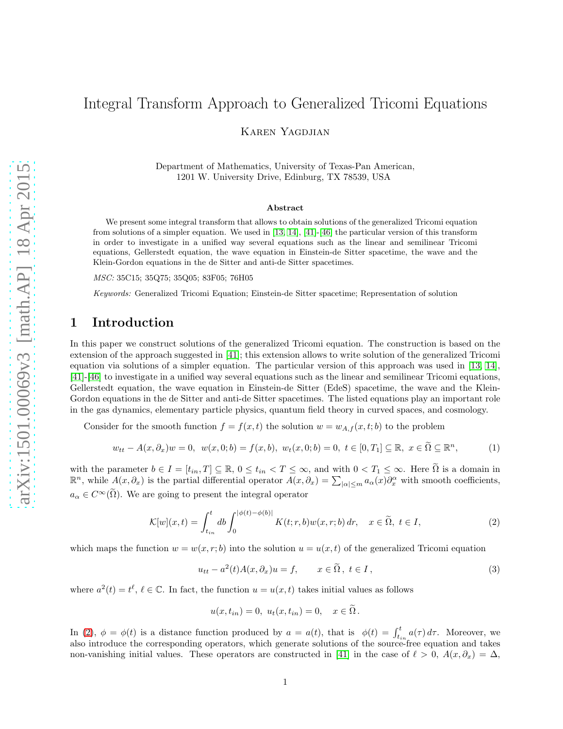# Integral Transform Approach to Generalized Tricomi Equations

Karen Yagdjian

Department of Mathematics, University of Texas-Pan American, 1201 W. University Drive, Edinburg, TX 78539, USA

#### Abstract

We present some integral transform that allows to obtain solutions of the generalized Tricomi equation from solutions of a simpler equation. We used in [\[13,](#page-38-0) [14\]](#page-38-1), [\[41\]](#page-39-0)-[\[46\]](#page-39-1) the particular version of this transform in order to investigate in a unified way several equations such as the linear and semilinear Tricomi equations, Gellerstedt equation, the wave equation in Einstein-de Sitter spacetime, the wave and the Klein-Gordon equations in the de Sitter and anti-de Sitter spacetimes.

MSC: 35C15; 35Q75; 35Q05; 83F05; 76H05

Keywords: Generalized Tricomi Equation; Einstein-de Sitter spacetime; Representation of solution

#### 1 Introduction

In this paper we construct solutions of the generalized Tricomi equation. The construction is based on the extension of the approach suggested in [\[41\]](#page-39-0); this extension allows to write solution of the generalized Tricomi equation via solutions of a simpler equation. The particular version of this approach was used in [\[13,](#page-38-0) [14\]](#page-38-1), [\[41\]](#page-39-0)-[\[46\]](#page-39-1) to investigate in a unified way several equations such as the linear and semilinear Tricomi equations, Gellerstedt equation, the wave equation in Einstein-de Sitter (EdeS) spacetime, the wave and the Klein-Gordon equations in the de Sitter and anti-de Sitter spacetimes. The listed equations play an important role in the gas dynamics, elementary particle physics, quantum field theory in curved spaces, and cosmology.

Consider for the smooth function  $f = f(x, t)$  the solution  $w = w_{A,f}(x, t; b)$  to the problem

<span id="page-0-1"></span>
$$
w_{tt} - A(x, \partial_x)w = 0, \ \ w(x, 0; b) = f(x, b), \ \ w_t(x, 0; b) = 0, \ t \in [0, T_1] \subseteq \mathbb{R}, \ x \in \tilde{\Omega} \subseteq \mathbb{R}^n,
$$
 (1)

with the parameter  $b \in I = [t_{in}, T] \subseteq \mathbb{R}$ ,  $0 \le t_{in} < T \le \infty$ , and with  $0 < T_1 \le \infty$ . Here  $\tilde{\Omega}$  is a domain in  $\mathbb{R}^n$ , while  $A(x, \partial_x)$  is the partial differential operator  $A(x, \partial_x) = \sum_{|\alpha| \le m} a_{\alpha}(x) \partial_x^{\alpha}$  with smo  $a_{\alpha} \in C^{\infty}(\tilde{\Omega})$ . We are going to present the integral operator

<span id="page-0-0"></span>
$$
\mathcal{K}[w](x,t) = \int_{t_{in}}^{t} db \int_{0}^{|\phi(t) - \phi(b)|} K(t; r, b) w(x, r; b) dr, \quad x \in \tilde{\Omega}, \ t \in I,
$$
\n
$$
(2)
$$

which maps the function  $w = w(x, r; b)$  into the solution  $u = u(x, t)$  of the generalized Tricomi equation

<span id="page-0-2"></span>
$$
u_{tt} - a^2(t)A(x, \partial_x)u = f, \qquad x \in \tilde{\Omega}, \ t \in I,
$$
\n<sup>(3)</sup>

where  $a^2(t) = t^{\ell}, \ell \in \mathbb{C}$ . In fact, the function  $u = u(x, t)$  takes initial values as follows

$$
u(x, t_{in}) = 0, u_t(x, t_{in}) = 0, x \in \Omega.
$$

In [\(2\)](#page-0-0),  $\phi = \phi(t)$  is a distance function produced by  $a = a(t)$ , that is  $\phi(t) = \int_{t_{in}}^{t} a(\tau) d\tau$ . Moreover, we also introduce the corresponding operators, which generate solutions of the source-free equation and takes non-vanishing initial values. These operators are constructed in [\[41\]](#page-39-0) in the case of  $\ell > 0$ ,  $A(x, \partial_x) = \Delta$ ,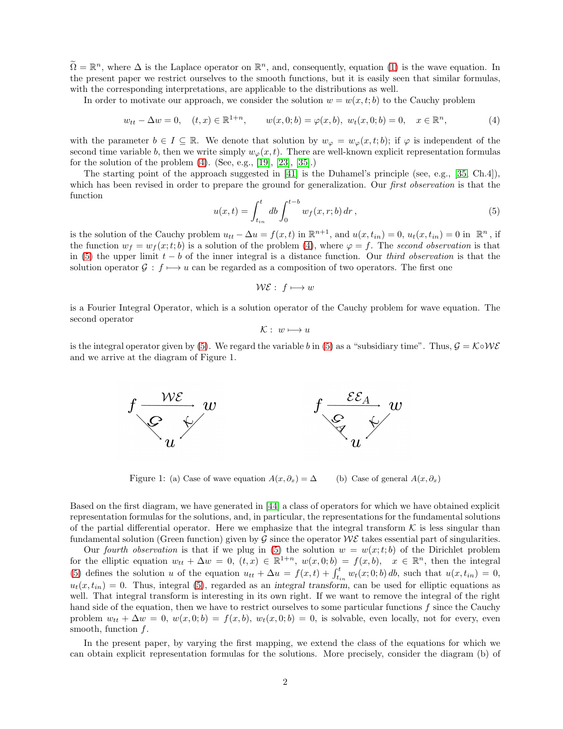$\tilde{\Omega} = \mathbb{R}^n$ , where  $\Delta$  is the Laplace operator on  $\mathbb{R}^n$ , and, consequently, equation [\(1\)](#page-0-1) is the wave equation. In the present paper we restrict ourselves to the smooth functions, but it is easily seen that similar formulas, with the corresponding interpretations, are applicable to the distributions as well.

In order to motivate our approach, we consider the solution  $w = w(x, t; b)$  to the Cauchy problem

<span id="page-1-0"></span>
$$
w_{tt} - \Delta w = 0, \quad (t, x) \in \mathbb{R}^{1+n}, \qquad w(x, 0; b) = \varphi(x, b), \ w_t(x, 0; b) = 0, \quad x \in \mathbb{R}^n,
$$
 (4)

with the parameter  $b \in I \subseteq \mathbb{R}$ . We denote that solution by  $w_{\varphi} = w_{\varphi}(x, t; b)$ ; if  $\varphi$  is independent of the second time variable b, then we write simply  $w_{\varphi}(x, t)$ . There are well-known explicit representation formulas for the solution of the problem  $(4)$ . (See, e.g., [\[19\]](#page-38-2), [\[23\]](#page-38-3), [\[35\]](#page-39-2).)

The starting point of the approach suggested in [\[41\]](#page-39-0) is the Duhamel's principle (see, e.g., [\[35,](#page-39-2) Ch.4]), which has been revised in order to prepare the ground for generalization. Our *first observation* is that the function

<span id="page-1-1"></span>
$$
u(x,t) = \int_{t_{in}}^{t} db \int_{0}^{t-b} w_f(x,r;b) dr , \qquad (5)
$$

is the solution of the Cauchy problem  $u_{tt} - \Delta u = f(x, t)$  in  $\mathbb{R}^{n+1}$ , and  $u(x, t_{in}) = 0$ ,  $u_t(x, t_{in}) = 0$  in  $\mathbb{R}^n$ , if the function  $w_f = w_f(x;t;b)$  is a solution of the problem [\(4\)](#page-1-0), where  $\varphi = f$ . The second observation is that in [\(5\)](#page-1-1) the upper limit  $t - b$  of the inner integral is a distance function. Our *third observation* is that the solution operator  $\mathcal{G}: f \mapsto u$  can be regarded as a composition of two operators. The first one

$$
\mathcal{WE}: f \longmapsto w
$$

is a Fourier Integral Operator, which is a solution operator of the Cauchy problem for wave equation. The second operator

$$
\mathcal{K}: w \longmapsto u
$$

is the integral operator given by [\(5\)](#page-1-1). We regard the variable b in (5) as a "subsidiary time". Thus,  $\mathcal{G} = \mathcal{K} \circ \mathcal{W} \mathcal{E}$ and we arrive at the diagram of Figure 1.



Figure 1: (a) Case of wave equation  $A(x, \partial_x) = \Delta$  (b) Case of general  $A(x, \partial_x)$ 

Based on the first diagram, we have generated in [\[44\]](#page-39-3) a class of operators for which we have obtained explicit representation formulas for the solutions, and, in particular, the representations for the fundamental solutions of the partial differential operator. Here we emphasize that the integral transform  $K$  is less singular than fundamental solution (Green function) given by  $\mathcal G$  since the operator  $\mathcal W\mathcal E$  takes essential part of singularities.

Our fourth observation is that if we plug in [\(5\)](#page-1-1) the solution  $w = w(x; t; b)$  of the Dirichlet problem for the elliptic equation  $w_{tt} + \Delta w = 0$ ,  $(t, x) \in \mathbb{R}^{1+n}$ ,  $w(x, 0; b) = f(x, b)$ ,  $x \in \mathbb{R}^n$ , then the integral [\(5\)](#page-1-1) defines the solution u of the equation  $u_{tt} + \Delta u = f(x,t) + \int_{t_{in}}^{t} w_t(x;0;b) db$ , such that  $u(x,t_{in}) = 0$ ,  $u_t(x, t_{in}) = 0$ . Thus, integral [\(5\)](#page-1-1), regarded as an integral transform, can be used for elliptic equations as well. That integral transform is interesting in its own right. If we want to remove the integral of the right hand side of the equation, then we have to restrict ourselves to some particular functions  $f$  since the Cauchy problem  $w_{tt} + \Delta w = 0$ ,  $w(x, 0; b) = f(x, b)$ ,  $w_t(x, 0; b) = 0$ , is solvable, even locally, not for every, even smooth, function  $f$ .

In the present paper, by varying the first mapping, we extend the class of the equations for which we can obtain explicit representation formulas for the solutions. More precisely, consider the diagram (b) of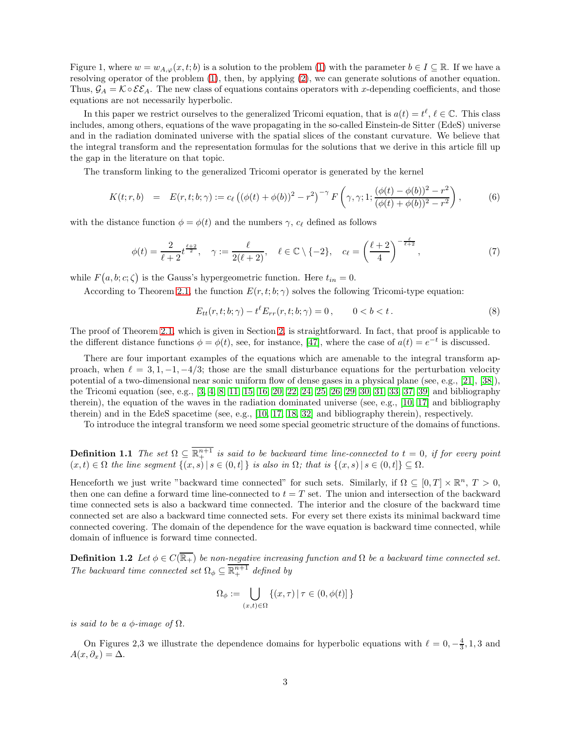Figure 1, where  $w = w_{A,\varphi}(x,t;b)$  is a solution to the problem [\(1\)](#page-0-1) with the parameter  $b \in I \subseteq \mathbb{R}$ . If we have a resolving operator of the problem [\(1\)](#page-0-1), then, by applying [\(2\)](#page-0-0), we can generate solutions of another equation. Thus,  $\mathcal{G}_A = \mathcal{K} \circ \mathcal{E} \mathcal{E}_A$ . The new class of equations contains operators with x-depending coefficients, and those equations are not necessarily hyperbolic.

In this paper we restrict ourselves to the generalized Tricomi equation, that is  $a(t) = t^{\ell}, \ell \in \mathbb{C}$ . This class includes, among others, equations of the wave propagating in the so-called Einstein-de Sitter (EdeS) universe and in the radiation dominated universe with the spatial slices of the constant curvature. We believe that the integral transform and the representation formulas for the solutions that we derive in this article fill up the gap in the literature on that topic.

The transform linking to the generalized Tricomi operator is generated by the kernel

<span id="page-2-1"></span>
$$
K(t; r, b) = E(r, t; b; \gamma) := c_{\ell} \left( (\phi(t) + \phi(b))^2 - r^2 \right)^{-\gamma} F\left(\gamma, \gamma; 1; \frac{(\phi(t) - \phi(b))^2 - r^2}{(\phi(t) + \phi(b))^2 - r^2} \right),
$$
(6)

with the distance function  $\phi = \phi(t)$  and the numbers  $\gamma$ ,  $c_{\ell}$  defined as follows

<span id="page-2-2"></span>
$$
\phi(t) = \frac{2}{\ell+2} t^{\frac{\ell+2}{2}}, \quad \gamma := \frac{\ell}{2(\ell+2)}, \quad \ell \in \mathbb{C} \setminus \{-2\}, \quad c_{\ell} = \left(\frac{\ell+2}{4}\right)^{-\frac{\ell}{\ell+2}},\tag{7}
$$

while  $F(a, b; c; \zeta)$  is the Gauss's hypergeometric function. Here  $t_{in} = 0$ .

According to Theorem [2.1,](#page-8-0) the function  $E(r, t; b; \gamma)$  solves the following Tricomi-type equation:

<span id="page-2-0"></span>
$$
E_{tt}(r, t; b; \gamma) - t^{\ell} E_{rr}(r, t; b; \gamma) = 0, \qquad 0 < b < t.
$$
 (8)

The proof of Theorem [2.1,](#page-8-0) which is given in Section [2,](#page-8-1) is straightforward. In fact, that proof is applicable to the different distance functions  $\phi = \phi(t)$ , see, for instance, [\[47\]](#page-39-4), where the case of  $a(t) = e^{-t}$  is discussed.

There are four important examples of the equations which are amenable to the integral transform approach, when  $\ell = 3, 1, -1, -4/3$ ; those are the small disturbance equations for the perturbation velocity potential of a two-dimensional near sonic uniform flow of dense gases in a physical plane (see, e.g., [\[21\]](#page-38-4), [\[38\]](#page-39-5)), the Tricomi equation (see, e.g., [\[3,](#page-37-0) [4,](#page-37-1) [8,](#page-37-2) [11,](#page-38-5) [15,](#page-38-6) [16,](#page-38-7) [20,](#page-38-8) [22,](#page-38-9) [24,](#page-38-10) [25,](#page-38-11) [26,](#page-38-12) [29,](#page-38-13) [30,](#page-39-6) [31,](#page-39-7) [33,](#page-39-8) [37,](#page-39-9) [39\]](#page-39-10) and bibliography therein), the equation of the waves in the radiation dominated universe (see, e.g., [\[10,](#page-38-14) [17\]](#page-38-15) and bibliography therein) and in the EdeS spacetime (see, e.g., [\[10,](#page-38-14) [17,](#page-38-15) [18,](#page-38-16) [32\]](#page-39-11) and bibliography therein), respectively.

To introduce the integral transform we need some special geometric structure of the domains of functions.

**Definition 1.1** The set  $\Omega \subseteq \mathbb{R}^{n+1}$  is said to be backward time line-connected to  $t = 0$ , if for every point  $(x, t) \in \Omega$  the line segment  $\{(x, s) | s \in (0, t]\}$  is also in  $\Omega$ ; that is  $\{(x, s) | s \in (0, t]\} \subseteq \Omega$ .

Henceforth we just write "backward time connected" for such sets. Similarly, if  $\Omega \subseteq [0, T] \times \mathbb{R}^n$ ,  $T > 0$ , then one can define a forward time line-connected to  $t = T$  set. The union and intersection of the backward time connected sets is also a backward time connected. The interior and the closure of the backward time connected set are also a backward time connected sets. For every set there exists its minimal backward time connected covering. The domain of the dependence for the wave equation is backward time connected, while domain of influence is forward time connected.

**Definition 1.2** Let  $\phi \in C(\overline{\mathbb{R}_+})$  be non-negative increasing function and  $\Omega$  be a backward time connected set. The backward time connected set  $\Omega_{\phi} \subseteq \overline{\mathbb{R}^{n+1}_+}$  defined by

$$
\Omega_{\phi} := \bigcup_{(x,t) \in \Omega} \left\{ (x,\tau) \, | \, \tau \in (0,\phi(t)] \right\}
$$

is said to be a  $\phi$ -image of  $\Omega$ .

On Figures 2,3 we illustrate the dependence domains for hyperbolic equations with  $\ell = 0, -\frac{4}{3}, 1, 3$  and  $A(x, \partial_x) = \Delta.$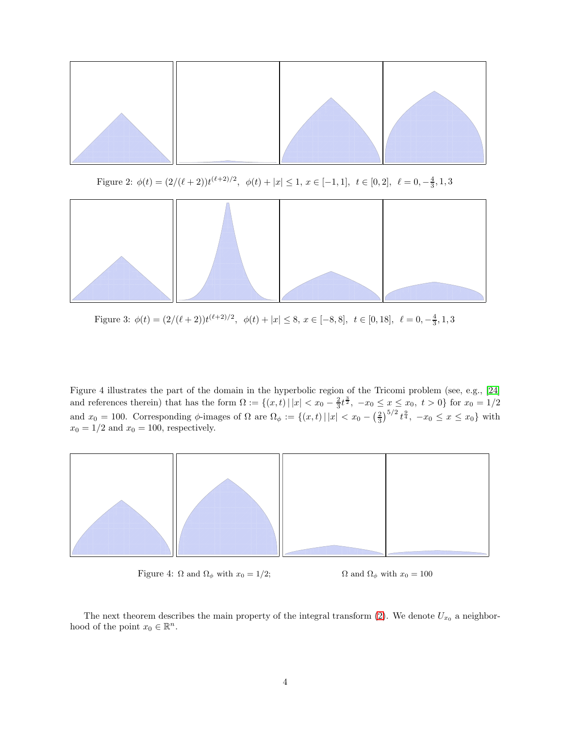

Figure 2:  $\phi(t) = (2/(\ell+2))t^{(\ell+2)/2}, \phi(t) + |x| \leq 1, x \in [-1,1], t \in [0,2], \ell = 0, -\frac{4}{3}, 1, 3$ 



Figure 3:  $\phi(t) = (2/(\ell+2))t^{(\ell+2)/2}, \quad \phi(t) + |x| \leq 8, \ x \in [-8, 8], \ t \in [0, 18], \ \ell = 0, -\frac{4}{3}, 1, 3$ 

Figure 4 illustrates the part of the domain in the hyperbolic region of the Tricomi problem (see, e.g., [\[24\]](#page-38-10) and references therein) that has the form  $\Omega := \{(x, t) | |x| < x_0 - \frac{2}{3}t^{\frac{3}{2}}, -x_0 \le x \le x_0, t > 0\}$  for  $x_0 = 1/2$ and  $x_0 = 100$ . Corresponding  $\phi$ -images of  $\Omega$  are  $\Omega_{\phi} := \{(x, t) | |x| < x_0 - \left(\frac{2}{3}\right)^{5/2} t^{\frac{9}{4}}, -x_0 \le x \le x_0\}$  with  $x_0 = 1/2$  and  $x_0 = 100$ , respectively.



<span id="page-3-0"></span>Figure 4:  $\Omega$  and  $\Omega_{\phi}$  with  $x_0 = 1/2$ ;  $\Omega$  and  $\Omega_{\phi}$  with  $x_0 = 100$ 

The next theorem describes the main property of the integral transform [\(2\)](#page-0-0). We denote  $U_{x_0}$  a neighborhood of the point  $x_0 \in \mathbb{R}^n$ .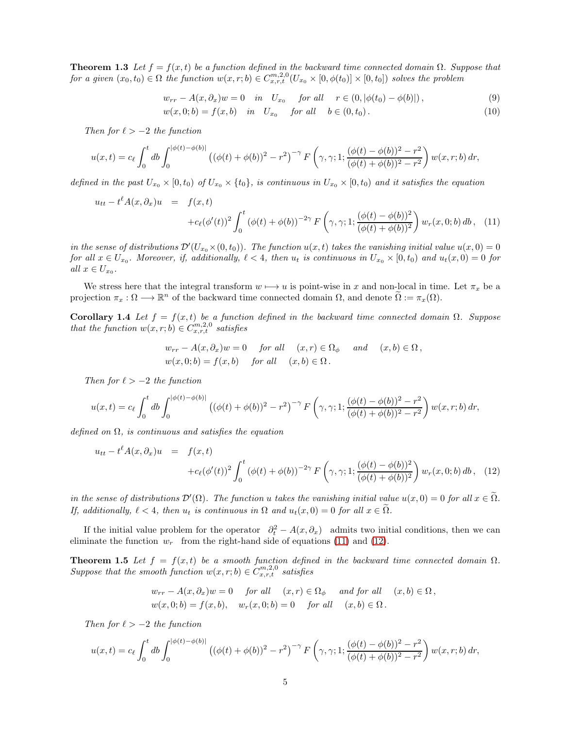**Theorem 1.3** Let  $f = f(x, t)$  be a function defined in the backward time connected domain  $\Omega$ . Suppose that for a given  $(x_0, t_0) \in \Omega$  the function  $w(x, r; b) \in C_{x, r, t}^{m, 2, 0}(U_{x_0} \times [0, \phi(t_0)] \times [0, t_0])$  solves the problem

<span id="page-4-3"></span>
$$
w_{rr} - A(x, \partial_x)w = 0 \quad in \quad U_{x_0} \quad \text{for all} \quad r \in (0, |\phi(t_0) - \phi(b)|), \tag{9}
$$

$$
w(x,0;b) = f(x,b) \text{ in } U_{x_0} \text{ for all } b \in (0,t_0). \tag{10}
$$

Then for  $\ell > -2$  the function

$$
u(x,t) = c_{\ell} \int_0^t db \int_0^{|\phi(t) - \phi(b)|} \left( (\phi(t) + \phi(b))^2 - r^2 \right)^{-\gamma} F\left(\gamma, \gamma; 1; \frac{(\phi(t) - \phi(b))^2 - r^2}{(\phi(t) + \phi(b))^2 - r^2} \right) w(x,r;b) \, dr,
$$

defined in the past  $U_{x_0} \times [0, t_0)$  of  $U_{x_0} \times \{t_0\}$ , is continuous in  $U_{x_0} \times [0, t_0)$  and it satisfies the equation

<span id="page-4-0"></span>
$$
u_{tt} - t^{\ell} A(x, \partial_x) u = f(x, t)
$$
  
+
$$
c_{\ell} (\phi'(t))^2 \int_0^t (\phi(t) + \phi(b))^{-2\gamma} F(\gamma, \gamma; 1; \frac{(\phi(t) - \phi(b))^2}{(\phi(t) + \phi(b))^2}) w_r(x, 0; b) db , (11)
$$

in the sense of distributions  $\mathcal{D}'(U_{x_0}\times(0,t_0))$ . The function  $u(x,t)$  takes the vanishing initial value  $u(x,0)=0$ for all  $x \in U_{x_0}$ . Moreover, if, additionally,  $\ell < 4$ , then  $u_t$  is continuous in  $U_{x_0} \times [0, t_0)$  and  $u_t(x, 0) = 0$  for all  $x \in U_{x_0}$ .

<span id="page-4-4"></span>We stress here that the integral transform  $w \mapsto u$  is point-wise in x and non-local in time. Let  $\pi_x$  be a projection  $\pi_x : \Omega \longrightarrow \mathbb{R}^n$  of the backward time connected domain  $\Omega$ , and denote  $\widetilde{\Omega} := \pi_x(\Omega)$ .

**Corollary 1.4** Let  $f = f(x, t)$  be a function defined in the backward time connected domain  $\Omega$ . Suppose that the function  $w(x, r; b) \in C_{x, r, t}^{m, 2, 0}$  satisfies

$$
w_{rr} - A(x, \partial_x)w = 0 \quad \text{for all} \quad (x, r) \in \Omega_{\phi} \quad \text{and} \quad (x, b) \in \Omega,
$$
  

$$
w(x, 0; b) = f(x, b) \quad \text{for all} \quad (x, b) \in \Omega.
$$

Then for  $\ell > -2$  the function

$$
u(x,t) = c_{\ell} \int_0^t db \int_0^{|\phi(t) - \phi(b)|} \left( (\phi(t) + \phi(b))^2 - r^2 \right)^{-\gamma} F\left(\gamma, \gamma; 1; \frac{(\phi(t) - \phi(b))^2 - r^2}{(\phi(t) + \phi(b))^2 - r^2} \right) w(x,r;b) \, dr,
$$

defined on  $\Omega$ , is continuous and satisfies the equation

<span id="page-4-1"></span>
$$
u_{tt} - t^{\ell} A(x, \partial_x) u = f(x, t)
$$
  
+ $c_{\ell} (\phi'(t))^2 \int_0^t (\phi(t) + \phi(b))^{-2\gamma} F(\gamma, \gamma; 1; \frac{(\phi(t) - \phi(b))^2}{(\phi(t) + \phi(b))^2}) w_r(x, 0; b) db, (12)$ 

in the sense of distributions  $\mathcal{D}'(\Omega)$ . The function u takes the vanishing initial value  $u(x,0) = 0$  for all  $x \in \Omega$ . If, additionally,  $\ell < 4$ , then  $u_t$  is continuous in  $\Omega$  and  $u_t(x, 0) = 0$  for all  $x \in \tilde{\Omega}$ .

<span id="page-4-2"></span>If the initial value problem for the operator  $\partial_t^2 - A(x, \partial_x)$  admits two initial conditions, then we can eliminate the function  $w_r$  from the right-hand side of equations [\(11\)](#page-4-0) and [\(12\)](#page-4-1).

**Theorem 1.5** Let  $f = f(x, t)$  be a smooth function defined in the backward time connected domain  $\Omega$ . Suppose that the smooth function  $w(x, r; b) \in C_{x, r, t}^{m, 2, 0}$  satisfies

$$
w_{rr} - A(x, \partial_x)w = 0 \quad \text{for all} \quad (x, r) \in \Omega_{\phi} \quad \text{and for all} \quad (x, b) \in \Omega,
$$
  

$$
w(x, 0; b) = f(x, b), \quad w_r(x, 0; b) = 0 \quad \text{for all} \quad (x, b) \in \Omega.
$$

Then for  $\ell > -2$  the function

$$
u(x,t) = c_{\ell} \int_0^t db \int_0^{|\phi(t) - \phi(b)|} \left( (\phi(t) + \phi(b))^2 - r^2 \right)^{-\gamma} F\left(\gamma, \gamma; 1; \frac{(\phi(t) - \phi(b))^2 - r^2}{(\phi(t) + \phi(b))^2 - r^2} \right) w(x,r;b) \, dr,
$$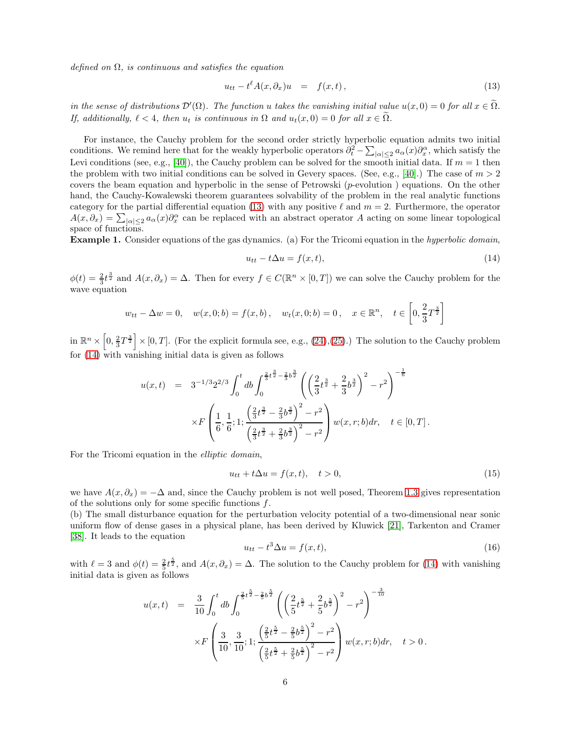defined on  $\Omega$ , is continuous and satisfies the equation

<span id="page-5-0"></span>
$$
u_{tt} - t^{\ell} A(x, \partial_x) u = f(x, t), \qquad (13)
$$

in the sense of distributions  $\mathcal{D}'(\Omega)$ . The function u takes the vanishing initial value  $u(x,0) = 0$  for all  $x \in \Omega$ . If, additionally,  $\ell < 4$ , then  $u_t$  is continuous in  $\Omega$  and  $u_t(x, 0) = 0$  for all  $x \in \Omega$ .

For instance, the Cauchy problem for the second order strictly hyperbolic equation admits two initial conditions. We remind here that for the weakly hyperbolic operators  $\partial_t^2 - \sum_{|\alpha| \leq 2} a_\alpha(x) \partial_x^{\alpha}$ , which satisfy the Levi conditions (see, e.g., [\[40\]](#page-39-12)), the Cauchy problem can be solved for the smooth initial data. If  $m = 1$  then the problem with two initial conditions can be solved in Gevery spaces. (See, e.g., [\[40\]](#page-39-12).) The case of  $m > 2$ covers the beam equation and hyperbolic in the sense of Petrowski (p-evolution ) equations. On the other hand, the Cauchy-Kowalewski theorem guarantees solvability of the problem in the real analytic functions category for the partial differential equation [\(13\)](#page-5-0) with any positive  $\ell$  and  $m = 2$ . Furthermore, the operator  $A(x, \partial_x) = \sum_{|\alpha| \leq 2} a_{\alpha}(x) \partial_x^{\alpha}$  can be replaced with an abstract operator A acting on some linear topological space of functions.

Example 1. Consider equations of the gas dynamics. (a) For the Tricomi equation in the hyperbolic domain,

<span id="page-5-1"></span>
$$
u_{tt} - t\Delta u = f(x, t),\tag{14}
$$

 $\phi(t) = \frac{2}{3}t^{\frac{3}{2}}$  and  $A(x, \partial_x) = \Delta$ . Then for every  $f \in C(\mathbb{R}^n \times [0, T])$  we can solve the Cauchy problem for the wave equation

$$
w_{tt} - \Delta w = 0
$$
,  $w(x, 0; b) = f(x, b)$ ,  $w_t(x, 0; b) = 0$ ,  $x \in \mathbb{R}^n$ ,  $t \in \left[0, \frac{2}{3}T^{\frac{3}{2}}\right]$ 

in  $\mathbb{R}^n \times \left[0, \frac{2}{3}T^{\frac{3}{2}}\right] \times [0, T]$ . (For the explicit formula see, e.g., [\(24\)](#page-8-2),[\(25\)](#page-8-3).) The solution to the Cauchy problem for  $(14)$  with vanishing initial data is given as follows

$$
u(x,t) = 3^{-1/3} 2^{2/3} \int_0^t db \int_0^{\frac{2}{3}t^{\frac{3}{2}} - \frac{2}{3}b^{\frac{3}{2}}} \left( \left( \frac{2}{3} t^{\frac{3}{2}} + \frac{2}{3} b^{\frac{3}{2}} \right)^2 - r^2 \right)^{-\frac{1}{6}}
$$
  
 
$$
\times F\left(\frac{1}{6}, \frac{1}{6}; 1; \frac{\left(\frac{2}{3}t^{\frac{3}{2}} - \frac{2}{3}b^{\frac{3}{2}}\right)^2 - r^2}{\left(\frac{2}{3}t^{\frac{3}{2}} + \frac{2}{3}b^{\frac{3}{2}}\right)^2 - r^2} \right) w(x, r; b) dr, \quad t \in [0, T].
$$

For the Tricomi equation in the elliptic domain,

$$
u_{tt} + t\Delta u = f(x, t), \quad t > 0,
$$
\n
$$
(15)
$$

we have  $A(x, \partial_x) = -\Delta$  and, since the Cauchy problem is not well posed, Theorem [1.3](#page-3-0) gives representation of the solutions only for some specific functions f.

(b) The small disturbance equation for the perturbation velocity potential of a two-dimensional near sonic uniform flow of dense gases in a physical plane, has been derived by Kluwick [\[21\]](#page-38-4), Tarkenton and Cramer [\[38\]](#page-39-5). It leads to the equation

$$
u_{tt} - t^3 \Delta u = f(x, t), \tag{16}
$$

with  $\ell = 3$  and  $\phi(t) = \frac{2}{5}t^{\frac{5}{2}}$ , and  $A(x, \partial_x) = \Delta$ . The solution to the Cauchy problem for [\(14\)](#page-5-1) with vanishing initial data is given as follows

$$
u(x,t) = \frac{3}{10} \int_0^t db \int_0^{\frac{2}{5}t^{\frac{5}{2}} - \frac{2}{5}b^{\frac{5}{2}}} \left( \left( \frac{2}{5}t^{\frac{5}{2}} + \frac{2}{5}b^{\frac{5}{2}} \right)^2 - r^2 \right)^{-\frac{3}{10}}
$$
  
 
$$
\times F\left(\frac{3}{10}, \frac{3}{10}; 1; \frac{\left(\frac{2}{5}t^{\frac{5}{2}} - \frac{2}{5}b^{\frac{5}{2}}\right)^2 - r^2}{\left(\frac{2}{5}t^{\frac{5}{2}} + \frac{2}{5}b^{\frac{5}{2}}\right)^2 - r^2} \right) w(x, r; b) dr, \quad t > 0.
$$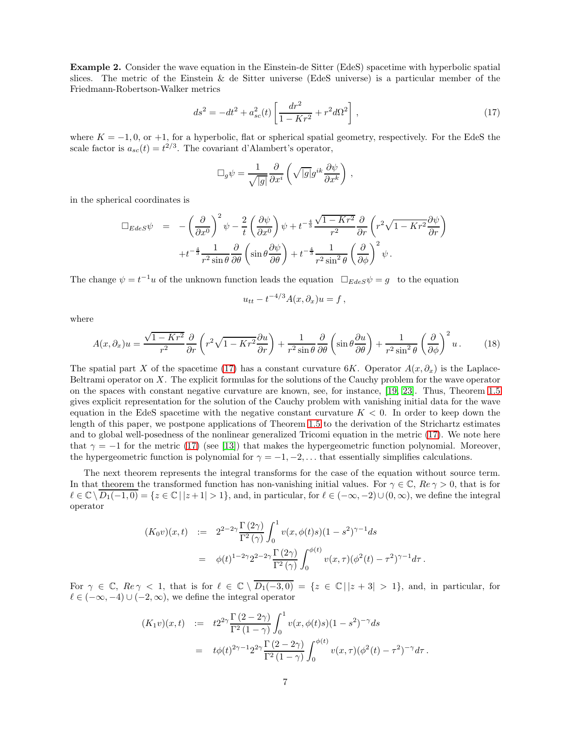Example 2. Consider the wave equation in the Einstein-de Sitter (EdeS) spacetime with hyperbolic spatial slices. The metric of the Einstein & de Sitter universe (EdeS universe) is a particular member of the Friedmann-Robertson-Walker metrics

<span id="page-6-0"></span>
$$
ds^{2} = -dt^{2} + a_{sc}^{2}(t) \left[ \frac{dr^{2}}{1 - Kr^{2}} + r^{2} d\Omega^{2} \right],
$$
\n(17)

where  $K = -1, 0$ , or +1, for a hyperbolic, flat or spherical spatial geometry, respectively. For the EdeS the scale factor is  $a_{sc}(t) = t^{2/3}$ . The covariant d'Alambert's operator,

$$
\Box_g \psi = \frac{1}{\sqrt{|g|}} \frac{\partial}{\partial x^i} \left( \sqrt{|g|} g^{ik} \frac{\partial \psi}{\partial x^k} \right) ,
$$

in the spherical coordinates is

$$
\Box_{Edes} \psi = -\left(\frac{\partial}{\partial x^0}\right)^2 \psi - \frac{2}{t} \left(\frac{\partial \psi}{\partial x^0}\right) \psi + t^{-\frac{4}{3}} \frac{\sqrt{1 - Kr^2}}{r^2} \frac{\partial}{\partial r} \left(r^2 \sqrt{1 - Kr^2} \frac{\partial \psi}{\partial r}\right) + t^{-\frac{4}{3}} \frac{1}{r^2 \sin \theta} \frac{\partial}{\partial \theta} \left(\sin \theta \frac{\partial \psi}{\partial \theta}\right) + t^{-\frac{4}{3}} \frac{1}{r^2 \sin^2 \theta} \left(\frac{\partial}{\partial \phi}\right)^2 \psi.
$$

The change  $\psi = t^{-1}u$  of the unknown function leads the equation  $\Box_{EdeS}\psi = g$  to the equation

$$
u_{tt} - t^{-4/3} A(x, \partial_x) u = f,
$$

where

$$
A(x,\partial_x)u = \frac{\sqrt{1 - Kr^2}}{r^2} \frac{\partial}{\partial r} \left( r^2 \sqrt{1 - Kr^2} \frac{\partial u}{\partial r} \right) + \frac{1}{r^2 \sin \theta} \frac{\partial}{\partial \theta} \left( \sin \theta \frac{\partial u}{\partial \theta} \right) + \frac{1}{r^2 \sin^2 \theta} \left( \frac{\partial}{\partial \phi} \right)^2 u. \tag{18}
$$

The spatial part X of the spacetime [\(17\)](#page-6-0) has a constant curvature 6K. Operator  $A(x, \partial_x)$  is the Laplace-Beltrami operator on  $X$ . The explicit formulas for the solutions of the Cauchy problem for the wave operator on the spaces with constant negative curvature are known, see, for instance, [\[19,](#page-38-2) [23\]](#page-38-3). Thus, Theorem [1.5](#page-4-2) gives explicit representation for the solution of the Cauchy problem with vanishing initial data for the wave equation in the EdeS spacetime with the negative constant curvature  $K < 0$ . In order to keep down the length of this paper, we postpone applications of Theorem [1.5](#page-4-2) to the derivation of the Strichartz estimates and to global well-posedness of the nonlinear generalized Tricomi equation in the metric [\(17\)](#page-6-0). We note here that  $\gamma = -1$  for the metric [\(17\)](#page-6-0) (see [\[13\]](#page-38-0)) that makes the hypergeometric function polynomial. Moreover, the hypergeometric function is polynomial for  $\gamma = -1, -2, \ldots$  that essentially simplifies calculations.

The next theorem represents the integral transforms for the case of the equation without source term. In that theorem the transformed function has non-vanishing initial values. For  $\gamma \in \mathbb{C}$ ,  $Re \gamma > 0$ , that is for  $\ell \in \mathbb{C} \setminus \overline{D_1(-1,0)} = \{z \in \mathbb{C} \mid |z+1| > 1\}$ , and, in particular, for  $\ell \in (-\infty, -2) \cup (0, \infty)$ , we define the integral operator

$$
(K_0 v)(x,t) := 2^{2-2\gamma} \frac{\Gamma(2\gamma)}{\Gamma^2(\gamma)} \int_0^1 v(x,\phi(t)s)(1-s^2)^{\gamma-1} ds
$$
  
=  $\phi(t)^{1-2\gamma} 2^{2-2\gamma} \frac{\Gamma(2\gamma)}{\Gamma^2(\gamma)} \int_0^{\phi(t)} v(x,\tau) (\phi^2(t) - \tau^2)^{\gamma-1} d\tau.$ 

For  $\gamma \in \mathbb{C}$ ,  $Re \gamma < 1$ , that is for  $\ell \in \mathbb{C} \setminus \overline{D_1(-3,0)} = \{z \in \mathbb{C} \mid |z+3| > 1\}$ , and, in particular, for  $\ell \in (-\infty, -4) \cup (-2, \infty)$ , we define the integral operator

$$
(K_1 v)(x,t) := t2^{2\gamma} \frac{\Gamma(2-2\gamma)}{\Gamma^2(1-\gamma)} \int_0^1 v(x,\phi(t)s)(1-s^2)^{-\gamma} ds
$$
  
=  $t\phi(t)^{2\gamma-1} 2^{2\gamma} \frac{\Gamma(2-2\gamma)}{\Gamma^2(1-\gamma)} \int_0^{\phi(t)} v(x,\tau)(\phi^2(t)-\tau^2)^{-\gamma} d\tau.$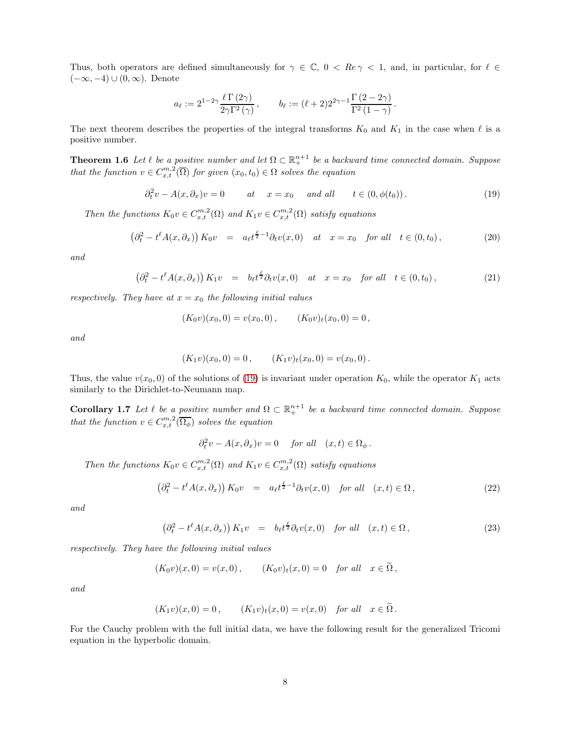Thus, both operators are defined simultaneously for  $\gamma \in \mathbb{C}$ ,  $0 < Re \gamma < 1$ , and, in particular, for  $\ell \in \mathbb{C}$  $(-\infty, -4) \cup (0, \infty)$ . Denote

$$
a_{\ell} := 2^{1-2\gamma} \frac{\ell \Gamma(2\gamma)}{2\gamma \Gamma^2(\gamma)}, \qquad b_{\ell} := (\ell+2) 2^{2\gamma-1} \frac{\Gamma(2-2\gamma)}{\Gamma^2(1-\gamma)}.
$$

<span id="page-7-1"></span>The next theorem describes the properties of the integral transforms  $K_0$  and  $K_1$  in the case when  $\ell$  is a positive number.

**Theorem 1.6** Let  $\ell$  be a positive number and let  $\Omega \subset \mathbb{R}^{n+1}$  be a backward time connected domain. Suppose that the function  $v \in C_{x,t}^{m,2}(\overline{\Omega})$  for given  $(x_0,t_0) \in \Omega$  solves the equation

<span id="page-7-0"></span> $\partial_t^2 v - A(x, \partial_x) v = 0$  at  $x = x_0$  and all  $t \in (0, \phi(t_0))$ . (19)

Then the functions  $K_0 v \in C_{x,t}^{m,2}(\Omega)$  and  $K_1 v \in C_{x,t}^{m,2}(\Omega)$  satisfy equations

$$
\left(\partial_t^2 - t^\ell A(x, \partial_x)\right) K_0 v = a_\ell t^{\frac{\ell}{2}-1} \partial_t v(x, 0) \quad at \quad x = x_0 \quad \text{for all} \quad t \in (0, t_0), \tag{20}
$$

and

$$
\left(\partial_t^2 - t^\ell A(x,\partial_x)\right) K_1 v = b_\ell t^{\frac{\ell}{2}} \partial_t v(x,0) \quad at \quad x = x_0 \quad \text{for all} \quad t \in (0,t_0),\tag{21}
$$

respectively. They have at  $x = x_0$  the following initial values

$$
(K_0v)(x_0,0) = v(x_0,0), \qquad (K_0v)_t(x_0,0) = 0,
$$

and

$$
(K_1v)(x_0,0) = 0, \qquad (K_1v)_t(x_0,0) = v(x_0,0).
$$

Thus, the value  $v(x_0, 0)$  of the solutions of [\(19\)](#page-7-0) is invariant under operation  $K_0$ , while the operator  $K_1$  acts similarly to the Dirichlet-to-Neumann map.

**Corollary 1.7** Let  $\ell$  be a positive number and  $\Omega \subset \mathbb{R}^{n+1}$  be a backward time connected domain. Suppose that the function  $v \in C_{x,t}^{m,2}(\overline{\Omega_{\phi}})$  solves the equation

$$
\partial_t^2 v - A(x, \partial_x) v = 0 \quad \text{for all} \quad (x, t) \in \Omega_\phi \, .
$$

Then the functions  $K_0 v \in C_{x,t}^{m,2}(\Omega)$  and  $K_1 v \in C_{x,t}^{m,2}(\Omega)$  satisfy equations

$$
\left(\partial_t^2 - t^\ell A(x, \partial_x)\right) K_0 v = a_\ell t^{\frac{\ell}{2}-1} \partial_t v(x, 0) \quad \text{for all} \quad (x, t) \in \Omega \,,\tag{22}
$$

and

$$
\left(\partial_t^2 - t^\ell A(x, \partial_x)\right) K_1 v = b_\ell t^{\frac{\ell}{2}} \partial_t v(x, 0) \quad \text{for all} \quad (x, t) \in \Omega \,,\tag{23}
$$

respectively. They have the following initial values

$$
(K_0 v)(x, 0) = v(x, 0), \qquad (K_0 v)_t(x, 0) = 0 \quad \text{for all} \quad x \in \Omega,
$$

and

$$
(K_1v)(x,0) = 0, \qquad (K_1v)_t(x,0) = v(x,0) \quad \text{for all} \quad x \in \widetilde{\Omega}.
$$

For the Cauchy problem with the full initial data, we have the following result for the generalized Tricomi equation in the hyperbolic domain.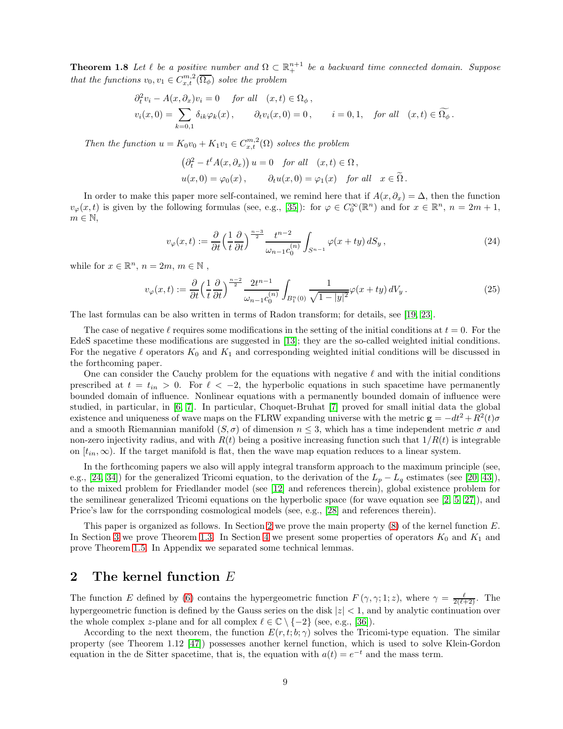**Theorem 1.8** Let  $\ell$  be a positive number and  $\Omega \subset \mathbb{R}^{n+1}$  be a backward time connected domain. Suppose that the functions  $v_0, v_1 \in C_{x,t}^{m,2}(\overline{\Omega_{\phi}})$  solve the problem

$$
\partial_t^2 v_i - A(x, \partial_x) v_i = 0 \quad \text{for all} \quad (x, t) \in \Omega_\phi,
$$
  

$$
v_i(x, 0) = \sum_{k=0,1} \delta_{ik} \varphi_k(x), \qquad \partial_t v_i(x, 0) = 0, \qquad i = 0, 1, \quad \text{for all} \quad (x, t) \in \widetilde{\Omega_\phi}.
$$

Then the function  $u = K_0v_0 + K_1v_1 \in C_{x,t}^{m,2}(\Omega)$  solves the problem

$$
\left(\partial_t^2 - t^{\ell} A(x, \partial_x)\right) u = 0 \quad \text{for all} \quad (x, t) \in \Omega,
$$
  

$$
u(x, 0) = \varphi_0(x), \qquad \partial_t u(x, 0) = \varphi_1(x) \quad \text{for all} \quad x \in \tilde{\Omega}.
$$

In order to make this paper more self-contained, we remind here that if  $A(x, \partial_x) = \Delta$ , then the function  $v_{\varphi}(x,t)$  is given by the following formulas (see, e.g., [\[35\]](#page-39-2)): for  $\varphi \in C_0^{\infty}(\mathbb{R}^n)$  and for  $x \in \mathbb{R}^n$ ,  $n = 2m + 1$ ,  $m \in \mathbb{N}$ ,

<span id="page-8-2"></span>
$$
v_{\varphi}(x,t) := \frac{\partial}{\partial t} \left(\frac{1}{t} \frac{\partial}{\partial t}\right)^{\frac{n-3}{2}} \frac{t^{n-2}}{\omega_{n-1} c_0^{(n)}} \int_{S^{n-1}} \varphi(x+ty) \, dS_y \,,\tag{24}
$$

while for  $x \in \mathbb{R}^n$ ,  $n = 2m$ ,  $m \in \mathbb{N}$ ,

<span id="page-8-3"></span>
$$
v_{\varphi}(x,t) := \frac{\partial}{\partial t} \left(\frac{1}{t} \frac{\partial}{\partial t}\right)^{\frac{n-2}{2}} \frac{2t^{n-1}}{\omega_{n-1} c_0^{(n)}} \int_{B_1^n(0)} \frac{1}{\sqrt{1-|y|^2}} \varphi(x+ty) \, dV_y \,. \tag{25}
$$

The last formulas can be also written in terms of Radon transform; for details, see [\[19,](#page-38-2) [23\]](#page-38-3).

The case of negative  $\ell$  requires some modifications in the setting of the initial conditions at  $t = 0$ . For the EdeS spacetime these modifications are suggested in [\[13\]](#page-38-0); they are the so-called weighted initial conditions. For the negative  $\ell$  operators  $K_0$  and  $K_1$  and corresponding weighted initial conditions will be discussed in the forthcoming paper.

One can consider the Cauchy problem for the equations with negative  $\ell$  and with the initial conditions prescribed at  $t = t_{in} > 0$ . For  $\ell < -2$ , the hyperbolic equations in such spacetime have permanently bounded domain of influence. Nonlinear equations with a permanently bounded domain of influence were studied, in particular, in [\[6,](#page-37-3) [7\]](#page-37-4). In particular, Choquet-Bruhat [\[7\]](#page-37-4) proved for small initial data the global existence and uniqueness of wave maps on the FLRW expanding universe with the metric  $\mathbf{g} = -dt^2 + R^2(t)\sigma$ and a smooth Riemannian manifold  $(S, \sigma)$  of dimension  $n \leq 3$ , which has a time independent metric  $\sigma$  and non-zero injectivity radius, and with  $R(t)$  being a positive increasing function such that  $1/R(t)$  is integrable on  $[t_{in}, \infty)$ . If the target manifold is flat, then the wave map equation reduces to a linear system.

In the forthcoming papers we also will apply integral transform approach to the maximum principle (see, e.g., [\[24,](#page-38-10) [34\]](#page-39-13)) for the generalized Tricomi equation, to the derivation of the  $L_p - L_q$  estimates (see [\[20,](#page-38-8) [43\]](#page-39-14)), to the mixed problem for Friedlander model (see [\[12\]](#page-38-17) and references therein), global existence problem for the semilinear generalized Tricomi equations on the hyperbolic space (for wave equation see [\[2,](#page-37-5) [5,](#page-37-6) [27\]](#page-38-18)), and Price's law for the corrsponding cosmological models (see, e.g., [\[28\]](#page-38-19) and references therein).

This paper is organized as follows. In Section [2](#page-8-1) we prove the main property  $(8)$  of the kernel function E. In Section [3](#page-15-0) we prove Theorem [1.3.](#page-3-0) In Section [4](#page-29-0) we present some properties of operators  $K_0$  and  $K_1$  and prove Theorem [1.5.](#page-4-2) In Appendix we separated some technical lemmas.

#### <span id="page-8-1"></span>2 The kernel function E

The function E defined by [\(6\)](#page-2-1) contains the hypergeometric function  $F(\gamma, \gamma; 1; z)$ , where  $\gamma = \frac{\ell}{2(\ell+2)}$ . The hypergeometric function is defined by the Gauss series on the disk  $|z| < 1$ , and by analytic continuation over the whole complex z-plane and for all complex  $\ell \in \mathbb{C} \setminus \{-2\}$  (see, e.g., [\[36\]](#page-39-15)).

<span id="page-8-0"></span>According to the next theorem, the function  $E(r, t; b; \gamma)$  solves the Tricomi-type equation. The similar property (see Theorem 1.12 [\[47\]](#page-39-4)) possesses another kernel function, which is used to solve Klein-Gordon equation in the de Sitter spacetime, that is, the equation with  $a(t) = e^{-t}$  and the mass term.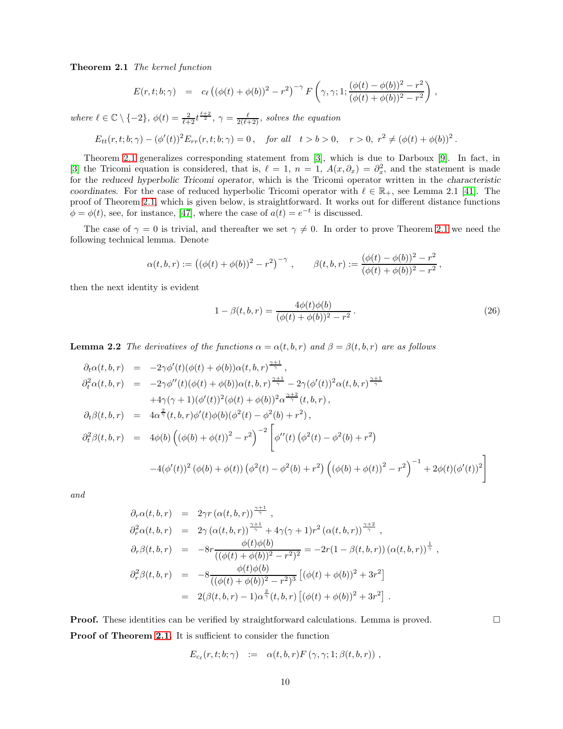Theorem 2.1 The kernel function

$$
E(r, t; b; \gamma) = c_{\ell} ((\phi(t) + \phi(b))^2 - r^2)^{-\gamma} F(\gamma, \gamma; 1; \frac{(\phi(t) - \phi(b))^2 - r^2}{(\phi(t) + \phi(b))^2 - r^2}),
$$

where  $\ell \in \mathbb{C} \setminus \{-2\}, \phi(t) = \frac{2}{\ell+2} t^{\frac{\ell+2}{2}}, \gamma = \frac{\ell}{2(\ell+2)},$  solves the equation

$$
E_{tt}(r,t;b;\gamma) - (\phi'(t))^2 E_{rr}(r,t;b;\gamma) = 0, \quad \text{for all} \quad t > b > 0, \quad r > 0, \ r^2 \neq (\phi(t) + \phi(b))^2.
$$

Theorem [2.1](#page-8-0) generalizes corresponding statement from [\[3\]](#page-37-0), which is due to Darboux [\[9\]](#page-38-20). In fact, in [\[3\]](#page-37-0) the Tricomi equation is considered, that is,  $\ell = 1, n = 1, A(x, \partial_x) = \partial_x^2$ , and the statement is made for the reduced hyperbolic Tricomi operator, which is the Tricomi operator written in the characteristic coordinates. For the case of reduced hyperbolic Tricomi operator with  $\ell \in \mathbb{R}_+$ , see Lemma 2.1 [\[41\]](#page-39-0). The proof of Theorem [2.1,](#page-8-0) which is given below, is straightforward. It works out for different distance functions  $\phi = \phi(t)$ , see, for instance, [\[47\]](#page-39-4), where the case of  $a(t) = e^{-t}$  is discussed.

The case of  $\gamma = 0$  is trivial, and thereafter we set  $\gamma \neq 0$ . In order to prove Theorem [2.1](#page-8-0) we need the following technical lemma. Denote

$$
\alpha(t, b, r) := ((\phi(t) + \phi(b))^2 - r^2)^{-\gamma}, \qquad \beta(t, b, r) := \frac{(\phi(t) - \phi(b))^2 - r^2}{(\phi(t) + \phi(b))^2 - r^2},
$$

then the next identity is evident

<span id="page-9-1"></span>
$$
1 - \beta(t, b, r) = \frac{4\phi(t)\phi(b)}{(\phi(t) + \phi(b))^2 - r^2}.
$$
\n(26)

<span id="page-9-0"></span>**Lemma 2.2** The derivatives of the functions  $\alpha = \alpha(t, b, r)$  and  $\beta = \beta(t, b, r)$  are as follows

$$
\partial_t \alpha(t, b, r) = -2\gamma \phi'(t)(\phi(t) + \phi(b))\alpha(t, b, r)^{\frac{\gamma+1}{\gamma}},
$$
  
\n
$$
\partial_t^2 \alpha(t, b, r) = -2\gamma \phi''(t)(\phi(t) + \phi(b))\alpha(t, b, r)^{\frac{\gamma+1}{\gamma}} - 2\gamma(\phi'(t))^2 \alpha(t, b, r)^{\frac{\gamma+1}{\gamma}}
$$
  
\n
$$
+4\gamma(\gamma+1)(\phi'(t))^2(\phi(t) + \phi(b))^2 \alpha^{\frac{\gamma+2}{\gamma}}(t, b, r),
$$
  
\n
$$
\partial_t \beta(t, b, r) = 4\alpha^{\frac{2}{\gamma}}(t, b, r)\phi'(t)\phi(b)(\phi^2(t) - \phi^2(b) + r^2),
$$
  
\n
$$
\partial_t^2 \beta(t, b, r) = 4\phi(b)\left((\phi(b) + \phi(t))^2 - r^2\right)^{-2}\left[\phi''(t)(\phi^2(t) - \phi^2(b) + r^2)\right]
$$
  
\n
$$
-4(\phi'(t))^2(\phi(b) + \phi(t))(\phi^2(t) - \phi^2(b) + r^2)\left((\phi(b) + \phi(t))^2 - r^2\right)^{-1} + 2\phi(t)(\phi'(t))^2\right]
$$

and

$$
\partial_r \alpha(t, b, r) = 2\gamma r (\alpha(t, b, r))^{\frac{\gamma+1}{\gamma}},
$$
  
\n
$$
\partial_r^2 \alpha(t, b, r) = 2\gamma (\alpha(t, b, r))^{\frac{\gamma+1}{\gamma}} + 4\gamma(\gamma + 1)r^2 (\alpha(t, b, r))^{\frac{\gamma+2}{\gamma}},
$$
  
\n
$$
\partial_r \beta(t, b, r) = -8r \frac{\phi(t)\phi(b)}{((\phi(t) + \phi(b))^2 - r^2)^2} = -2r(1 - \beta(t, b, r)) (\alpha(t, b, r))^{\frac{1}{\gamma}},
$$
  
\n
$$
\partial_r^2 \beta(t, b, r) = -8 \frac{\phi(t)\phi(b)}{((\phi(t) + \phi(b))^2 - r^2)^3} [(\phi(t) + \phi(b))^2 + 3r^2]
$$
  
\n
$$
= 2(\beta(t, b, r) - 1)\alpha^{\frac{2}{\gamma}}(t, b, r) [(\phi(t) + \phi(b))^2 + 3r^2].
$$

**Proof.** These identities can be verified by straightforward calculations. Lemma is proved. Proof of Theorem [2.1.](#page-8-0) It is sufficient to consider the function

$$
E_{c_{\ell}}(r,t;b;\gamma) \quad := \quad \alpha(t,b,r)F(\gamma,\gamma;1;\beta(t,b,r)) \ ,
$$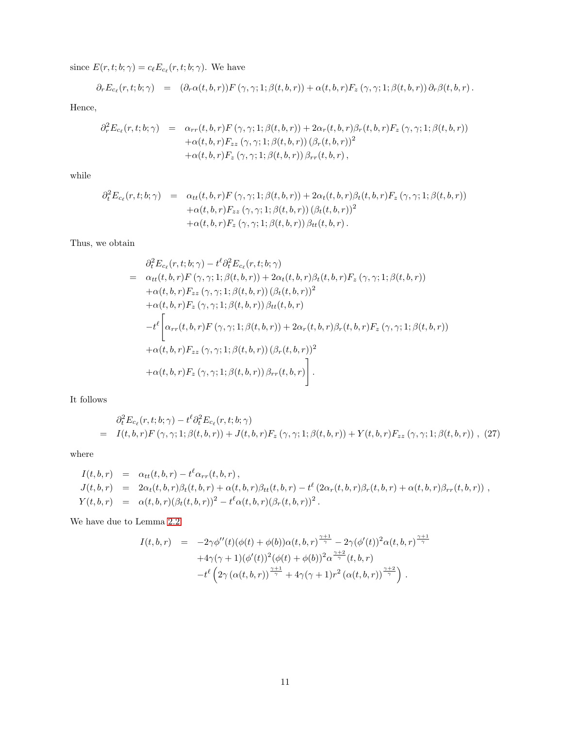since  $E(r, t; b; \gamma) = c_{\ell} E_{c_{\ell}}(r, t; b; \gamma)$ . We have

$$
\partial_r E_{c_\ell}(r,t;b;\gamma) = (\partial_r \alpha(t,b,r)) F(\gamma,\gamma;1;\beta(t,b,r)) + \alpha(t,b,r) F_z(\gamma,\gamma;1;\beta(t,b,r)) \partial_r \beta(t,b,r).
$$

Hence,

$$
\partial_r^2 E_{c_\ell}(r,t;b;\gamma) = \alpha_{rr}(t,b,r) F(\gamma,\gamma;1;\beta(t,b,r)) + 2\alpha_r(t,b,r)\beta_r(t,b,r)F_z(\gamma,\gamma;1;\beta(t,b,r)) \n+ \alpha(t,b,r)F_{zz}(\gamma,\gamma;1;\beta(t,b,r)) (\beta_r(t,b,r))^2 \n+ \alpha(t,b,r)F_z(\gamma,\gamma;1;\beta(t,b,r)) \beta_{rr}(t,b,r),
$$

while

$$
\partial_t^2 E_{c_\ell}(r,t;b;\gamma) = \alpha_{tt}(t,b,r) F(\gamma,\gamma;1;\beta(t,b,r)) + 2\alpha_t(t,b,r)\beta_t(t,b,r)F_z(\gamma,\gamma;1;\beta(t,b,r)) \n+ \alpha(t,b,r)F_{zz}(\gamma,\gamma;1;\beta(t,b,r)) (\beta_t(t,b,r))^2 \n+ \alpha(t,b,r)F_z(\gamma,\gamma;1;\beta(t,b,r)) \beta_{tt}(t,b,r).
$$

Thus, we obtain

$$
\partial_t^2 E_{c_\ell}(r, t; b; \gamma) - t^\ell \partial_t^2 E_{c_\ell}(r, t; b; \gamma)
$$
\n
$$
= \alpha_{tt}(t, b, r) F(\gamma, \gamma; 1; \beta(t, b, r)) + 2\alpha_t(t, b, r) \beta_t(t, b, r) F_z(\gamma, \gamma; 1; \beta(t, b, r))
$$
\n
$$
+ \alpha(t, b, r) F_{zz}(\gamma, \gamma; 1; \beta(t, b, r)) (\beta_t(t, b, r))^2
$$
\n
$$
+ \alpha(t, b, r) F_z(\gamma, \gamma; 1; \beta(t, b, r)) \beta_{tt}(t, b, r)
$$
\n
$$
- t^\ell \left[ \alpha_{rr}(t, b, r) F(\gamma, \gamma; 1; \beta(t, b, r)) + 2\alpha_r(t, b, r) \beta_r(t, b, r) F_z(\gamma, \gamma; 1; \beta(t, b, r)) \right.
$$
\n
$$
+ \alpha(t, b, r) F_{zz}(\gamma, \gamma; 1; \beta(t, b, r)) (\beta_r(t, b, r))^2
$$
\n
$$
+ \alpha(t, b, r) F_z(\gamma, \gamma; 1; \beta(t, b, r)) \beta_{rr}(t, b, r) \right].
$$

It follows

<span id="page-10-0"></span>
$$
\partial_t^2 E_{c_\ell}(r,t;b;\gamma) - t^\ell \partial_t^2 E_{c_\ell}(r,t;b;\gamma) \n= I(t,b,r)F(\gamma,\gamma;1;\beta(t,b,r)) + J(t,b,r)F_z(\gamma,\gamma;1;\beta(t,b,r)) + Y(t,b,r)F_{zz}(\gamma,\gamma;1;\beta(t,b,r)) ,
$$
 (27)

where

$$
I(t, b, r) = \alpha_{tt}(t, b, r) - t^{\ell} \alpha_{rr}(t, b, r),
$$
  
\n
$$
J(t, b, r) = 2\alpha_t(t, b, r) \beta_t(t, b, r) + \alpha(t, b, r) \beta_{tt}(t, b, r) - t^{\ell} (2\alpha_r(t, b, r) \beta_r(t, b, r) + \alpha(t, b, r) \beta_{rr}(t, b, r)),
$$
  
\n
$$
Y(t, b, r) = \alpha(t, b, r) (\beta_t(t, b, r))^2 - t^{\ell} \alpha(t, b, r) (\beta_r(t, b, r))^2.
$$

We have due to Lemma [2.2](#page-9-0)

$$
I(t,b,r) = -2\gamma\phi''(t)(\phi(t) + \phi(b))\alpha(t,b,r)^{\frac{\gamma+1}{\gamma}} - 2\gamma(\phi'(t))^2\alpha(t,b,r)^{\frac{\gamma+1}{\gamma}} + 4\gamma(\gamma+1)(\phi'(t))^2(\phi(t) + \phi(b))^2\alpha^{\frac{\gamma+2}{\gamma}}(t,b,r) - t^{\ell} \left(2\gamma(\alpha(t,b,r))^{\frac{\gamma+1}{\gamma}} + 4\gamma(\gamma+1)r^2(\alpha(t,b,r))^{\frac{\gamma+2}{\gamma}}\right).
$$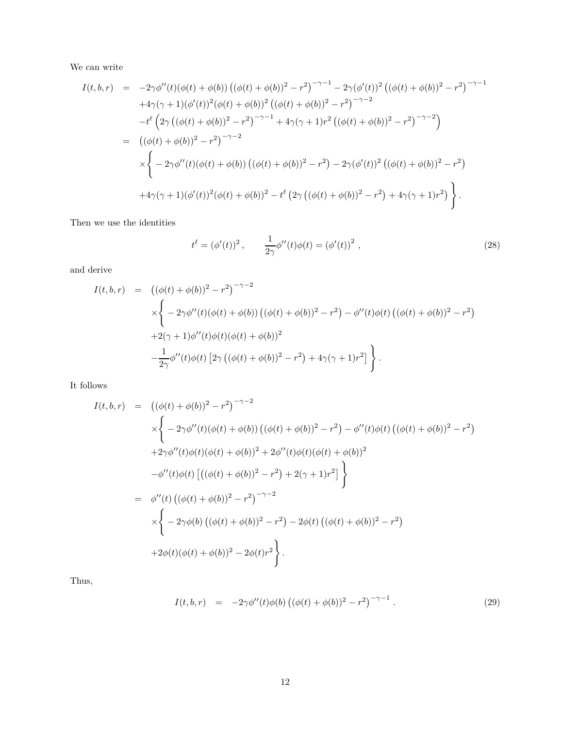We can write

$$
I(t,b,r) = -2\gamma\phi''(t)(\phi(t) + \phi(b)) ((\phi(t) + \phi(b))^2 - r^2)^{-\gamma-1} - 2\gamma(\phi'(t))^2 ((\phi(t) + \phi(b))^2 - r^2)^{-\gamma-1}
$$
  
\n
$$
+4\gamma(\gamma+1)(\phi'(t))^2(\phi(t) + \phi(b))^2 ((\phi(t) + \phi(b))^2 - r^2)^{-\gamma-2}
$$
  
\n
$$
-t^{\ell} (2\gamma ((\phi(t) + \phi(b))^2 - r^2)^{-\gamma-1} + 4\gamma(\gamma+1)r^2 ((\phi(t) + \phi(b))^2 - r^2)^{-\gamma-2})
$$
  
\n
$$
= ((\phi(t) + \phi(b))^2 - r^2)^{-\gamma-2}
$$
  
\n
$$
\times \left\{ -2\gamma\phi''(t)(\phi(t) + \phi(b)) ((\phi(t) + \phi(b))^2 - r^2) - 2\gamma(\phi'(t))^2 ((\phi(t) + \phi(b))^2 - r^2) + 4\gamma(\gamma+1)(\phi'(t))^2 (\phi(t) + \phi(b))^2 - t^{\ell} (2\gamma ((\phi(t) + \phi(b))^2 - r^2) + 4\gamma(\gamma+1)r^2) \right\}.
$$

Then we use the identities

<span id="page-11-0"></span>
$$
t^{\ell} = (\phi'(t))^{2}, \qquad \frac{1}{2\gamma}\phi''(t)\phi(t) = (\phi'(t))^{2}, \qquad (28)
$$

and derive

$$
I(t,b,r) = ((\phi(t) + \phi(b))^2 - r^2)^{-\gamma - 2}
$$
  
\n
$$
\times \left\{ -2\gamma \phi''(t)(\phi(t) + \phi(b)) ((\phi(t) + \phi(b))^2 - r^2) - \phi''(t)\phi(t) ((\phi(t) + \phi(b))^2 - r^2) \right\}
$$
  
\n
$$
+2(\gamma + 1)\phi''(t)\phi(t)(\phi(t) + \phi(b))^2
$$
  
\n
$$
-\frac{1}{2\gamma}\phi''(t)\phi(t) [2\gamma ((\phi(t) + \phi(b))^2 - r^2) + 4\gamma(\gamma + 1)r^2] \right\}.
$$

It follows

$$
I(t,b,r) = ((\phi(t) + \phi(b))^2 - r^2)^{-\gamma - 2}
$$
  
\n
$$
\times \left\{ -2\gamma \phi''(t)(\phi(t) + \phi(b)) ((\phi(t) + \phi(b))^2 - r^2) - \phi''(t)\phi(t) ((\phi(t) + \phi(b))^2 - r^2) \right\}
$$
  
\n
$$
+2\gamma \phi''(t)\phi(t)(\phi(t) + \phi(b))^2 + 2\phi''(t)\phi(t)(\phi(t) + \phi(b))^2
$$
  
\n
$$
-\phi''(t)\phi(t) [((\phi(t) + \phi(b))^2 - r^2) + 2(\gamma + 1)r^2] \right\}
$$
  
\n
$$
= \phi''(t) ((\phi(t) + \phi(b))^2 - r^2)^{-\gamma - 2}
$$
  
\n
$$
\times \left\{ -2\gamma \phi(b) ((\phi(t) + \phi(b))^2 - r^2) - 2\phi(t) ((\phi(t) + \phi(b))^2 - r^2) + 2\phi(t)(\phi(t) + \phi(b))^2 - 2\phi(t)r^2 \right\}.
$$

Thus,

<span id="page-11-1"></span>
$$
I(t, b, r) = -2\gamma \phi''(t)\phi(b) ((\phi(t) + \phi(b))^2 - r^2)^{-\gamma - 1}.
$$
 (29)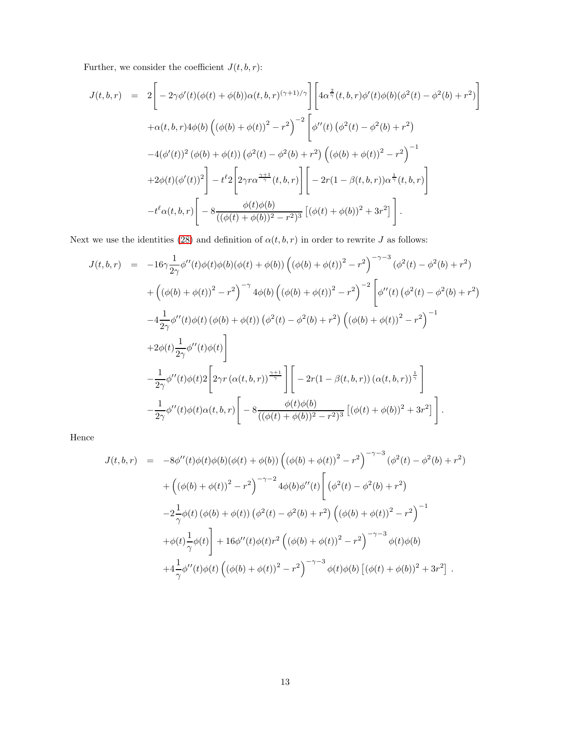Further, we consider the coefficient  $J(t,b,r)\mathpunct:$ 

$$
J(t,b,r) = 2\left[-2\gamma\phi'(t)(\phi(t) + \phi(b))\alpha(t,b,r)^{(\gamma+1)/\gamma}\right]\left[4\alpha^{\frac{2}{\gamma}}(t,b,r)\phi'(t)\phi(b)(\phi^{2}(t) - \phi^{2}(b) + r^{2})\right] + \alpha(t,b,r)4\phi(b)\left((\phi(b) + \phi(t))^{2} - r^{2}\right)^{-2}\left[\phi''(t)(\phi^{2}(t) - \phi^{2}(b) + r^{2})\right] -4(\phi'(t))^{2}(\phi(b) + \phi(t))(\phi^{2}(t) - \phi^{2}(b) + r^{2})\left((\phi(b) + \phi(t))^{2} - r^{2}\right)^{-1} +2\phi(t)(\phi'(t))^{2}\right] - t^{2}2\left[2\gamma r\alpha^{\frac{\gamma+1}{\gamma}}(t,b,r)\right]\left[-2r(1-\beta(t,b,r))\alpha^{\frac{1}{\gamma}}(t,b,r)\right] -t^{\ell}\alpha(t,b,r)\left[-8\frac{\phi(t)\phi(b)}{((\phi(t) + \phi(b))^{2} - r^{2})^{3}}\left[(\phi(t) + \phi(b))^{2} + 3r^{2}\right]\right].
$$

Next we use the identities [\(28\)](#page-11-0) and definition of  $\alpha(t, b, r)$  in order to rewrite  $J$  as follows:

$$
J(t,b,r) = -16\gamma \frac{1}{2\gamma} \phi''(t) \phi(t) \phi(b) (\phi(t) + \phi(b)) (\phi(b) + \phi(t))^2 - r^2)^{-\gamma-3} (\phi^2(t) - \phi^2(b) + r^2) + ((\phi(b) + \phi(t))^2 - r^2)^{-\gamma} 4\phi(b) ((\phi(b) + \phi(t))^2 - r^2)^{-2} \Big[ \phi''(t) (\phi^2(t) - \phi^2(b) + r^2) -4 \frac{1}{2\gamma} \phi''(t) \phi(t) (\phi(b) + \phi(t)) (\phi^2(t) - \phi^2(b) + r^2) ((\phi(b) + \phi(t))^2 - r^2)^{-1} +2\phi(t) \frac{1}{2\gamma} \phi''(t) \phi(t) \Big] - \frac{1}{2\gamma} \phi''(t) \phi(t) 2 \Big[ 2\gamma r (\alpha(t,b,r))^{\frac{\gamma+1}{\gamma}} \Big] \Big[ -2r(1 - \beta(t,b,r)) (\alpha(t,b,r))^{\frac{1}{\gamma}} \Big] - \frac{1}{2\gamma} \phi''(t) \phi(t) \alpha(t,b,r) \Big[ -8 \frac{\phi(t)\phi(b)}{((\phi(t) + \phi(b))^2 - r^2)^3} [(\phi(t) + \phi(b))^2 + 3r^2] \Big].
$$

Hence

$$
J(t,b,r) = -8\phi''(t)\phi(t)\phi(b)(\phi(t) + \phi(b))\left((\phi(b) + \phi(t))^2 - r^2\right)^{-\gamma-3}(\phi^2(t) - \phi^2(b) + r^2) + \left((\phi(b) + \phi(t))^2 - r^2\right)^{-\gamma-2}4\phi(b)\phi''(t)\left[(\phi^2(t) - \phi^2(b) + r^2)\right] -2\frac{1}{\gamma}\phi(t)(\phi(b) + \phi(t))(\phi^2(t) - \phi^2(b) + r^2)\left((\phi(b) + \phi(t))^2 - r^2\right)^{-1} + \phi(t)\frac{1}{\gamma}\phi(t)\right] + 16\phi''(t)\phi(t)r^2\left((\phi(b) + \phi(t))^2 - r^2\right)^{-\gamma-3}\phi(t)\phi(b) +4\frac{1}{\gamma}\phi''(t)\phi(t)\left((\phi(b) + \phi(t))^2 - r^2\right)^{-\gamma-3}\phi(t)\phi(b)\left[(\phi(t) + \phi(b))^2 + 3r^2\right].
$$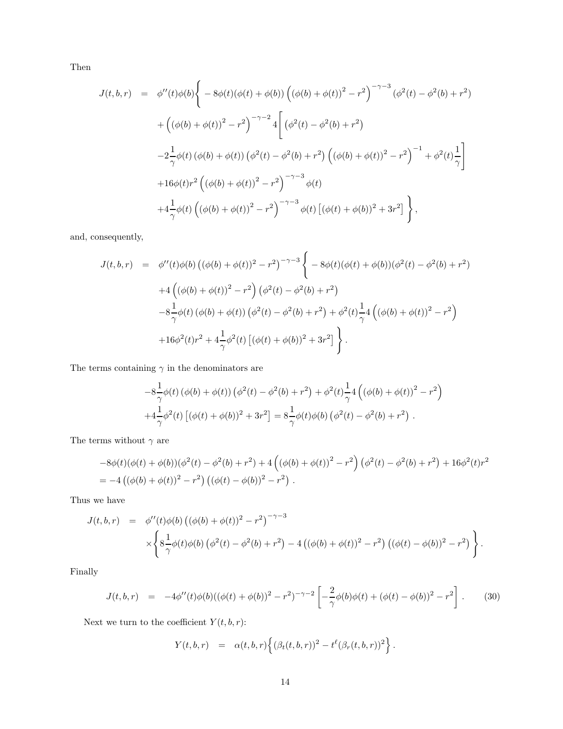Then

$$
J(t,b,r) = \phi''(t)\phi(b)\left\{-8\phi(t)(\phi(t)+\phi(b))\left((\phi(b)+\phi(t))^2 - r^2\right)^{-\gamma-3}(\phi^2(t) - \phi^2(b) + r^2) \right.\newline + \left. \left((\phi(b)+\phi(t))^2 - r^2\right)^{-\gamma-2}4\left[(\phi^2(t) - \phi^2(b) + r^2)\right.\right.\left.-2\frac{1}{\gamma}\phi(t)(\phi(b)+\phi(t))(\phi^2(t) - \phi^2(b) + r^2)\left((\phi(b)+\phi(t))^2 - r^2\right)^{-1} + \phi^2(t)\frac{1}{\gamma}\right] \newline + 16\phi(t)r^2\left((\phi(b)+\phi(t))^2 - r^2\right)^{-\gamma-3}\phi(t) \newline + 4\frac{1}{\gamma}\phi(t)\left((\phi(b)+\phi(t))^2 - r^2\right)^{-\gamma-3}\phi(t)\left[(\phi(t)+\phi(b))^2 + 3r^2\right]\right\},
$$

and, consequently,

$$
J(t,b,r) = \phi''(t)\phi(b) ((\phi(b) + \phi(t))^2 - r^2)^{-\gamma - 3} \left\{ -8\phi(t)(\phi(t) + \phi(b))(\phi^2(t) - \phi^2(b) + r^2) \right.\left. +4\left((\phi(b) + \phi(t))^2 - r^2\right)(\phi^2(t) - \phi^2(b) + r^2) \right.\left. -8\frac{1}{\gamma}\phi(t) (\phi(b) + \phi(t)) (\phi^2(t) - \phi^2(b) + r^2) + \phi^2(t)\frac{1}{\gamma}4\left((\phi(b) + \phi(t))^2 - r^2\right) \right.\left. +16\phi^2(t)r^2 + 4\frac{1}{\gamma}\phi^2(t) [(\phi(t) + \phi(b))^2 + 3r^2] \right\}.
$$

The terms containing  $\gamma$  in the denominators are

$$
-8\frac{1}{\gamma}\phi(t)\left(\phi(b) + \phi(t)\right)\left(\phi^{2}(t) - \phi^{2}(b) + r^{2}\right) + \phi^{2}(t)\frac{1}{\gamma}4\left(\left(\phi(b) + \phi(t)\right)^{2} - r^{2}\right) + 4\frac{1}{\gamma}\phi^{2}(t)\left[\left(\phi(t) + \phi(b)\right)^{2} + 3r^{2}\right] = 8\frac{1}{\gamma}\phi(t)\phi(b)\left(\phi^{2}(t) - \phi^{2}(b) + r^{2}\right).
$$

The terms without  $\gamma$  are

$$
-8\phi(t)(\phi(t) + \phi(b))(\phi^{2}(t) - \phi^{2}(b) + r^{2}) + 4((\phi(b) + \phi(t))^{2} - r^{2})(\phi^{2}(t) - \phi^{2}(b) + r^{2}) + 16\phi^{2}(t)r^{2}
$$
  
= -4((\phi(b) + \phi(t))^{2} - r^{2})(((\phi(t) - \phi(b))^{2} - r^{2}).

Thus we have

$$
J(t,b,r) = \phi''(t)\phi(b) ((\phi(b) + \phi(t))^2 - r^2)^{-\gamma - 3}
$$
  
 
$$
\times \left\{ 8\frac{1}{\gamma}\phi(t)\phi(b) (\phi^2(t) - \phi^2(b) + r^2) - 4 ((\phi(b) + \phi(t))^2 - r^2) ((\phi(t) - \phi(b))^2 - r^2) \right\}.
$$

Finally

<span id="page-13-0"></span>
$$
J(t,b,r) = -4\phi''(t)\phi(b)((\phi(t) + \phi(b))^2 - r^2)^{-\gamma - 2} \left[ -\frac{2}{\gamma}\phi(b)\phi(t) + (\phi(t) - \phi(b))^2 - r^2 \right].
$$
 (30)

Next we turn to the coefficient  $Y(t,b,r)\text{:}$ 

$$
Y(t, b, r) = \alpha(t, b, r) \left\{ (\beta_t(t, b, r))^2 - t^{\ell} (\beta_r(t, b, r))^2 \right\}.
$$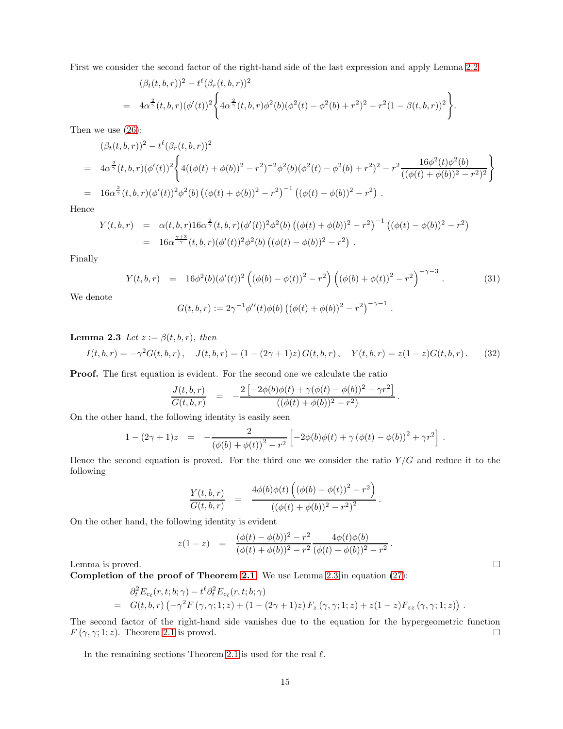First we consider the second factor of the right-hand side of the last expression and apply Lemma [2.2](#page-9-0)

$$
(\beta_t(t,b,r))^2 - t^{\ell}(\beta_r(t,b,r))^2
$$
  
=  $4\alpha^{\frac{2}{\gamma}}(t,b,r)(\phi'(t))^2 \left\{ 4\alpha^{\frac{2}{\gamma}}(t,b,r)\phi^2(b)(\phi^2(t)-\phi^2(b)+r^2)^2 - r^2(1-\beta(t,b,r))^2 \right\}.$ 

Then we use [\(26\)](#page-9-1):

$$
(\beta_t(t,b,r))^2 - t^{\ell}(\beta_r(t,b,r))^2
$$
  
=  $4\alpha^{\frac{2}{\gamma}}(t,b,r)(\phi'(t))^2 \Biggl\{ 4((\phi(t)+\phi(b))^2 - r^2)^{-2}\phi^2(b)(\phi^2(t) - \phi^2(b) + r^2)^2 - r^2 \frac{16\phi^2(t)\phi^2(b)}{((\phi(t)+\phi(b))^2 - r^2)^2} \Biggr\}$   
=  $16\alpha^{\frac{2}{\gamma}}(t,b,r)(\phi'(t))^2\phi^2(b)\left((\phi(t)+\phi(b))^2 - r^2\right)^{-1} \left((\phi(t)-\phi(b))^2 - r^2\right).$ 

Hence

$$
Y(t,b,r) = \alpha(t,b,r)16\alpha^{\frac{2}{\gamma}}(t,b,r)(\phi'(t))^2\phi^2(b)\left((\phi(t)+\phi(b))^2-r^2\right)^{-1}\left((\phi(t)-\phi(b))^2-r^2\right)
$$
  
=  $16\alpha^{\frac{\gamma+3}{\gamma}}(t,b,r)(\phi'(t))^2\phi^2(b)\left((\phi(t)-\phi(b))^2-r^2\right).$ 

Finally

<span id="page-14-1"></span>
$$
Y(t,b,r) = 16\phi^2(b)(\phi'(t))^2 ((\phi(b) - \phi(t))^2 - r^2) ((\phi(b) + \phi(t))^2 - r^2)^{-\gamma - 3}.
$$
 (31)

We denote

$$
G(t, b, r) := 2\gamma^{-1} \phi''(t) \phi(b) ((\phi(t) + \phi(b))^2 - r^2)^{-\gamma - 1}.
$$

<span id="page-14-0"></span>**Lemma 2.3** Let  $z := \beta(t, b, r)$ , then

$$
I(t,b,r) = -\gamma^2 G(t,b,r), \quad J(t,b,r) = (1 - (2\gamma + 1)z) G(t,b,r), \quad Y(t,b,r) = z(1-z)G(t,b,r).
$$
 (32)

Proof. The first equation is evident. For the second one we calculate the ratio

$$
\frac{J(t,b,r)}{G(t,b,r)} \;\; = \;\; -\frac{2\left[-2\phi(b)\phi(t)+\gamma(\phi(t)-\phi(b))^2-\gamma r^2\right]}{((\phi(t)+\phi(b))^2-r^2)}\,.
$$

On the other hand, the following identity is easily seen

$$
1 - (2\gamma + 1)z = -\frac{2}{(\phi(b) + \phi(t))^2 - r^2} \left[ -2\phi(b)\phi(t) + \gamma (\phi(t) - \phi(b))^2 + \gamma r^2 \right].
$$

Hence the second equation is proved. For the third one we consider the ratio  $Y/G$  and reduce it to the following

$$
\frac{Y(t,b,r)}{G(t,b,r)} = \frac{4\phi(b)\phi(t)\left((\phi(b)-\phi(t))^2-r^2\right)}{((\phi(t)+\phi(b))^2-r^2)^2}.
$$

On the other hand, the following identity is evident

$$
z(1-z) = \frac{(\phi(t) - \phi(b))^2 - r^2}{(\phi(t) + \phi(b))^2 - r^2} \frac{4\phi(t)\phi(b)}{(\phi(t) + \phi(b))^2 - r^2}.
$$

Lemma is proved.  $\square$ 

Completion of the proof of Theorem [2.1.](#page-8-0) We use Lemma [2.3](#page-14-0) in equation [\(27\)](#page-10-0):

$$
\partial_t^2 E_{c_\ell}(r,t;b;\gamma) - t^\ell \partial_t^2 E_{c_\ell}(r,t;b;\gamma) \n= G(t,b,r) \left( -\gamma^2 F(\gamma,\gamma;1;z) + (1 - (2\gamma + 1)z) F_z(\gamma,\gamma;1;z) + z(1-z) F_{zz}(\gamma,\gamma;1;z) \right)
$$

The second factor of the right-hand side vanishes due to the equation for the hypergeometric function  $F(\gamma, \gamma; 1; z)$ . Theorem [2.1](#page-8-0) is proved.

In the remaining sections Theorem [2.1](#page-8-0) is used for the real  $\ell$ .

.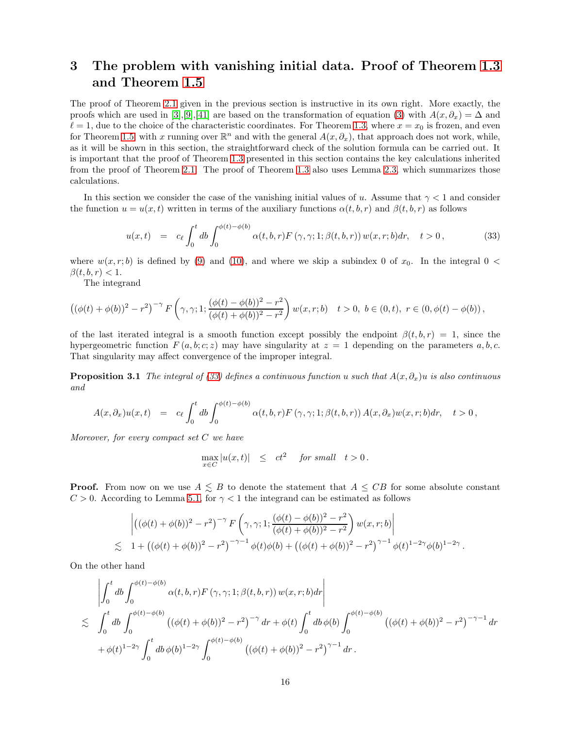## <span id="page-15-0"></span>3 The problem with vanishing initial data. Proof of Theorem [1.3](#page-3-0) and Theorem [1.5](#page-4-2)

The proof of Theorem [2.1](#page-8-0) given in the previous section is instructive in its own right. More exactly, the proofs which are used in [\[3\]](#page-37-0),[\[9\]](#page-38-20),[\[41\]](#page-39-0) are based on the transformation of equation [\(3\)](#page-0-2) with  $A(x, \partial_x) = \Delta$  and  $\ell = 1$ , due to the choice of the characteristic coordinates. For Theorem [1.3,](#page-3-0) where  $x = x_0$  is frozen, and even for Theorem [1.5,](#page-4-2) with x running over  $\mathbb{R}^n$  and with the general  $A(x, \partial_x)$ , that approach does not work, while, as it will be shown in this section, the straightforward check of the solution formula can be carried out. It is important that the proof of Theorem [1.3](#page-3-0) presented in this section contains the key calculations inherited from the proof of Theorem [2.1.](#page-8-0) The proof of Theorem [1.3](#page-3-0) also uses Lemma [2.3,](#page-14-0) which summarizes those calculations.

In this section we consider the case of the vanishing initial values of u. Assume that  $\gamma < 1$  and consider the function  $u = u(x, t)$  written in terms of the auxiliary functions  $\alpha(t, b, r)$  and  $\beta(t, b, r)$  as follows

<span id="page-15-1"></span>
$$
u(x,t) = c_{\ell} \int_0^t db \int_0^{\phi(t) - \phi(b)} \alpha(t,b,r) F(\gamma, \gamma; 1; \beta(t,b,r)) w(x,r;b) dr, \quad t > 0,
$$
\n(33)

where  $w(x, r; b)$  is defined by [\(9\)](#page-4-3) and [\(10\)](#page-4-3), and where we skip a subindex 0 of  $x_0$ . In the integral 0 <  $\beta(t, b, r) < 1.$ 

The integrand

$$
\left((\phi(t)+\phi(b))^2-r^2\right)^{-\gamma}F\left(\gamma,\gamma;1;\frac{(\phi(t)-\phi(b))^2-r^2}{(\phi(t)+\phi(b))^2-r^2}\right)w(x,r;b)\quad t>0,\,\,b\in(0,t),\,\,r\in(0,\phi(t)-\phi(b))\,,
$$

of the last iterated integral is a smooth function except possibly the endpoint  $\beta(t, b, r) = 1$ , since the hypergeometric function  $F(a, b; c; z)$  may have singularity at  $z = 1$  depending on the parameters  $a, b, c$ . That singularity may affect convergence of the improper integral.

**Proposition 3.1** The integral of [\(33\)](#page-15-1) defines a continuous function u such that  $A(x, \partial_x)u$  is also continuous and

$$
A(x,\partial_x)u(x,t) = c_{\ell} \int_0^t db \int_0^{\phi(t)-\phi(b)} \alpha(t,b,r) F(\gamma,\gamma;1;\beta(t,b,r)) A(x,\partial_x)w(x,r;b)dr, \quad t>0,
$$

Moreover, for every compact set  $C$  we have

$$
\max_{x \in C} |u(x,t)| \leq ct^2 \quad \text{for small} \quad t > 0.
$$

**Proof.** From now on we use  $A \leq B$  to denote the statement that  $A \leq CB$  for some absolute constant  $C > 0$ . According to Lemma [5.1,](#page-33-0) for  $\gamma < 1$  the integrand can be estimated as follows

$$
\left| \left( (\phi(t) + \phi(b))^2 - r^2 \right)^{-\gamma} F \left( \gamma, \gamma; 1; \frac{(\phi(t) - \phi(b))^2 - r^2}{(\phi(t) + \phi(b))^2 - r^2} \right) w(x, r; b) \right|
$$
  
\n
$$
\lesssim 1 + \left( (\phi(t) + \phi(b))^2 - r^2 \right)^{-\gamma - 1} \phi(t) \phi(b) + \left( (\phi(t) + \phi(b))^2 - r^2 \right)^{\gamma - 1} \phi(t)^{1 - 2\gamma} \phi(b)^{1 - 2\gamma}.
$$

On the other hand

$$
\begin{split}\n&\left|\int_{0}^{t} db \int_{0}^{\phi(t)-\phi(b)} \alpha(t,b,r) F(\gamma,\gamma;1;\beta(t,b,r)) w(x,r;b) dr \right| \\
&\lesssim \int_{0}^{t} db \int_{0}^{\phi(t)-\phi(b)} \left( (\phi(t)+\phi(b))^2 - r^2 \right)^{-\gamma} dr + \phi(t) \int_{0}^{t} db \phi(b) \int_{0}^{\phi(t)-\phi(b)} \left( (\phi(t)+\phi(b))^2 - r^2 \right)^{-\gamma-1} dr \\
&+ \phi(t)^{1-2\gamma} \int_{0}^{t} db \phi(b)^{1-2\gamma} \int_{0}^{\phi(t)-\phi(b)} \left( (\phi(t)+\phi(b))^2 - r^2 \right)^{\gamma-1} dr.\n\end{split}
$$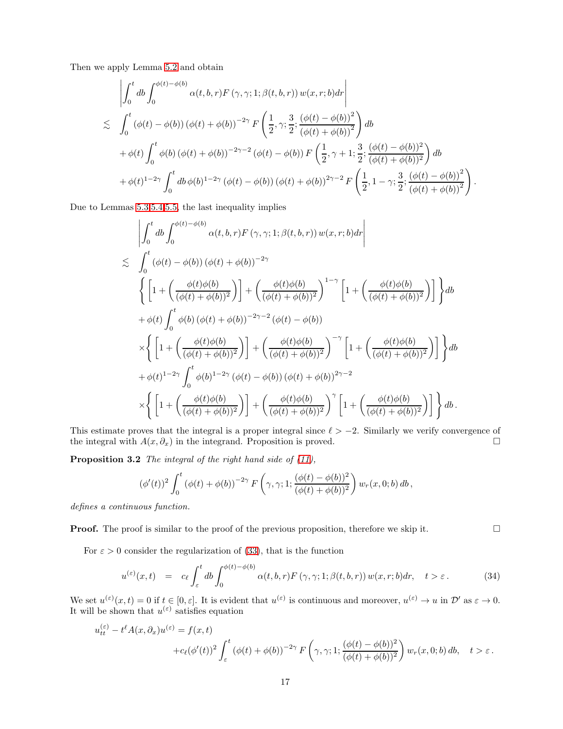Then we apply Lemma [5.2](#page-33-1) and obtain

$$
\begin{split}\n&\left|\int_{0}^{t} db \int_{0}^{\phi(t)-\phi(b)} \alpha(t,b,r) F(\gamma,\gamma;1;\beta(t,b,r)) w(x,r;b) dr \right| \\
&\lesssim \int_{0}^{t} (\phi(t)-\phi(b)) (\phi(t)+\phi(b))^{-2\gamma} F\left(\frac{1}{2},\gamma;\frac{3}{2}; \frac{(\phi(t)-\phi(b))^2}{(\phi(t)+\phi(b))^2}\right) db \\
&+ \phi(t) \int_{0}^{t} \phi(b) (\phi(t)+\phi(b))^{-2\gamma-2} (\phi(t)-\phi(b)) F\left(\frac{1}{2},\gamma+1;\frac{3}{2}; \frac{(\phi(t)-\phi(b))^2}{(\phi(t)+\phi(b))^2}\right) db \\
&+ \phi(t)^{1-2\gamma} \int_{0}^{t} db \phi(b)^{1-2\gamma} (\phi(t)-\phi(b)) (\phi(t)+\phi(b))^{2\gamma-2} F\left(\frac{1}{2},1-\gamma;\frac{3}{2}; \frac{(\phi(t)-\phi(b))^2}{(\phi(t)+\phi(b))^2}\right).\n\end{split}
$$

Due to Lemmas [5.3,](#page-33-2)[5.4,](#page-34-0)[5.5,](#page-35-0) the last inequality implies

$$
\begin{split}\n&\left|\int_{0}^{t}db \int_{0}^{\phi(t)-\phi(b)} \alpha(t,b,r)F(\gamma,\gamma;1;\beta(t,b,r))w(x,r;b)dr\right| \\
&\lesssim \int_{0}^{t} (\phi(t)-\phi(b))(\phi(t)+\phi(b))^{-2\gamma} \\
&\left\{\left[1+\left(\frac{\phi(t)\phi(b)}{(\phi(t)+\phi(b))^2}\right)\right]+\left(\frac{\phi(t)\phi(b)}{(\phi(t)+\phi(b))^2}\right)^{1-\gamma}\left[1+\left(\frac{\phi(t)\phi(b)}{(\phi(t)+\phi(b))^2}\right)\right]\right\}db \\
&+\phi(t)\int_{0}^{t} \phi(b) (\phi(t)+\phi(b))^{-2\gamma-2} (\phi(t)-\phi(b)) \\
&\times\left\{\left[1+\left(\frac{\phi(t)\phi(b)}{(\phi(t)+\phi(b))^2}\right)\right]+\left(\frac{\phi(t)\phi(b)}{(\phi(t)+\phi(b))^2}\right)^{-\gamma}\left[1+\left(\frac{\phi(t)\phi(b)}{(\phi(t)+\phi(b))^2}\right)\right]\right\}db \\
&+\phi(t)^{1-2\gamma}\int_{0}^{t} \phi(b)^{1-2\gamma} (\phi(t)-\phi(b)) (\phi(t)+\phi(b))^{2\gamma-2} \\
&\times\left\{\left[1+\left(\frac{\phi(t)\phi(b)}{(\phi(t)+\phi(b))^2}\right)\right]+\left(\frac{\phi(t)\phi(b)}{(\phi(t)+\phi(b))^2}\right)^{\gamma}\left[1+\left(\frac{\phi(t)\phi(b)}{(\phi(t)+\phi(b))^2}\right)\right]\right\}db.\n\end{split}
$$

This estimate proves that the integral is a proper integral since  $\ell > -2$ . Similarly we verify convergence of the integral with  $A(x, \partial_x)$  in the integrand. Proposition is proved. the integral with  $A(x, \partial_x)$  in the integrand. Proposition is proved.

Proposition 3.2 The integral of the right hand side of  $(11)$ ,

$$
(\phi'(t))^2 \int_0^t (\phi(t) + \phi(b))^{-2\gamma} F\left(\gamma, \gamma; 1; \frac{(\phi(t) - \phi(b))^2}{(\phi(t) + \phi(b))^2}\right) w_r(x, 0; b) db,
$$

defines a continuous function.

**Proof.** The proof is similar to the proof of the previous proposition, therefore we skip it.  $\Box$ 

For  $\varepsilon > 0$  consider the regularization of [\(33\)](#page-15-1), that is the function

$$
u^{(\varepsilon)}(x,t) = c_{\ell} \int_{\varepsilon}^{t} db \int_{0}^{\phi(t) - \phi(b)} \alpha(t, b, r) F(\gamma, \gamma; 1; \beta(t, b, r)) w(x, r; b) dr, \quad t > \varepsilon.
$$
 (34)

We set  $u^{(\varepsilon)}(x,t) = 0$  if  $t \in [0,\varepsilon]$ . It is evident that  $u^{(\varepsilon)}$  is continuous and moreover,  $u^{(\varepsilon)} \to u$  in  $\mathcal{D}'$  as  $\varepsilon \to 0$ . It will be shown that  $u^{(\varepsilon)}$  satisfies equation

$$
u_{tt}^{(\varepsilon)} - t^{\ell} A(x, \partial_x) u^{(\varepsilon)} = f(x, t)
$$
  
+
$$
c_{\ell} (\phi'(t))^2 \int_{\varepsilon}^t (\phi(t) + \phi(b))^{-2\gamma} F\left(\gamma, \gamma; 1; \frac{(\phi(t) - \phi(b))^2}{(\phi(t) + \phi(b))^2}\right) w_r(x, 0; b) db, \quad t > \varepsilon.
$$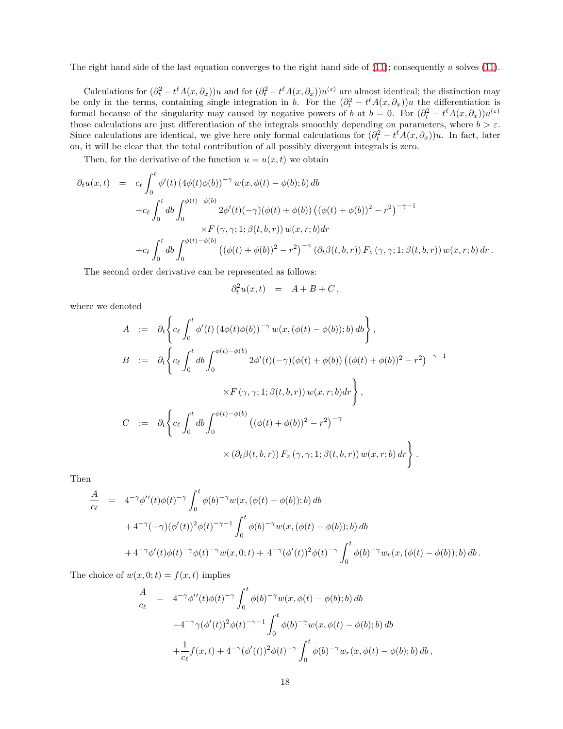The right hand side of the last equation converges to the right hand side of  $(11)$ ; consequently u solves  $(11)$ .

Calculations for  $(\partial_t^2 - t^{\ell} A(x, \partial_x))u$  and for  $(\partial_t^2 - t^{\ell} A(x, \partial_x))u^{(\varepsilon)}$  are almost identical; the distinction may be only in the terms, containing single integration in b. For the  $(\partial_t^2 - t^{\ell} A(x, \partial_x))u$  the differentiation is formal because of the singularity may caused by negative powers of b at  $b = 0$ . For  $(\partial_t^2 - t^{\ell} A(x, \partial_x))u^{(\epsilon)}$ those calculations are just differentiation of the integrals smoothly depending on parameters, where  $b > \varepsilon$ . Since calculations are identical, we give here only formal calculations for  $(\partial_t^2 - t^{\ell}A(x, \partial_x))u$ . In fact, later on, it will be clear that the total contribution of all possibly divergent integrals is zero.

Then, for the derivative of the function  $u = u(x, t)$  we obtain

$$
\partial_t u(x,t) = c_{\ell} \int_0^t \phi'(t) (4\phi(t)\phi(b))^{-\gamma} w(x,\phi(t) - \phi(b);b) db \n+ c_{\ell} \int_0^t db \int_0^{\phi(t) - \phi(b)} 2\phi'(t) (-\gamma)(\phi(t) + \phi(b)) ((\phi(t) + \phi(b))^2 - r^2)^{-\gamma-1} \n\times F(\gamma, \gamma; 1; \beta(t, b, r)) w(x, r; b) dr \n+ c_{\ell} \int_0^t db \int_0^{\phi(t) - \phi(b)} ((\phi(t) + \phi(b))^2 - r^2)^{-\gamma} (\partial_t \beta(t, b, r)) F_z(\gamma, \gamma; 1; \beta(t, b, r)) w(x, r; b) dr.
$$

The second order derivative can be represented as follows:

$$
\partial_t^2 u(x,t) \quad = \quad A+B+C \,,
$$

where we denoted

$$
A := \partial_t \left\{ c_\ell \int_0^t \phi'(t) \left( 4\phi(t)\phi(b) \right)^{-\gamma} w(x, (\phi(t) - \phi(b)); b) db \right\},
$$
  
\n
$$
B := \partial_t \left\{ c_\ell \int_0^t db \int_0^{\phi(t) - \phi(b)} 2\phi'(t) (-\gamma) (\phi(t) + \phi(b)) \left( (\phi(t) + \phi(b))^2 - r^2 \right)^{-\gamma - 1} \times F(\gamma, \gamma; 1; \beta(t, b, r)) w(x, r; b) dr \right\},
$$
  
\n
$$
C := \partial_t \left\{ c_\ell \int_0^t db \int_0^{\phi(t) - \phi(b)} \left( (\phi(t) + \phi(b))^2 - r^2 \right)^{-\gamma} \times (\partial_t \beta(t, b, r)) F_z(\gamma, \gamma; 1; \beta(t, b, r)) w(x, r; b) dr \right\}.
$$

Then

$$
\frac{A}{c_{\ell}} = 4^{-\gamma} \phi''(t) \phi(t)^{-\gamma} \int_0^t \phi(b)^{-\gamma} w(x, (\phi(t) - \phi(b)); b) db \n+ 4^{-\gamma} (-\gamma) (\phi'(t))^2 \phi(t)^{-\gamma-1} \int_0^t \phi(b)^{-\gamma} w(x, (\phi(t) - \phi(b)); b) db \n+ 4^{-\gamma} \phi'(t) \phi(t)^{-\gamma} \phi(t)^{-\gamma} w(x, 0; t) + 4^{-\gamma} (\phi'(t))^2 \phi(t)^{-\gamma} \int_0^t \phi(b)^{-\gamma} w_r(x, (\phi(t) - \phi(b)); b) db.
$$

The choice of  $w(x, 0; t) = f(x, t)$  implies

$$
\frac{A}{c_{\ell}} = 4^{-\gamma} \phi''(t) \phi(t)^{-\gamma} \int_0^t \phi(b)^{-\gamma} w(x, \phi(t) - \phi(b); b) db \n-4^{-\gamma} \gamma (\phi'(t))^2 \phi(t)^{-\gamma-1} \int_0^t \phi(b)^{-\gamma} w(x, \phi(t) - \phi(b); b) db \n+ \frac{1}{c_{\ell}} f(x, t) + 4^{-\gamma} (\phi'(t))^2 \phi(t)^{-\gamma} \int_0^t \phi(b)^{-\gamma} w_r(x, \phi(t) - \phi(b); b) db,
$$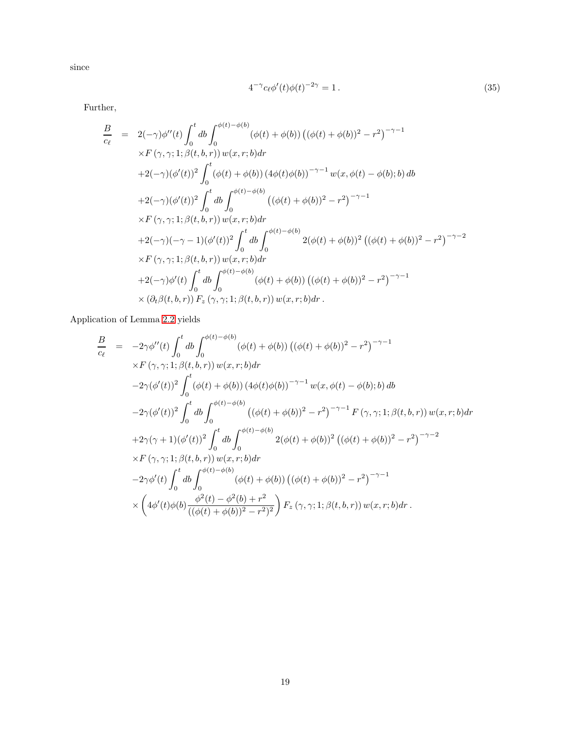since

$$
4^{-\gamma} c_{\ell} \phi'(t) \phi(t)^{-2\gamma} = 1.
$$
\n
$$
(35)
$$

Further,

$$
\frac{B}{c_{\ell}} = 2(-\gamma)\phi''(t)\int_{0}^{t}db\int_{0}^{\phi(t)-\phi(b)}(\phi(t)+\phi(b))((\phi(t)+\phi(b))^2 - r^2)^{-\gamma-1} \times F(\gamma,\gamma;1;\beta(t,b,r)) w(x,r;b)dr \n+2(-\gamma)(\phi'(t))^2 \int_{0}^{t} (\phi(t)+\phi(b))(4\phi(t)\phi(b))^{-\gamma-1} w(x,\phi(t)-\phi(b);b) db \n+2(-\gamma)(\phi'(t))^2 \int_{0}^{t}db\int_{0}^{\phi(t)-\phi(b)}((\phi(t)+\phi(b))^2 - r^2)^{-\gamma-1} \times F(\gamma,\gamma;1;\beta(t,b,r)) w(x,r;b) dr \n+2(-\gamma)(-\gamma-1)(\phi'(t))^2 \int_{0}^{t}db\int_{0}^{\phi(t)-\phi(b)} 2(\phi(t)+\phi(b))^2 ((\phi(t)+\phi(b))^2 - r^2)^{-\gamma-2} \times F(\gamma,\gamma;1;\beta(t,b,r)) w(x,r;b) dr \n+2(-\gamma)\phi'(t)\int_{0}^{t}db\int_{0}^{\phi(t)-\phi(b)}(\phi(t)+\phi(b)) ((\phi(t)+\phi(b))^2 - r^2)^{-\gamma-1} \times (\partial_t\beta(t,b,r)) F_z(\gamma,\gamma;1;\beta(t,b,r)) w(x,r;b) dr.
$$

Application of Lemma [2.2](#page-9-0) yields

$$
\frac{B}{c_{\ell}} = -2\gamma\phi''(t)\int_{0}^{t} db \int_{0}^{\phi(t)-\phi(b)} (\phi(t)+\phi(b)) ((\phi(t)+\phi(b))^2 - r^2)^{-\gamma-1} \times F(\gamma,\gamma;1;\beta(t,b,r)) w(x,r;b) dr \n-2\gamma(\phi'(t))^2 \int_{0}^{t} (\phi(t)+\phi(b)) (4\phi(t)\phi(b))^{-\gamma-1} w(x,\phi(t)-\phi(b);b) db \n-2\gamma(\phi'(t))^2 \int_{0}^{t} db \int_{0}^{\phi(t)-\phi(b)} ((\phi(t)+\phi(b))^2 - r^2)^{-\gamma-1} F(\gamma,\gamma;1;\beta(t,b,r)) w(x,r;b) dr \n+2\gamma(\gamma+1)(\phi'(t))^2 \int_{0}^{t} db \int_{0}^{\phi(t)-\phi(b)} 2(\phi(t)+\phi(b))^2 ((\phi(t)+\phi(b))^2 - r^2)^{-\gamma-2} \times F(\gamma,\gamma;1;\beta(t,b,r)) w(x,r;b) dr \n-2\gamma\phi'(t) \int_{0}^{t} db \int_{0}^{\phi(t)-\phi(b)} (\phi(t)+\phi(b)) ((\phi(t)+\phi(b))^2 - r^2)^{-\gamma-1} \times \left(4\phi'(t)\phi(b)\frac{\phi^2(t)-\phi^2(b)+r^2}{((\phi(t)+\phi(b))^2 - r^2)^2}\right) F_z(\gamma,\gamma;1;\beta(t,b,r)) w(x,r;b) dr.
$$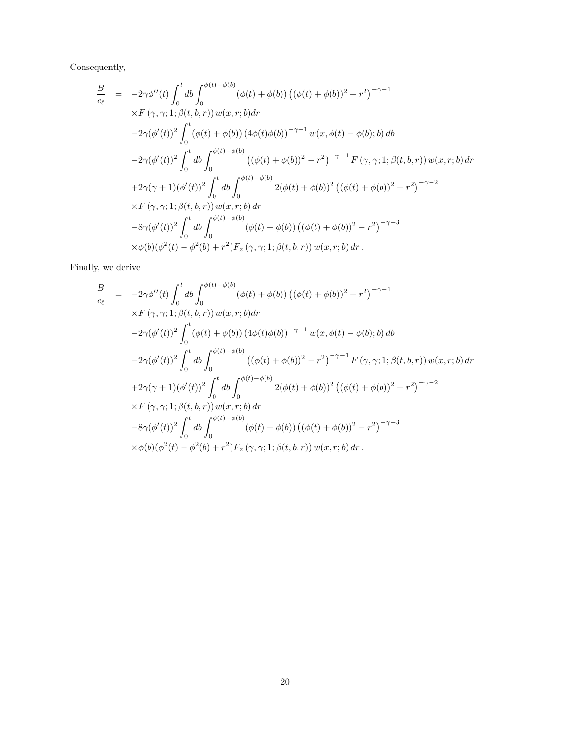Consequently,

$$
\frac{B}{c_{\ell}} = -2\gamma\phi''(t)\int_{0}^{t} db \int_{0}^{\phi(t)-\phi(b)} (\phi(t)+\phi(b)) ((\phi(t)+\phi(b))^{2}-r^{2})^{-\gamma-1} \times F(\gamma,\gamma;1;\beta(t,b,r)) w(x,r;b)dr\n-2\gamma(\phi'(t))^{2} \int_{0}^{t} (\phi(t)+\phi(b)) (4\phi(t)\phi(b))^{-\gamma-1} w(x,\phi(t)-\phi(b);b) db\n-2\gamma(\phi'(t))^{2} \int_{0}^{t} db \int_{0}^{\phi(t)-\phi(b)} ((\phi(t)+\phi(b))^{2}-r^{2})^{-\gamma-1} F(\gamma,\gamma;1;\beta(t,b,r)) w(x,r;b) dr\n+2\gamma(\gamma+1)(\phi'(t))^{2} \int_{0}^{t} db \int_{0}^{\phi(t)-\phi(b)} 2(\phi(t)+\phi(b))^{2} ((\phi(t)+\phi(b))^{2}-r^{2})^{-\gamma-2} \times F(\gamma,\gamma;1;\beta(t,b,r)) w(x,r;b) dr\n-8\gamma(\phi'(t))^{2} \int_{0}^{t} db \int_{0}^{\phi(t)-\phi(b)} (\phi(t)+\phi(b)) ((\phi(t)+\phi(b))^{2}-r^{2})^{-\gamma-3} \times \phi(b)(\phi^{2}(t)-\phi^{2}(b)+r^{2})F_{z}(\gamma,\gamma;1;\beta(t,b,r)) w(x,r;b) dr.
$$

Finally, we derive

$$
\frac{B}{c_{\ell}} = -2\gamma\phi''(t)\int_{0}^{t} db \int_{0}^{\phi(t)-\phi(b)} (\phi(t)+\phi(b)) ((\phi(t)+\phi(b))^{2} - r^{2})^{-\gamma-1} \times F(\gamma,\gamma;1;\beta(t,b,r)) w(x,r;b) dr \n-2\gamma(\phi'(t))^{2} \int_{0}^{t} (\phi(t)+\phi(b)) (4\phi(t)\phi(b))^{-\gamma-1} w(x,\phi(t)-\phi(b);b) db \n-2\gamma(\phi'(t))^{2} \int_{0}^{t} db \int_{0}^{\phi(t)-\phi(b)} ((\phi(t)+\phi(b))^{2} - r^{2})^{-\gamma-1} F(\gamma,\gamma;1;\beta(t,b,r)) w(x,r;b) dr \n+2\gamma(\gamma+1)(\phi'(t))^{2} \int_{0}^{t} db \int_{0}^{\phi(t)-\phi(b)} 2(\phi(t)+\phi(b))^{2} ((\phi(t)+\phi(b))^{2} - r^{2})^{-\gamma-2} \times F(\gamma,\gamma;1;\beta(t,b,r)) w(x,r;b) dr \n-8\gamma(\phi'(t))^{2} \int_{0}^{t} db \int_{0}^{\phi(t)-\phi(b)} (\phi(t)+\phi(b)) ((\phi(t)+\phi(b))^{2} - r^{2})^{-\gamma-3} \times \phi(b)(\phi^{2}(t)-\phi^{2}(b)+r^{2})F_{z}(\gamma,\gamma;1;\beta(t,b,r)) w(x,r;b) dr.
$$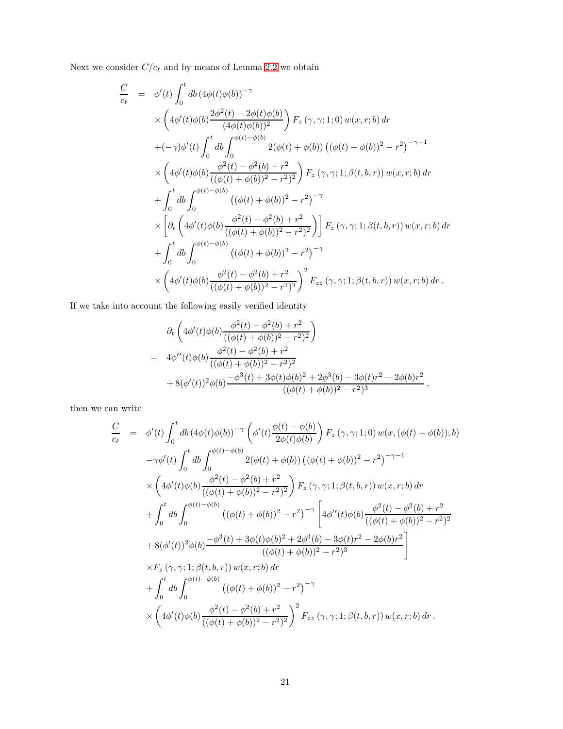Next we consider  $C/c_\ell$  and by means of Lemma [2.2](#page-9-0) we obtain

$$
\frac{C}{c_{\ell}} = \phi'(t) \int_0^t db (4\phi(t)\phi(b))^{-\gamma} \times \left(4\phi'(t)\phi(b)\frac{2\phi^2(t) - 2\phi(t)\phi(b)}{(4\phi(t)\phi(b))^2}\right) F_z (\gamma, \gamma; 1; 0) w(x, r; b) dr \n+ (-\gamma)\phi'(t) \int_0^t db \int_0^{\phi(t) - \phi(b)} 2(\phi(t) + \phi(b)) ((\phi(t) + \phi(b))^2 - r^2)^{-\gamma - 1} \times \left(4\phi'(t)\phi(b)\frac{\phi^2(t) - \phi^2(b) + r^2}{((\phi(t) + \phi(b))^2 - r^2)^2}\right) F_z (\gamma, \gamma; 1; \beta(t, b, r)) w(x, r; b) dr \n+ \int_0^t db \int_0^{\phi(t) - \phi(b)} ((\phi(t) + \phi(b))^2 - r^2)^{-\gamma} \times \left[\partial_t \left(4\phi'(t)\phi(b)\frac{\phi^2(t) - \phi^2(b) + r^2}{((\phi(t) + \phi(b))^2 - r^2)^2}\right)\right] F_z (\gamma, \gamma; 1; \beta(t, b, r)) w(x, r; b) dr \n+ \int_0^t db \int_0^{\phi(t) - \phi(b)} ((\phi(t) + \phi(b))^2 - r^2)^{-\gamma} \times \left(4\phi'(t)\phi(b)\frac{\phi^2(t) - \phi^2(b) + r^2}{((\phi(t) + \phi(b))^2 - r^2)^2}\right)^2 F_{zz} (\gamma, \gamma; 1; \beta(t, b, r)) w(x, r; b) dr.
$$

If we take into account the following easily verified identity

$$
\partial_t \left( 4\phi'(t)\phi(b) \frac{\phi^2(t) - \phi^2(b) + r^2}{((\phi(t) + \phi(b))^2 - r^2)^2} \right)
$$
\n
$$
= 4\phi''(t)\phi(b) \frac{\phi^2(t) - \phi^2(b) + r^2}{((\phi(t) + \phi(b))^2 - r^2)^2}
$$
\n
$$
+ 8(\phi'(t))^2 \phi(b) \frac{-\phi^3(t) + 3\phi(t)\phi(b)^2 + 2\phi^3(b) - 3\phi(t)r^2 - 2\phi(b)r^2}{((\phi(t) + \phi(b))^2 - r^2)^3},
$$

then we can write

$$
\frac{C}{c_{\ell}} = \phi'(t) \int_0^t db (4\phi(t)\phi(b))^{-\gamma} \left( \phi'(t) \frac{\phi(t) - \phi(b)}{2\phi(t)\phi(b)} \right) F_z (\gamma, \gamma; 1; 0) w(x, (\phi(t) - \phi(b)); b)
$$
  
\n
$$
-\gamma \phi'(t) \int_0^t db \int_0^{\phi(t) - \phi(b)} 2(\phi(t) + \phi(b)) ((\phi(t) + \phi(b))^2 - r^2)^{-\gamma - 1}
$$
  
\n
$$
\times \left( 4\phi'(t)\phi(b) \frac{\phi^2(t) - \phi^2(b) + r^2}{((\phi(t) + \phi(b))^2 - r^2)^2} \right) F_z (\gamma, \gamma; 1; \beta(t, b, r)) w(x, r; b) dr
$$
  
\n
$$
+ \int_0^t db \int_0^{\phi(t) - \phi(b)} ((\phi(t) + \phi(b))^2 - r^2)^{-\gamma} \left[ 4\phi''(t)\phi(b) \frac{\phi^2(t) - \phi^2(b) + r^2}{((\phi(t) + \phi(b))^2 - r^2)^2} \right]
$$
  
\n
$$
+ 8(\phi'(t))^2 \phi(b) \frac{-\phi^3(t) + 3\phi(t)\phi(b)^2 + 2\phi^3(b) - 3\phi(t)r^2 - 2\phi(b)r^2}{((\phi(t) + \phi(b))^2 - r^2)^3} \right]
$$
  
\n
$$
\times F_z (\gamma, \gamma; 1; \beta(t, b, r)) w(x, r; b) dr
$$
  
\n
$$
+ \int_0^t db \int_0^{\phi(t) - \phi(b)} ((\phi(t) + \phi(b))^2 - r^2)^{-\gamma}
$$
  
\n
$$
\times \left( 4\phi'(t)\phi(b) \frac{\phi^2(t) - \phi^2(b) + r^2}{((\phi(t) + \phi(b))^2 - r^2)^2} \right)^2 F_{zz} (\gamma, \gamma; 1; \beta(t, b, r)) w(x, r; b) dr.
$$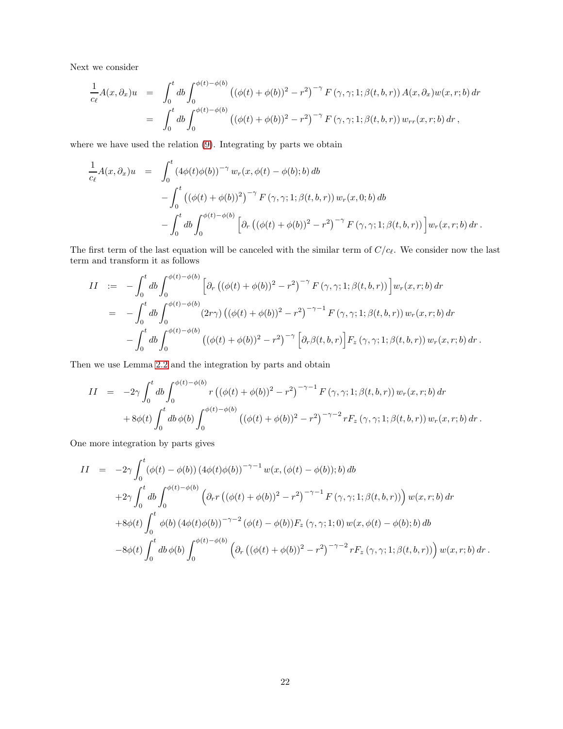Next we consider

$$
\frac{1}{c_{\ell}}A(x,\partial_x)u = \int_0^t db \int_0^{\phi(t)-\phi(b)} ((\phi(t)+\phi(b))^2 - r^2)^{-\gamma} F(\gamma,\gamma;1;\beta(t,b,r)) A(x,\partial_x)w(x,r;b) dr \n= \int_0^t db \int_0^{\phi(t)-\phi(b)} ((\phi(t)+\phi(b))^2 - r^2)^{-\gamma} F(\gamma,\gamma;1;\beta(t,b,r)) w_{rr}(x,r;b) dr,
$$

where we have used the relation [\(9\)](#page-4-3). Integrating by parts we obtain

$$
\frac{1}{c_{\ell}}A(x,\partial_x)u = \int_0^t (4\phi(t)\phi(b))^{-\gamma} w_r(x,\phi(t) - \phi(b);b) db \n- \int_0^t ((\phi(t) + \phi(b))^2)^{-\gamma} F(\gamma,\gamma;1;\beta(t,b,r)) w_r(x,0;b) db \n- \int_0^t db \int_0^{\phi(t)-\phi(b)} \left[ \partial_r ((\phi(t) + \phi(b))^2 - r^2)^{-\gamma} F(\gamma,\gamma;1;\beta(t,b,r)) \right] w_r(x,r;b) dr.
$$

The first term of the last equation will be canceled with the similar term of  $C/c_{\ell}$ . We consider now the last term and transform it as follows

$$
II := -\int_0^t db \int_0^{\phi(t) - \phi(b)} \left[ \partial_r \left( (\phi(t) + \phi(b))^2 - r^2 \right)^{-\gamma} F(\gamma, \gamma; 1; \beta(t, b, r)) \right] w_r(x, r; b) dr = -\int_0^t db \int_0^{\phi(t) - \phi(b)} (2r\gamma) \left( (\phi(t) + \phi(b))^2 - r^2 \right)^{-\gamma - 1} F(\gamma, \gamma; 1; \beta(t, b, r)) w_r(x, r; b) dr - \int_0^t db \int_0^{\phi(t) - \phi(b)} \left( (\phi(t) + \phi(b))^2 - r^2 \right)^{-\gamma} \left[ \partial_r \beta(t, b, r) \right] F_z(\gamma, \gamma; 1; \beta(t, b, r)) w_r(x, r; b) dr.
$$

Then we use Lemma [2.2](#page-9-0) and the integration by parts and obtain

$$
II = -2\gamma \int_0^t db \int_0^{\phi(t) - \phi(b)} r \left( (\phi(t) + \phi(b))^2 - r^2 \right)^{-\gamma - 1} F(\gamma, \gamma; 1; \beta(t, b, r)) w_r(x, r; b) dr + 8\phi(t) \int_0^t db \phi(b) \int_0^{\phi(t) - \phi(b)} \left( (\phi(t) + \phi(b))^2 - r^2 \right)^{-\gamma - 2} r F_z(\gamma, \gamma; 1; \beta(t, b, r)) w_r(x, r; b) dr.
$$

One more integration by parts gives

$$
II = -2\gamma \int_0^t (\phi(t) - \phi(b)) (4\phi(t)\phi(b))^{-\gamma-1} w(x, (\phi(t) - \phi(b)); b) db
$$
  
+2\gamma \int\_0^t db \int\_0^{\phi(t) - \phi(b)} (\partial\_r r ((\phi(t) + \phi(b))^2 - r^2)^{-\gamma-1} F(\gamma, \gamma; 1; \beta(t, b, r))) w(x, r; b) dr  
+8\phi(t) \int\_0^t \phi(b) (4\phi(t)\phi(b))^{-\gamma-2} (\phi(t) - \phi(b))F\_z(\gamma, \gamma; 1; 0) w(x, \phi(t) - \phi(b); b) db  
-8\phi(t) \int\_0^t db \phi(b) \int\_0^{\phi(t) - \phi(b)} (\partial\_r ((\phi(t) + \phi(b))^2 - r^2)^{-\gamma-2} rF\_z(\gamma, \gamma; 1; \beta(t, b, r))) w(x, r; b) dr.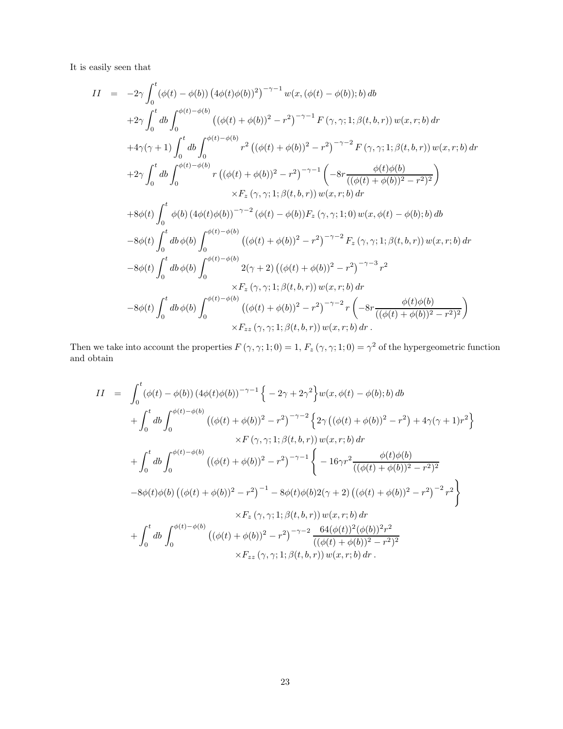It is easily seen that

$$
II = -2\gamma \int_0^t (\phi(t) - \phi(b)) (4\phi(t)\phi(b))^2)^{-\gamma-1} w(x, (\phi(t) - \phi(b)); b) db
$$
  
+2 $\gamma \int_0^t db \int_0^{\phi(t) - \phi(b)} ((\phi(t) + \phi(b))^2 - r^2)^{-\gamma-1} F(\gamma, \gamma; 1; \beta(t, b, r)) w(x, r; b) dr$   
+4 $\gamma(\gamma + 1) \int_0^t db \int_0^{\phi(t) - \phi(b)} r^2 ((\phi(t) + \phi(b))^2 - r^2)^{-\gamma-2} F(\gamma, \gamma; 1; \beta(t, b, r)) w(x, r; b) dr$   
+2 $\gamma \int_0^t db \int_0^{\phi(t) - \phi(b)} r ((\phi(t) + \phi(b))^2 - r^2)^{-\gamma-1} \left( -8r \frac{\phi(t)\phi(b)}{((\phi(t) + \phi(b))^2 - r^2)^2} \right)$   
+8 $\phi(t) \int_0^t \phi(b) (4\phi(t)\phi(b))^{-\gamma-2} (\phi(t) - \phi(b)) F_z(\gamma, \gamma; 1; 0) w(x, \phi(t) - \phi(b); b) db$   
-8 $\phi(t) \int_0^t db \phi(b) \int_0^{\phi(t) - \phi(b)} ((\phi(t) + \phi(b))^2 - r^2)^{-\gamma-2} F_z(\gamma, \gamma; 1; \beta(t, b, r)) w(x, r; b) dr$   
-8 $\phi(t) \int_0^t db \phi(b) \int_0^{\phi(t) - \phi(b)} 2(\gamma + 2) ((\phi(t) + \phi(b))^2 - r^2)^{-\gamma-3} r^2$   
+8 $F_z(\gamma, \gamma; 1; \beta(t, b, r)) w(x, r; b) dr$   
-8 $\phi(t) \int_0^t db \phi(b) \int_0^{\phi(t) - \phi(b)} ((\phi(t) + \phi(b))^2 - r^2)^{-\gamma-2} r \left( -8r \frac{\phi(t)\phi(b)}{((\phi(t) + \phi(b))^2 - r^2)^2} \right)$   
+ $F_z(z(\gamma, \gamma; 1; \beta(t, b, r)) w(x, r; b) dr$ .

Then we take into account the properties  $F(\gamma, \gamma; 1; 0) = 1$ ,  $F_z(\gamma, \gamma; 1; 0) = \gamma^2$  of the hypergeometric function and obtain

$$
II = \int_0^t (\phi(t) - \phi(b)) (4\phi(t)\phi(b))^{-\gamma-1} \left\{ -2\gamma + 2\gamma^2 \right\} w(x, \phi(t) - \phi(b); b) db + \int_0^t db \int_0^{\phi(t) - \phi(b)} ((\phi(t) + \phi(b))^2 - r^2)^{-\gamma-2} \left\{ 2\gamma ((\phi(t) + \phi(b))^2 - r^2) + 4\gamma(\gamma + 1)r^2 \right\} \times F(\gamma, \gamma; 1; \beta(t, b, r)) w(x, r; b) dr + \int_0^t db \int_0^{\phi(t) - \phi(b)} ((\phi(t) + \phi(b))^2 - r^2)^{-\gamma-1} \left\{ -16\gamma r^2 \frac{\phi(t)\phi(b)}{((\phi(t) + \phi(b))^2 - r^2)^2} \right. - 8\phi(t)\phi(b) ((\phi(t) + \phi(b))^2 - r^2)^{-1} - 8\phi(t)\phi(b)2(\gamma + 2) ((\phi(t) + \phi(b))^2 - r^2)^{-2} r^2 \right\} + \int_0^t db \int_0^{\phi(t) - \phi(b)} ((\phi(t) + \phi(b))^2 - r^2)^{-\gamma-2} \frac{64(\phi(t))^2(\phi(b))^2r^2}{((\phi(t) + \phi(b))^2 - r^2)^2} + F_{zz}(\gamma, \gamma; 1; \beta(t, b, r)) w(x, r; b) dr.
$$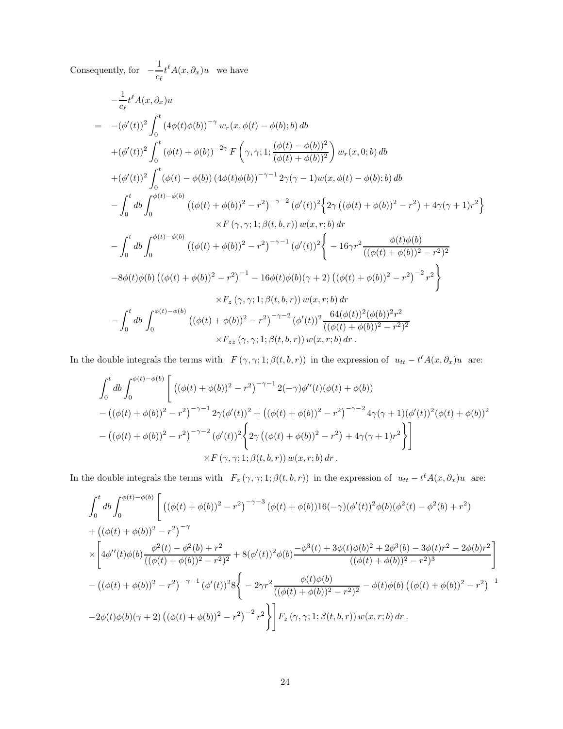Consequently, for  $-\frac{1}{c}$  $\frac{1}{c_{\ell}}t^{\ell}A(x,\partial_x)u$  we have

$$
-\frac{1}{c_{\ell}}t^{\ell}A(x,\partial_{x})u
$$
\n
$$
= -(\phi'(t))^{2} \int_{0}^{t} (4\phi(t)\phi(b))^{-\gamma} w_{r}(x,\phi(t) - \phi(b);b) db
$$
\n
$$
+ (\phi'(t))^{2} \int_{0}^{t} (\phi(t) + \phi(b))^{-2\gamma} F(\gamma, \gamma; 1; \frac{(\phi(t) - \phi(b))^{2}}{(\phi(t) + \phi(b))^{2}}) w_{r}(x, 0; b) db
$$
\n
$$
+ (\phi'(t))^{2} \int_{0}^{t} (\phi(t) - \phi(b)) (4\phi(t)\phi(b))^{-\gamma-1} 2\gamma(\gamma - 1)w(x, \phi(t) - \phi(b);b) db
$$
\n
$$
- \int_{0}^{t} db \int_{0}^{\phi(t) - \phi(b)} ((\phi(t) + \phi(b))^{2} - r^{2})^{-\gamma-2} (\phi'(t))^{2} \left\{ 2\gamma \left( (\phi(t) + \phi(b))^{2} - r^{2} \right) + 4\gamma(\gamma + 1)r^{2} \right\}
$$
\n
$$
\times F(\gamma, \gamma; 1; \beta(t, b, r)) w(x, r; b) dr
$$
\n
$$
- \int_{0}^{t} db \int_{0}^{\phi(t) - \phi(b)} ((\phi(t) + \phi(b))^{2} - r^{2})^{-\gamma-1} (\phi'(t))^{2} \left\{ -16\gamma r^{2} \frac{\phi(t)\phi(b)}{((\phi(t) + \phi(b))^{2} - r^{2})^{2}} -8\phi(t)\phi(b) ((\phi(t) + \phi(b))^{2} - r^{2})^{-1} -16\phi(t)\phi(b)(\gamma + 2) ((\phi(t) + \phi(b))^{2} - r^{2})^{-2} r^{2} \right\}
$$
\n
$$
\times F_{z}(\gamma, \gamma; 1; \beta(t, b, r)) w(x, r; b) dr
$$
\n
$$
- \int_{0}^{t} db \int_{0}^{\phi(t) - \phi(b)} ((\phi(t) + \phi(b))^{2} - r^{2})^{-\gamma-2} (\phi'(t))^{2} \frac{64(\phi(t))^{2}(\phi(b))^{2}r^{2}}{((\phi(t) + \phi(b))^{2} - r^{2})^{2}} \times F_{zz}(\gamma, \gamma; 1; \beta(t, b,
$$

In the double integrals the terms with  $F(\gamma, \gamma; 1; \beta(t, b, r))$  in the expression of  $u_{tt} - t^{\ell} A(x, \partial_x) u$  are:

$$
\int_0^t db \int_0^{\phi(t) - \phi(b)} \left[ \left( (\phi(t) + \phi(b))^2 - r^2 \right)^{-\gamma - 1} 2(-\gamma) \phi''(t) (\phi(t) + \phi(b)) - \left( (\phi(t) + \phi(b))^2 - r^2 \right)^{-\gamma - 1} 2\gamma (\phi'(t))^2 + \left( (\phi(t) + \phi(b))^2 - r^2 \right)^{-\gamma - 2} 4\gamma (\gamma + 1) (\phi'(t))^2 (\phi(t) + \phi(b))^2 - \left( (\phi(t) + \phi(b))^2 - r^2 \right)^{-\gamma - 2} (\phi'(t))^2 \left\{ 2\gamma \left( (\phi(t) + \phi(b))^2 - r^2 \right) + 4\gamma (\gamma + 1) r^2 \right\} \right] \times F(\gamma, \gamma; 1; \beta(t, b, r)) w(x, r; b) dr.
$$

In the double integrals the terms with  $F_z(\gamma, \gamma; 1; \beta(t, b, r))$  in the expression of  $u_{tt} - t^{\ell} A(x, \partial_x) u$  are:

$$
\int_{0}^{t} db \int_{0}^{\phi(t)-\phi(b)} \left[ \left( (\phi(t)+\phi(b))^{2} - r^{2} \right)^{-\gamma-3} (\phi(t)+\phi(b)) 16(-\gamma) (\phi'(t))^{2} \phi(b) (\phi^{2}(t) - \phi^{2}(b) + r^{2}) \right. \\ \left. + \left( (\phi(t)+\phi(b))^{2} - r^{2} \right)^{-\gamma} \times \left[ 4\phi''(t)\phi(b) \frac{\phi^{2}(t)-\phi^{2}(b)+r^{2}}{((\phi(t)+\phi(b))^{2} - r^{2})^{2}} + 8(\phi'(t))^{2} \phi(b) \frac{-\phi^{3}(t)+3\phi(t)\phi(b)^{2} + 2\phi^{3}(b) - 3\phi(t)r^{2} - 2\phi(b)r^{2}}{((\phi(t)+\phi(b))^{2} - r^{2})^{3}} \right] \\ - \left( (\phi(t)+\phi(b))^{2} - r^{2} \right)^{-\gamma-1} (\phi'(t))^{2} 8\left\{ -2\gamma r^{2} \frac{\phi(t)\phi(b)}{((\phi(t)+\phi(b))^{2} - r^{2})^{2}} - \phi(t)\phi(b) \left( (\phi(t)+\phi(b))^{2} - r^{2} \right)^{-1} \\ - 2\phi(t)\phi(b)(\gamma+2) \left( (\phi(t)+\phi(b))^{2} - r^{2} \right)^{-2} r^{2} \right\} \Bigg] F_{z}(\gamma,\gamma;1;\beta(t,b,r)) w(x,r;b) dr.
$$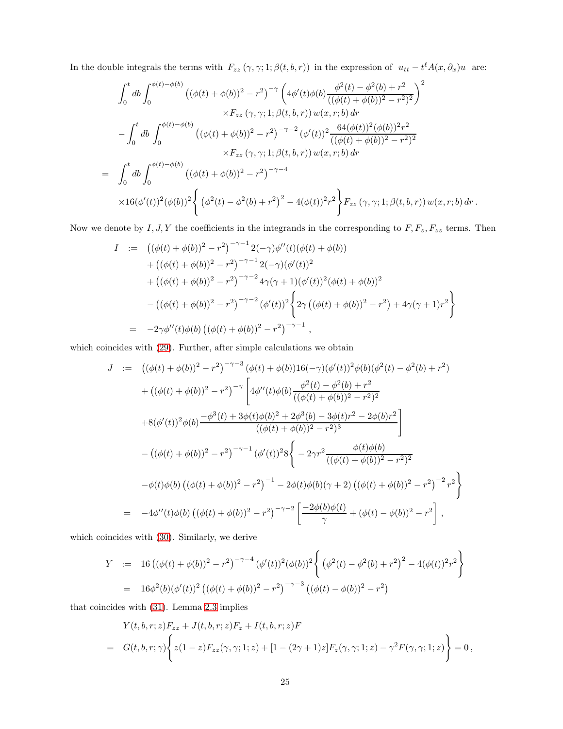In the double integrals the terms with  $F_{zz}(\gamma, \gamma; 1; \beta(t, b, r))$  in the expression of  $u_{tt} - t^{\ell} A(x, \partial_x) u$  are:

$$
\int_{0}^{t} db \int_{0}^{\phi(t)-\phi(b)} \left( (\phi(t)+\phi(b))^{2}-r^{2} \right)^{-\gamma} \left( 4\phi'(t)\phi(b) \frac{\phi^{2}(t)-\phi^{2}(b)+r^{2}}{((\phi(t)+\phi(b))^{2}-r^{2})^{2}} \right)^{2} \times F_{zz}(\gamma, \gamma; 1; \beta(t, b, r)) w(x, r; b) dr \n- \int_{0}^{t} db \int_{0}^{\phi(t)-\phi(b)} \left( (\phi(t)+\phi(b))^{2}-r^{2} \right)^{-\gamma-2} (\phi'(t))^{2} \frac{64(\phi(t))^{2}(\phi(b))^{2}r^{2}}{((\phi(t)+\phi(b))^{2}-r^{2})^{2}} \times F_{zz}(\gamma, \gamma; 1; \beta(t, b, r)) w(x, r; b) dr \n= \int_{0}^{t} db \int_{0}^{\phi(t)-\phi(b)} \left( (\phi(t)+\phi(b))^{2}-r^{2} \right)^{-\gamma-4} \times 16(\phi'(t))^{2} (\phi(b))^{2} \left\{ (\phi^{2}(t)-\phi^{2}(b)+r^{2})^{2} - 4(\phi(t))^{2}r^{2} \right\} F_{zz}(\gamma, \gamma; 1; \beta(t, b, r)) w(x, r; b) dr.
$$

Now we denote by  $I, J, Y$  the coefficients in the integrands in the corresponding to  $F, F_z, F_{zz}$  terms. Then

$$
I := ((\phi(t) + \phi(b))^2 - r^2)^{-\gamma - 1} 2(-\gamma) \phi''(t) (\phi(t) + \phi(b))
$$
  
+  $((\phi(t) + \phi(b))^2 - r^2)^{-\gamma - 1} 2(-\gamma) (\phi'(t))^2$   
+  $((\phi(t) + \phi(b))^2 - r^2)^{-\gamma - 2} 4\gamma(\gamma + 1) (\phi'(t))^2 (\phi(t) + \phi(b))^2$   
-  $((\phi(t) + \phi(b))^2 - r^2)^{-\gamma - 2} (\phi'(t))^2 \Big\{ 2\gamma ((\phi(t) + \phi(b))^2 - r^2) + 4\gamma(\gamma + 1)r^2 \Big\}$   
=  $-2\gamma \phi''(t) \phi(b) ((\phi(t) + \phi(b))^2 - r^2)^{-\gamma - 1},$ 

which coincides with [\(29\)](#page-11-1). Further, after simple calculations we obtain

$$
J := ((\phi(t) + \phi(b))^2 - r^2)^{-\gamma - 3} (\phi(t) + \phi(b))16(-\gamma)(\phi'(t))^2 \phi(b)(\phi^2(t) - \phi^2(b) + r^2)
$$
  
+ 
$$
((\phi(t) + \phi(b))^2 - r^2)^{-\gamma} \left[ 4\phi''(t)\phi(b)\frac{\phi^2(t) - \phi^2(b) + r^2}{((\phi(t) + \phi(b))^2 - r^2)^2} \right]
$$
  
+ 
$$
8(\phi'(t))^2 \phi(b)\frac{-\phi^3(t) + 3\phi(t)\phi(b)^2 + 2\phi^3(b) - 3\phi(t)r^2 - 2\phi(b)r^2}{((\phi(t) + \phi(b))^2 - r^2)^3} \right]
$$
  
- 
$$
((\phi(t) + \phi(b))^2 - r^2)^{-\gamma - 1} (\phi'(t))^2 8\left\{ -2\gamma r^2 \frac{\phi(t)\phi(b)}{((\phi(t) + \phi(b))^2 - r^2)^2} \right\}
$$
  
- 
$$
\phi(t)\phi(b) ((\phi(t) + \phi(b))^2 - r^2)^{-1} - 2\phi(t)\phi(b)(\gamma + 2) ((\phi(t) + \phi(b))^2 - r^2)^{-2} r^2 \right\}
$$
  
= 
$$
-4\phi''(t)\phi(b) ((\phi(t) + \phi(b))^2 - r^2)^{-\gamma - 2} \left[ \frac{-2\phi(b)\phi(t)}{\gamma} + (\phi(t) - \phi(b))^2 - r^2 \right],
$$

which coincides with [\(30\)](#page-13-0). Similarly, we derive

$$
Y := 16 ((\phi(t) + \phi(b))^2 - r^2)^{-\gamma - 4} (\phi'(t))^2 (\phi(b))^2 \left\{ (\phi^2(t) - \phi^2(b) + r^2)^2 - 4(\phi(t))^2 r^2 \right\}
$$
  
=  $16\phi^2(b)(\phi'(t))^2 ((\phi(t) + \phi(b))^2 - r^2)^{-\gamma - 3} ((\phi(t) - \phi(b))^2 - r^2)$ 

that coincides with [\(31\)](#page-14-1). Lemma [2.3](#page-14-0) implies

$$
Y(t,b,r;z)F_{zz} + J(t,b,r;z)F_z + I(t,b,r;z)F
$$
  
=  $G(t,b,r;\gamma)\left\{z(1-z)F_{zz}(\gamma,\gamma;1;z) + [1-(2\gamma+1)z]F_z(\gamma,\gamma;1;z) - \gamma^2 F(\gamma,\gamma;1;z)\right\} = 0,$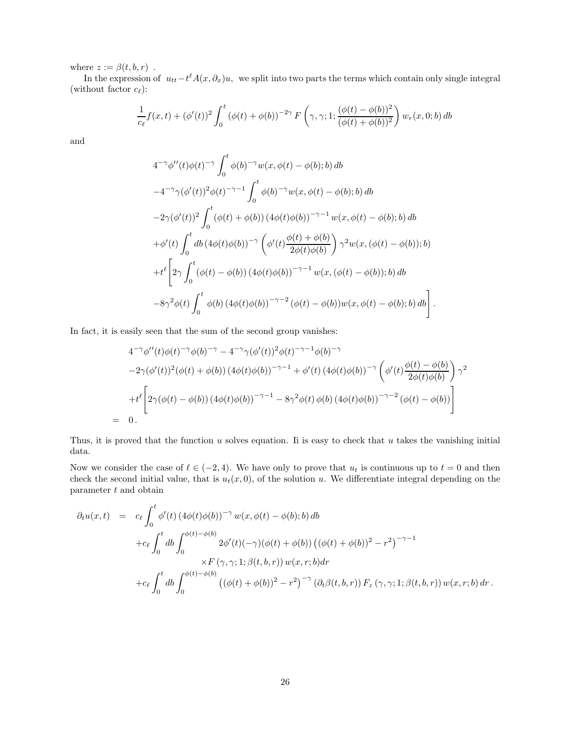where  $z := \beta(t, b, r)$ .

In the expression of  $u_{tt}-t^{\ell} A(x, \partial_x)u$ , we split into two parts the terms which contain only single integral (without factor  $c_{\ell}$ ):

$$
\frac{1}{c_{\ell}}f(x,t) + (\phi'(t))^2 \int_0^t (\phi(t) + \phi(b))^{-2\gamma} F\left(\gamma, \gamma; 1; \frac{(\phi(t) - \phi(b))^2}{(\phi(t) + \phi(b))^2}\right) w_r(x,0;b) db
$$

and

$$
4^{-\gamma} \phi''(t) \phi(t)^{-\gamma} \int_0^t \phi(b)^{-\gamma} w(x, \phi(t) - \phi(b); b) db
$$
  
\n
$$
-4^{-\gamma} \gamma (\phi'(t))^2 \phi(t)^{-\gamma-1} \int_0^t \phi(b)^{-\gamma} w(x, \phi(t) - \phi(b); b) db
$$
  
\n
$$
-2\gamma (\phi'(t))^2 \int_0^t (\phi(t) + \phi(b)) (4\phi(t)\phi(b))^{-\gamma-1} w(x, \phi(t) - \phi(b); b) db
$$
  
\n
$$
+ \phi'(t) \int_0^t db (4\phi(t)\phi(b))^{-\gamma} \left(\phi'(t) \frac{\phi(t) + \phi(b)}{2\phi(t)\phi(b)}\right) \gamma^2 w(x, (\phi(t) - \phi(b)); b)
$$
  
\n
$$
+ t^{\ell} \left[2\gamma \int_0^t (\phi(t) - \phi(b)) (4\phi(t)\phi(b))^{-\gamma-1} w(x, (\phi(t) - \phi(b)); b) db
$$
  
\n
$$
-8\gamma^2 \phi(t) \int_0^t \phi(b) (4\phi(t)\phi(b))^{-\gamma-2} (\phi(t) - \phi(b))w(x, \phi(t) - \phi(b); b) db\right].
$$

In fact, it is easily seen that the sum of the second group vanishes:

$$
4^{-\gamma} \phi''(t) \phi(t)^{-\gamma} \phi(b)^{-\gamma} - 4^{-\gamma} \gamma (\phi'(t))^2 \phi(t)^{-\gamma-1} \phi(b)^{-\gamma}
$$
  
\n
$$
-2\gamma (\phi'(t))^2 (\phi(t) + \phi(b)) (4\phi(t)\phi(b))^{-\gamma-1} + \phi'(t) (4\phi(t)\phi(b))^{-\gamma} \left(\phi'(t)\frac{\phi(t) - \phi(b)}{2\phi(t)\phi(b)}\right) \gamma^2
$$
  
\n
$$
+ t^{\ell} \left[2\gamma(\phi(t) - \phi(b)) (4\phi(t)\phi(b))^{-\gamma-1} - 8\gamma^2 \phi(t) \phi(b) (4\phi(t)\phi(b))^{-\gamma-2} (\phi(t) - \phi(b))\right]
$$
  
\n= 0.

Thus, it is proved that the function  $u$  solves equation. Ii is easy to check that  $u$  takes the vanishing initial data.

Now we consider the case of  $\ell \in (-2, 4)$ . We have only to prove that  $u_t$  is continuous up to  $t = 0$  and then check the second initial value, that is  $u_t(x, 0)$ , of the solution u. We differentiate integral depending on the parameter t and obtain

$$
\partial_t u(x,t) = c_{\ell} \int_0^t \phi'(t) (4\phi(t)\phi(b))^{-\gamma} w(x,\phi(t) - \phi(b);b) db \n+ c_{\ell} \int_0^t db \int_0^{\phi(t) - \phi(b)} 2\phi'(t)(-\gamma)(\phi(t) + \phi(b)) ((\phi(t) + \phi(b))^2 - r^2)^{-\gamma - 1} \n\times F(\gamma, \gamma; 1; \beta(t, b, r)) w(x, r; b) dr \n+ c_{\ell} \int_0^t db \int_0^{\phi(t) - \phi(b)} ((\phi(t) + \phi(b))^2 - r^2)^{-\gamma} (\partial_t \beta(t, b, r)) F_z(\gamma, \gamma; 1; \beta(t, b, r)) w(x, r; b) dr.
$$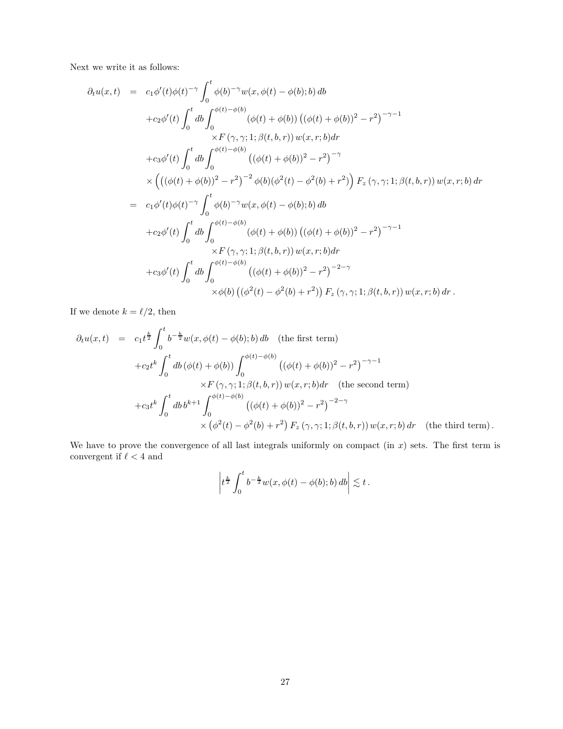Next we write it as follows:

$$
\partial_t u(x,t) = c_1 \phi'(t) \phi(t)^{-\gamma} \int_0^t \phi(b)^{-\gamma} w(x, \phi(t) - \phi(b); b) db \n+ c_2 \phi'(t) \int_0^t db \int_0^{\phi(t) - \phi(b)} (\phi(t) + \phi(b)) ((\phi(t) + \phi(b))^2 - r^2)^{-\gamma - 1} \n\times F(\gamma, \gamma; 1; \beta(t, b, r)) w(x, r; b) dr \n+ c_3 \phi'(t) \int_0^t db \int_0^{\phi(t) - \phi(b)} ((\phi(t) + \phi(b))^2 - r^2)^{-\gamma} \n\times (((\phi(t) + \phi(b))^2 - r^2)^{-2} \phi(b) (\phi^2(t) - \phi^2(b) + r^2)) F_z(\gamma, \gamma; 1; \beta(t, b, r)) w(x, r; b) dr \n= c_1 \phi'(t) \phi(t)^{-\gamma} \int_0^t \phi(b)^{-\gamma} w(x, \phi(t) - \phi(b); b) db \n+ c_2 \phi'(t) \int_0^t db \int_0^{\phi(t) - \phi(b)} (\phi(t) + \phi(b)) ((\phi(t) + \phi(b))^2 - r^2)^{-\gamma - 1} \n\times F(\gamma, \gamma; 1; \beta(t, b, r)) w(x, r; b) dr \n+ c_3 \phi'(t) \int_0^t db \int_0^{\phi(t) - \phi(b)} ((\phi(t) + \phi(b))^2 - r^2)^{-2-\gamma} \n\times \phi(b) ((\phi^2(t) - \phi^2(b) + r^2)) F_z(\gamma, \gamma; 1; \beta(t, b, r)) w(x, r; b) dr.
$$

If we denote  $k=\ell/2,$  then

$$
\partial_t u(x,t) = c_1 t^{\frac{k}{2}} \int_0^t b^{-\frac{k}{2}} w(x,\phi(t) - \phi(b);b) db \quad \text{(the first term)}
$$
  
+
$$
+ c_2 t^k \int_0^t db (\phi(t) + \phi(b)) \int_0^{\phi(t) - \phi(b)} ((\phi(t) + \phi(b))^2 - r^2)^{-\gamma-1}
$$
  

$$
\times F(\gamma, \gamma; 1; \beta(t, b, r)) w(x, r; b) dr \quad \text{(the second term)}
$$
  
+
$$
+ c_3 t^k \int_0^t db b^{k+1} \int_0^{\phi(t) - \phi(b)} ((\phi(t) + \phi(b))^2 - r^2)^{-2-\gamma}
$$
  

$$
\times (\phi^2(t) - \phi^2(b) + r^2) F_z(\gamma, \gamma; 1; \beta(t, b, r)) w(x, r; b) dr \quad \text{(the third term)}.
$$

We have to prove the convergence of all last integrals uniformly on compact (in  $x$ ) sets. The first term is convergent if  $\ell < 4$  and

$$
\left|t^{\frac{k}{2}}\int_0^t b^{-\frac{k}{2}}w(x,\phi(t)-\phi(b);b)\,db\right|\lesssim t\,.
$$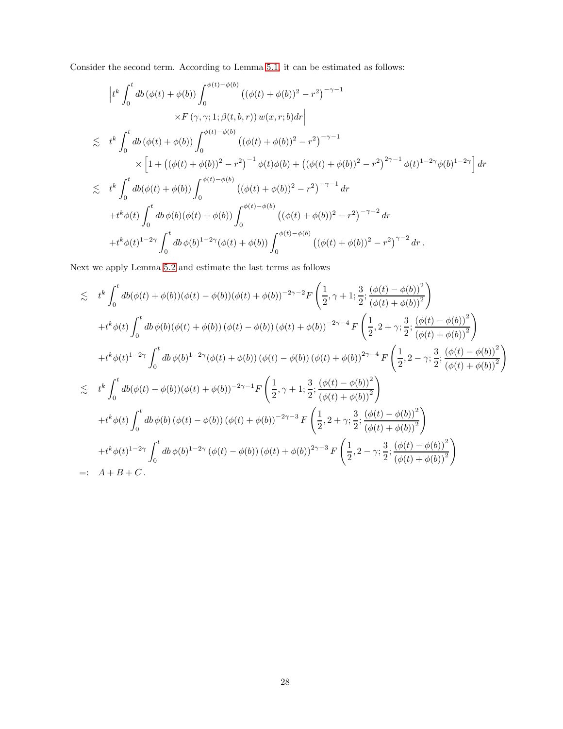Consider the second term. According to Lemma [5.1,](#page-33-0) it can be estimated as follows:

$$
\left|t^{k}\int_{0}^{t}db\left(\phi(t)+\phi(b)\right)\int_{0}^{\phi(t)-\phi(b)}\left((\phi(t)+\phi(b))^{2}-r^{2}\right)^{-\gamma-1} \times F\left(\gamma,\gamma;1;\beta(t,b,r)\right)w(x,r;b)dr\right|
$$
  
\n
$$
\leq t^{k}\int_{0}^{t}db\left(\phi(t)+\phi(b)\right)\int_{0}^{\phi(t)-\phi(b)}\left((\phi(t)+\phi(b))^{2}-r^{2}\right)^{-\gamma-1} \times \left[1+\left((\phi(t)+\phi(b))^{2}-r^{2}\right)^{-1}\phi(t)\phi(b)+\left((\phi(t)+\phi(b))^{2}-r^{2}\right)^{2\gamma-1}\phi(t)^{1-2\gamma}\phi(b)^{1-2\gamma}\right]dr
$$
  
\n
$$
\leq t^{k}\int_{0}^{t}db(\phi(t)+\phi(b))\int_{0}^{\phi(t)-\phi(b)}\left((\phi(t)+\phi(b))^{2}-r^{2}\right)^{-\gamma-1}dr
$$
  
\n
$$
+t^{k}\phi(t)\int_{0}^{t}db\phi(b)(\phi(t)+\phi(b))\int_{0}^{\phi(t)-\phi(b)}\left((\phi(t)+\phi(b))^{2}-r^{2}\right)^{-\gamma-2}dr
$$
  
\n
$$
+t^{k}\phi(t)^{1-2\gamma}\int_{0}^{t}db\phi(b)^{1-2\gamma}(\phi(t)+\phi(b))\int_{0}^{\phi(t)-\phi(b)}\left((\phi(t)+\phi(b))^{2}-r^{2}\right)^{\gamma-2}dr.
$$

Next we apply Lemma [5.2](#page-33-1) and estimate the last terms as follows

$$
\leq t^{k} \int_{0}^{t} db(\phi(t) + \phi(b))(\phi(t) - \phi(b))(\phi(t) + \phi(b))^{-2\gamma-2} F\left(\frac{1}{2}, \gamma + 1; \frac{3}{2}; \frac{(\phi(t) - \phi(b))^2}{(\phi(t) + \phi(b))^2}\right) \n+ t^{k}\phi(t) \int_{0}^{t} db \phi(b)(\phi(t) + \phi(b)) (\phi(t) - \phi(b)) (\phi(t) + \phi(b))^{-2\gamma-4} F\left(\frac{1}{2}, 2 + \gamma; \frac{3}{2}; \frac{(\phi(t) - \phi(b))^2}{(\phi(t) + \phi(b))^2}\right) \n+ t^{k}\phi(t)^{1-2\gamma} \int_{0}^{t} db \phi(b)^{1-2\gamma} (\phi(t) + \phi(b)) (\phi(t) - \phi(b)) (\phi(t) + \phi(b))^{2\gamma-4} F\left(\frac{1}{2}, 2 - \gamma; \frac{3}{2}; \frac{(\phi(t) - \phi(b))^2}{(\phi(t) + \phi(b))^2}\right) \n\leq t^{k} \int_{0}^{t} db(\phi(t) - \phi(b)) (\phi(t) + \phi(b))^{-2\gamma-1} F\left(\frac{1}{2}, \gamma + 1; \frac{3}{2}; \frac{(\phi(t) - \phi(b))^2}{(\phi(t) + \phi(b))^2}\right) \n+ t^{k}\phi(t) \int_{0}^{t} db \phi(b) (\phi(t) - \phi(b)) (\phi(t) + \phi(b))^{-2\gamma-3} F\left(\frac{1}{2}, 2 + \gamma; \frac{3}{2}; \frac{(\phi(t) - \phi(b))^2}{(\phi(t) + \phi(b))^2}\right) \n+ t^{k}\phi(t)^{1-2\gamma} \int_{0}^{t} db \phi(b)^{1-2\gamma} (\phi(t) - \phi(b)) (\phi(t) + \phi(b))^{2\gamma-3} F\left(\frac{1}{2}, 2 - \gamma; \frac{3}{2}; \frac{(\phi(t) - \phi(b))^2}{(\phi(t) + \phi(b))^2}\right) \n=: A + B + C.
$$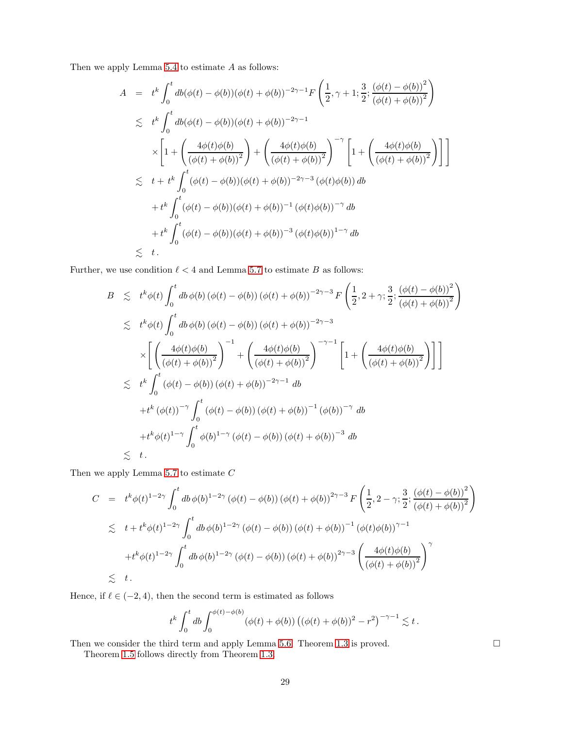Then we apply Lemma  $5.4$  to estimate  $A$  as follows:

$$
A = t^{k} \int_{0}^{t} db(\phi(t) - \phi(b))(\phi(t) + \phi(b))^{-2\gamma - 1} F\left(\frac{1}{2}, \gamma + 1; \frac{3}{2}; \frac{(\phi(t) - \phi(b))^{2}}{(\phi(t) + \phi(b))^{2}}\right)
$$
  
\n
$$
\leq t^{k} \int_{0}^{t} db(\phi(t) - \phi(b))(\phi(t) + \phi(b))^{-2\gamma - 1}
$$
  
\n
$$
\times \left[1 + \left(\frac{4\phi(t)\phi(b)}{(\phi(t) + \phi(b))^{2}}\right) + \left(\frac{4\phi(t)\phi(b)}{(\phi(t) + \phi(b))^{2}}\right)^{-\gamma} \left[1 + \left(\frac{4\phi(t)\phi(b)}{(\phi(t) + \phi(b))^{2}}\right)\right]\right]
$$
  
\n
$$
\leq t + t^{k} \int_{0}^{t} (\phi(t) - \phi(b))(\phi(t) + \phi(b))^{-2\gamma - 3} (\phi(t)\phi(b)) db
$$
  
\n
$$
+ t^{k} \int_{0}^{t} (\phi(t) - \phi(b))(\phi(t) + \phi(b))^{-1} (\phi(t)\phi(b))^{-\gamma} db
$$
  
\n
$$
+ t^{k} \int_{0}^{t} (\phi(t) - \phi(b))(\phi(t) + \phi(b))^{-3} (\phi(t)\phi(b))^{1-\gamma} db
$$
  
\n
$$
\leq t.
$$

Further, we use condition  $\ell < 4$  and Lemma [5.7](#page-36-0) to estimate  $B$  as follows:

$$
B \leq t^{k} \phi(t) \int_{0}^{t} db \phi(b) (\phi(t) - \phi(b)) (\phi(t) + \phi(b))^{-2\gamma - 3} F \left(\frac{1}{2}, 2 + \gamma; \frac{3}{2}; \frac{(\phi(t) - \phi(b))^{2}}{(\phi(t) + \phi(b))^{2}}\right)
$$
  
\n
$$
\leq t^{k} \phi(t) \int_{0}^{t} db \phi(b) (\phi(t) - \phi(b)) (\phi(t) + \phi(b))^{-2\gamma - 3}
$$
  
\n
$$
\times \left[ \left( \frac{4\phi(t)\phi(b)}{(\phi(t) + \phi(b))^{2}} \right)^{-1} + \left( \frac{4\phi(t)\phi(b)}{(\phi(t) + \phi(b))^{2}} \right)^{-\gamma - 1} \left[ 1 + \left( \frac{4\phi(t)\phi(b)}{(\phi(t) + \phi(b))^{2}} \right) \right] \right]
$$
  
\n
$$
\leq t^{k} \int_{0}^{t} (\phi(t) - \phi(b)) (\phi(t) + \phi(b))^{-2\gamma - 1} db
$$
  
\n
$$
+ t^{k} (\phi(t))^{-\gamma} \int_{0}^{t} (\phi(t) - \phi(b)) (\phi(t) + \phi(b))^{-1} (\phi(b))^{-\gamma} db
$$
  
\n
$$
+ t^{k} \phi(t)^{1 - \gamma} \int_{0}^{t} \phi(b)^{1 - \gamma} (\phi(t) - \phi(b)) (\phi(t) + \phi(b))^{-3} db
$$
  
\n
$$
\leq t.
$$

Then we apply Lemma  $5.7$  to estimate  $C$ 

$$
C = t^{k} \phi(t)^{1-2\gamma} \int_{0}^{t} db \phi(b)^{1-2\gamma} (\phi(t) - \phi(b)) (\phi(t) + \phi(b))^{2\gamma-3} F\left(\frac{1}{2}, 2 - \gamma; \frac{3}{2}; \frac{(\phi(t) - \phi(b))^2}{(\phi(t) + \phi(b))^2}\right)
$$
  

$$
\lesssim t + t^{k} \phi(t)^{1-2\gamma} \int_{0}^{t} db \phi(b)^{1-2\gamma} (\phi(t) - \phi(b)) (\phi(t) + \phi(b))^{-1} (\phi(t)\phi(b))^{\gamma-1}
$$
  

$$
+ t^{k} \phi(t)^{1-2\gamma} \int_{0}^{t} db \phi(b)^{1-2\gamma} (\phi(t) - \phi(b)) (\phi(t) + \phi(b))^{2\gamma-3} \left(\frac{4\phi(t)\phi(b)}{(\phi(t) + \phi(b))^2}\right)^{\gamma}
$$
  

$$
\lesssim t.
$$

Hence, if  $\ell \in (-2, 4)$ , then the second term is estimated as follows

$$
t^k \int_0^t db \int_0^{\phi(t) - \phi(b)} (\phi(t) + \phi(b)) ((\phi(t) + \phi(b))^2 - r^2)^{-\gamma - 1} \lesssim t.
$$

Then we consider the third term and apply Lemma [5.6.](#page-35-1) Theorem [1.3](#page-3-0) is proved.  $\square$ 

Theorem [1.5](#page-4-2) follows directly from Theorem [1.3.](#page-3-0)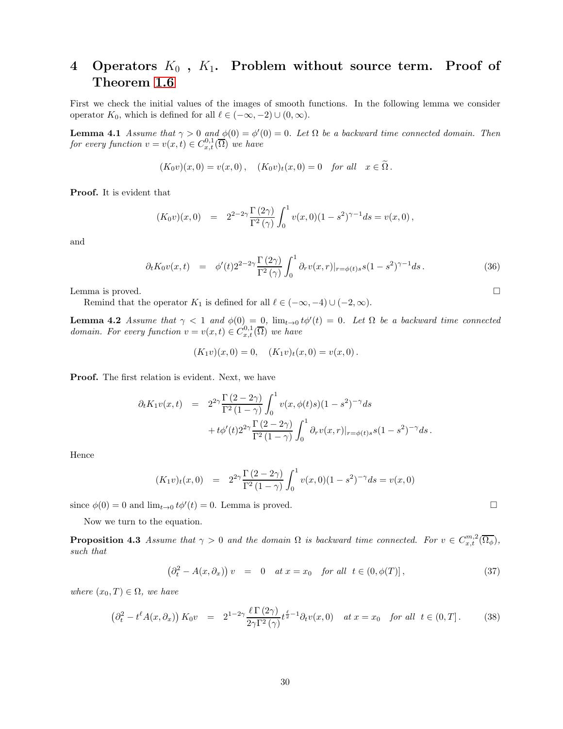## <span id="page-29-0"></span>4 Operators  $K_0$ ,  $K_1$ . Problem without source term. Proof of Theorem [1.6](#page-7-1)

First we check the initial values of the images of smooth functions. In the following lemma we consider operator  $K_0$ , which is defined for all  $\ell \in (-\infty, -2) \cup (0, \infty)$ .

**Lemma 4.1** Assume that  $\gamma > 0$  and  $\phi(0) = \phi'(0) = 0$ . Let  $\Omega$  be a backward time connected domain. Then for every function  $v = v(x,t) \in C^{0,1}_{x,t}(\overline{\Omega})$  we have

$$
(K_0v)(x,0) = v(x,0), \quad (K_0v)_t(x,0) = 0 \text{ for all } x \in \Omega.
$$

Proof. It is evident that

$$
(K_0 v)(x,0) = 2^{2-2\gamma} \frac{\Gamma(2\gamma)}{\Gamma^2(\gamma)} \int_0^1 v(x,0)(1-s^2)^{\gamma-1} ds = v(x,0),
$$

and

<span id="page-29-1"></span>
$$
\partial_t K_0 v(x,t) = \phi'(t) 2^{2-2\gamma} \frac{\Gamma(2\gamma)}{\Gamma^2(\gamma)} \int_0^1 \partial_r v(x,r)|_{r=\phi(t)s} s(1-s^2)^{\gamma-1} ds. \tag{36}
$$

Lemma is proved.

Remind that the operator  $K_1$  is defined for all  $\ell \in (-\infty, -4) \cup (-2, \infty)$ .

**Lemma 4.2** Assume that  $\gamma < 1$  and  $\phi(0) = 0$ ,  $\lim_{t\to 0} t\phi'(t) = 0$ . Let  $\Omega$  be a backward time connected *domain. For every function*  $v = v(x,t) \in C_{x,t}^{0,1}(\overline{\Omega})$  we have

$$
(K_1v)(x,0) = 0, \quad (K_1v)_t(x,0) = v(x,0).
$$

Proof. The first relation is evident. Next, we have

$$
\partial_t K_1 v(x,t) = 2^{2\gamma} \frac{\Gamma(2-2\gamma)}{\Gamma^2(1-\gamma)} \int_0^1 v(x,\phi(t)s)(1-s^2)^{-\gamma} ds + t\phi'(t) 2^{2\gamma} \frac{\Gamma(2-2\gamma)}{\Gamma^2(1-\gamma)} \int_0^1 \partial_r v(x,r)|_{r=\phi(t)s} s(1-s^2)^{-\gamma} ds.
$$

Hence

$$
(K_1v)_t(x,0) = 2^{2\gamma} \frac{\Gamma(2-2\gamma)}{\Gamma^2(1-\gamma)} \int_0^1 v(x,0)(1-s^2)^{-\gamma} ds = v(x,0)
$$

since  $\phi(0) = 0$  and  $\lim_{t \to 0} t\phi'(t) = 0$ . Lemma is proved.

Now we turn to the equation.

**Proposition 4.3** Assume that  $\gamma > 0$  and the domain  $\Omega$  is backward time connected. For  $v \in C_{x,t}^{m,2}(\overline{\Omega_{\phi}})$ , such that

$$
\left(\partial_t^2 - A(x,\partial_x)\right)v = 0 \quad at \ x = x_0 \quad \text{for all} \ \ t \in (0,\phi(T)],\tag{37}
$$

where  $(x_0, T) \in \Omega$ , we have

$$
\left(\partial_t^2 - t^\ell A(x,\partial_x)\right) K_0 v = 2^{1-2\gamma} \frac{\ell \Gamma(2\gamma)}{2\gamma \Gamma^2(\gamma)} t^{\frac{\ell}{2}-1} \partial_t v(x,0) \quad at \ x = x_0 \quad \text{for all} \ \ t \in (0,T]. \tag{38}
$$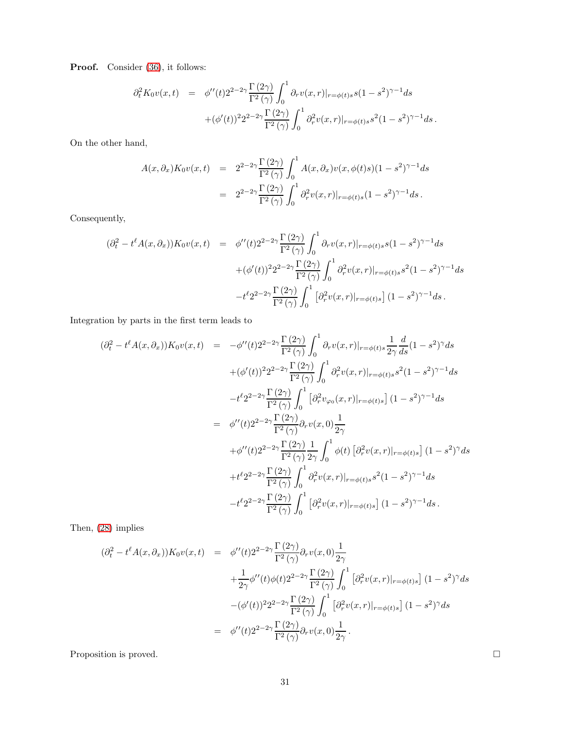Proof. Consider [\(36\)](#page-29-1), it follows:

$$
\partial_t^2 K_0 v(x,t) = \phi''(t) 2^{2-2\gamma} \frac{\Gamma(2\gamma)}{\Gamma^2(\gamma)} \int_0^1 \partial_r v(x,r)|_{r=\phi(t)s} s(1-s^2)^{\gamma-1} ds + (\phi'(t))^2 2^{2-2\gamma} \frac{\Gamma(2\gamma)}{\Gamma^2(\gamma)} \int_0^1 \partial_r^2 v(x,r)|_{r=\phi(t)s} s^2 (1-s^2)^{\gamma-1} ds.
$$

On the other hand,

$$
A(x,\partial_x)K_0v(x,t) = 2^{2-2\gamma}\frac{\Gamma(2\gamma)}{\Gamma^2(\gamma)}\int_0^1 A(x,\partial_x)v(x,\phi(t)s)(1-s^2)^{\gamma-1}ds
$$
  

$$
= 2^{2-2\gamma}\frac{\Gamma(2\gamma)}{\Gamma^2(\gamma)}\int_0^1 \partial_r^2v(x,r)|_{r=\phi(t)s}(1-s^2)^{\gamma-1}ds.
$$

Consequently,

$$
(\partial_t^2 - t^\ell A(x, \partial_x)) K_0 v(x, t) = \phi''(t) 2^{2-2\gamma} \frac{\Gamma(2\gamma)}{\Gamma^2(\gamma)} \int_0^1 \partial_r v(x, r)|_{r = \phi(t)s} s(1 - s^2)^{\gamma - 1} ds + (\phi'(t))^2 2^{2-2\gamma} \frac{\Gamma(2\gamma)}{\Gamma^2(\gamma)} \int_0^1 \partial_r^2 v(x, r)|_{r = \phi(t)s} s^2 (1 - s^2)^{\gamma - 1} ds -t^\ell 2^{2-2\gamma} \frac{\Gamma(2\gamma)}{\Gamma^2(\gamma)} \int_0^1 [\partial_r^2 v(x, r)|_{r = \phi(t)s}] (1 - s^2)^{\gamma - 1} ds.
$$

Integration by parts in the first term leads to

$$
(\partial_t^2 - t^\ell A(x, \partial_x)) K_0 v(x, t) = -\phi''(t) 2^{2-2\gamma} \frac{\Gamma(2\gamma)}{\Gamma^2(\gamma)} \int_0^1 \partial_r v(x, r)|_{r=\phi(t)s} \frac{1}{2\gamma} \frac{d}{ds} (1 - s^2)^\gamma ds + (\phi'(t))^2 2^{2-2\gamma} \frac{\Gamma(2\gamma)}{\Gamma^2(\gamma)} \int_0^1 \partial_r^2 v(x, r)|_{r=\phi(t)s} s^2 (1 - s^2)^{\gamma - 1} ds -t^{\ell} 2^{2-2\gamma} \frac{\Gamma(2\gamma)}{\Gamma^2(\gamma)} \int_0^1 \left[ \partial_r^2 v_{\varphi_0}(x, r)|_{r=\phi(t)s} \right] (1 - s^2)^{\gamma - 1} ds = \phi''(t) 2^{2-2\gamma} \frac{\Gamma(2\gamma)}{\Gamma^2(\gamma)} \partial_r v(x, 0) \frac{1}{2\gamma} + \phi''(t) 2^{2-2\gamma} \frac{\Gamma(2\gamma)}{\Gamma^2(\gamma)} \frac{1}{2\gamma} \int_0^1 \phi(t) \left[ \partial_r^2 v(x, r)|_{r=\phi(t)s} \right] (1 - s^2)^\gamma ds + t^{\ell} 2^{2-2\gamma} \frac{\Gamma(2\gamma)}{\Gamma^2(\gamma)} \int_0^1 \partial_r^2 v(x, r)|_{r=\phi(t)s} s^2 (1 - s^2)^{\gamma - 1} ds -t^{\ell} 2^{2-2\gamma} \frac{\Gamma(2\gamma)}{\Gamma^2(\gamma)} \int_0^1 \left[ \partial_r^2 v(x, r)|_{r=\phi(t)s} \right] (1 - s^2)^{\gamma - 1} ds.
$$

Then, [\(28\)](#page-11-0) implies

$$
(\partial_t^2 - t^\ell A(x, \partial_x)) K_0 v(x, t) = \phi''(t) 2^{2-2\gamma} \frac{\Gamma(2\gamma)}{\Gamma^2(\gamma)} \partial_r v(x, 0) \frac{1}{2\gamma}
$$
  

$$
+ \frac{1}{2\gamma} \phi''(t) \phi(t) 2^{2-2\gamma} \frac{\Gamma(2\gamma)}{\Gamma^2(\gamma)} \int_0^1 \left[ \partial_r^2 v(x, r) \vert_{r = \phi(t)s} \right] (1 - s^2)^\gamma ds
$$
  

$$
- (\phi'(t))^2 2^{2-2\gamma} \frac{\Gamma(2\gamma)}{\Gamma^2(\gamma)} \int_0^1 \left[ \partial_r^2 v(x, r) \vert_{r = \phi(t)s} \right] (1 - s^2)^\gamma ds
$$
  

$$
= \phi''(t) 2^{2-2\gamma} \frac{\Gamma(2\gamma)}{\Gamma^2(\gamma)} \partial_r v(x, 0) \frac{1}{2\gamma}.
$$

Proposition is proved.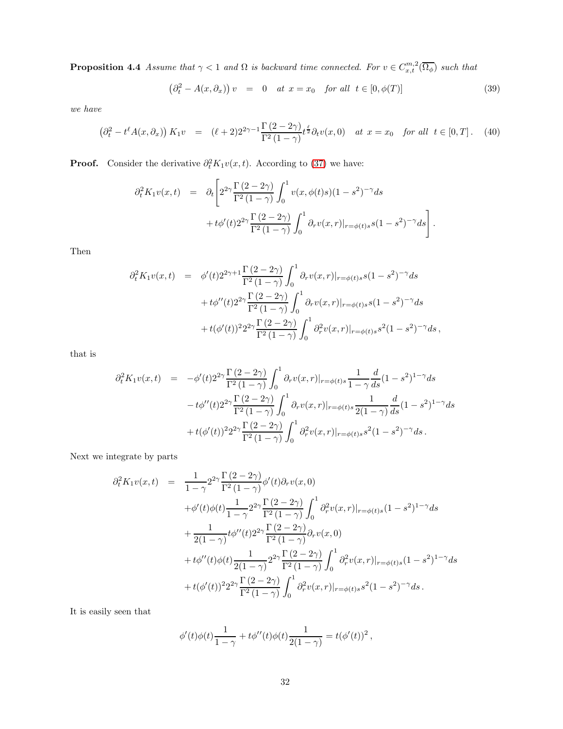**Proposition 4.4** Assume that  $\gamma < 1$  and  $\Omega$  is backward time connected. For  $v \in C_{x,t}^{m,2}(\overline{\Omega_{\phi}})$  such that

$$
\left(\partial_t^2 - A(x,\partial_x)\right)v = 0 \quad at \ x = x_0 \quad \text{for all} \ \ t \in [0,\phi(T)] \tag{39}
$$

we have

$$
\left(\partial_t^2 - t^\ell A(x, \partial_x)\right) K_1 v = (\ell + 2) 2^{2\gamma - 1} \frac{\Gamma(2 - 2\gamma)}{\Gamma^2(1 - \gamma)} t^{\frac{\ell}{2}} \partial_t v(x, 0) \quad at \ x = x_0 \quad \text{for all} \ \ t \in [0, T]. \tag{40}
$$

**Proof.** Consider the derivative  $\partial_t^2 K_1 v(x,t)$ . According to (37) we have:

$$
\partial_t^2 K_1 v(x,t) = \partial_t \left[ 2^{\gamma} \frac{\Gamma(2-2\gamma)}{\Gamma^2(1-\gamma)} \int_0^1 v(x,\phi(t)s)(1-s^2)^{-\gamma} ds + t\phi'(t)2^{2\gamma} \frac{\Gamma(2-2\gamma)}{\Gamma^2(1-\gamma)} \int_0^1 \partial_r v(x,r)|_{r=\phi(t)s} s(1-s^2)^{-\gamma} ds \right].
$$

Then

$$
\partial_t^2 K_1 v(x,t) = \phi'(t) 2^{2\gamma+1} \frac{\Gamma(2-2\gamma)}{\Gamma^2(1-\gamma)} \int_0^1 \partial_r v(x,r)|_{r=\phi(t)s} s(1-s^2)^{-\gamma} ds \n+ t\phi''(t) 2^{2\gamma} \frac{\Gamma(2-2\gamma)}{\Gamma^2(1-\gamma)} \int_0^1 \partial_r v(x,r)|_{r=\phi(t)s} s(1-s^2)^{-\gamma} ds \n+ t(\phi'(t))^2 2^{2\gamma} \frac{\Gamma(2-2\gamma)}{\Gamma^2(1-\gamma)} \int_0^1 \partial_r^2 v(x,r)|_{r=\phi(t)s} s^2(1-s^2)^{-\gamma} ds,
$$

that is

$$
\partial_t^2 K_1 v(x,t) = -\phi'(t) 2^{2\gamma} \frac{\Gamma(2-2\gamma)}{\Gamma^2(1-\gamma)} \int_0^1 \partial_r v(x,r)|_{r=\phi(t)s} \frac{1}{1-\gamma} \frac{d}{ds} (1-s^2)^{1-\gamma} ds \n- t\phi''(t) 2^{2\gamma} \frac{\Gamma(2-2\gamma)}{\Gamma^2(1-\gamma)} \int_0^1 \partial_r v(x,r)|_{r=\phi(t)s} \frac{1}{2(1-\gamma)} \frac{d}{ds} (1-s^2)^{1-\gamma} ds \n+ t(\phi'(t))^2 2^{2\gamma} \frac{\Gamma(2-2\gamma)}{\Gamma^2(1-\gamma)} \int_0^1 \partial_r^2 v(x,r)|_{r=\phi(t)s} s^2 (1-s^2)^{-\gamma} ds.
$$

Next we integrate by parts

$$
\partial_t^2 K_1 v(x,t) = \frac{1}{1-\gamma} 2^{2\gamma} \frac{\Gamma(2-2\gamma)}{\Gamma^2(1-\gamma)} \phi'(t) \partial_r v(x,0) \n+ \phi'(t) \phi(t) \frac{1}{1-\gamma} 2^{2\gamma} \frac{\Gamma(2-2\gamma)}{\Gamma^2(1-\gamma)} \int_0^1 \partial_r^2 v(x,r)|_{r=\phi(t)s} (1-s^2)^{1-\gamma} ds \n+ \frac{1}{2(1-\gamma)} t \phi''(t) 2^{2\gamma} \frac{\Gamma(2-2\gamma)}{\Gamma^2(1-\gamma)} \partial_r v(x,0) \n+ t \phi''(t) \phi(t) \frac{1}{2(1-\gamma)} 2^{2\gamma} \frac{\Gamma(2-2\gamma)}{\Gamma^2(1-\gamma)} \int_0^1 \partial_r^2 v(x,r)|_{r=\phi(t)s} (1-s^2)^{1-\gamma} ds \n+ t (\phi'(t))^2 2^{2\gamma} \frac{\Gamma(2-2\gamma)}{\Gamma^2(1-\gamma)} \int_0^1 \partial_r^2 v(x,r)|_{r=\phi(t)s} s^2 (1-s^2)^{-\gamma} ds.
$$

It is easily seen that

$$
\phi'(t)\phi(t)\frac{1}{1-\gamma}+t\phi''(t)\phi(t)\frac{1}{2(1-\gamma)}=t(\phi'(t))^2\,,
$$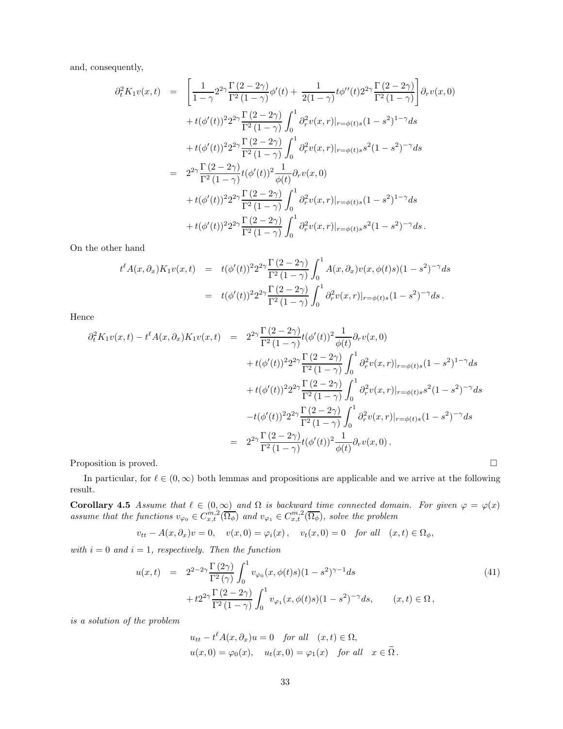and, consequently,

$$
\partial_t^2 K_1 v(x,t) = \left[ \frac{1}{1-\gamma} 2^{2\gamma} \frac{\Gamma(2-2\gamma)}{\Gamma^2(1-\gamma)} \phi'(t) + \frac{1}{2(1-\gamma)} t \phi''(t) 2^{2\gamma} \frac{\Gamma(2-2\gamma)}{\Gamma^2(1-\gamma)} \right] \partial_r v(x,0)
$$
  
+  $t(\phi'(t))^2 2^{2\gamma} \frac{\Gamma(2-2\gamma)}{\Gamma^2(1-\gamma)} \int_0^1 \partial_r^2 v(x,r)|_{r=\phi(t)s} (1-s^2)^{1-\gamma} ds$   
+  $t(\phi'(t))^2 2^{2\gamma} \frac{\Gamma(2-2\gamma)}{\Gamma^2(1-\gamma)} \int_0^1 \partial_r^2 v(x,r)|_{r=\phi(t)s} s^2 (1-s^2)^{-\gamma} ds$   
=  $2^{2\gamma} \frac{\Gamma(2-2\gamma)}{\Gamma^2(1-\gamma)} t(\phi'(t))^2 \frac{1}{\phi(t)} \partial_r v(x,0)$   
+  $t(\phi'(t))^2 2^{2\gamma} \frac{\Gamma(2-2\gamma)}{\Gamma^2(1-\gamma)} \int_0^1 \partial_r^2 v(x,r)|_{r=\phi(t)s} (1-s^2)^{1-\gamma} ds$   
+  $t(\phi'(t))^2 2^{2\gamma} \frac{\Gamma(2-2\gamma)}{\Gamma^2(1-\gamma)} \int_0^1 \partial_r^2 v(x,r)|_{r=\phi(t)s} s^2 (1-s^2)^{-\gamma} ds$ .

On the other hand

$$
t^{\ell} A(x, \partial_x) K_1 v(x, t) = t(\phi'(t))^2 2^{2\gamma} \frac{\Gamma(2 - 2\gamma)}{\Gamma^2(1 - \gamma)} \int_0^1 A(x, \partial_x) v(x, \phi(t)s)(1 - s^2)^{-\gamma} ds
$$
  
=  $t(\phi'(t))^2 2^{2\gamma} \frac{\Gamma(2 - 2\gamma)}{\Gamma^2(1 - \gamma)} \int_0^1 \partial_r^2 v(x, r)|_{r = \phi(t)s}(1 - s^2)^{-\gamma} ds.$ 

Hence

$$
\partial_t^2 K_1 v(x,t) - t^\ell A(x,\partial_x) K_1 v(x,t) = 2^{2\gamma} \frac{\Gamma(2-2\gamma)}{\Gamma^2(1-\gamma)} t(\phi'(t))^2 \frac{1}{\phi(t)} \partial_r v(x,0)
$$
  
+  $t(\phi'(t))^2 2^{2\gamma} \frac{\Gamma(2-2\gamma)}{\Gamma^2(1-\gamma)} \int_0^1 \partial_r^2 v(x,r)|_{r=\phi(t)s} (1-s^2)^{1-\gamma} ds$   
+  $t(\phi'(t))^2 2^{2\gamma} \frac{\Gamma(2-2\gamma)}{\Gamma^2(1-\gamma)} \int_0^1 \partial_r^2 v(x,r)|_{r=\phi(t)s} s^2 (1-s^2)^{-\gamma} ds$   
-  $t(\phi'(t))^2 2^{2\gamma} \frac{\Gamma(2-2\gamma)}{\Gamma^2(1-\gamma)} \int_0^1 \partial_r^2 v(x,r)|_{r=\phi(t)s} (1-s^2)^{-\gamma} ds$   
=  $2^{2\gamma} \frac{\Gamma(2-2\gamma)}{\Gamma^2(1-\gamma)} t(\phi'(t))^2 \frac{1}{\phi(t)} \partial_r v(x,0).$ 

Proposition is proved.

In particular, for  $\ell \in (0,\infty)$  both lemmas and propositions are applicable and we arrive at the following result.

**Corollary 4.5** Assume that  $\ell \in (0,\infty)$  and  $\Omega$  is backward time connected domain. For given  $\varphi = \varphi(x)$ assume that the functions  $v_{\varphi_0} \in C_{x,t}^{m,2}(\overline{\Omega_{\phi}})$  and  $v_{\varphi_1} \in C_{x,t}^{m,2}(\overline{\Omega_{\phi}})$ , solve the problem

$$
v_{tt} - A(x, \partial_x)v = 0, \quad v(x, 0) = \varphi_i(x), \quad v_t(x, 0) = 0 \quad \text{for all} \quad (x, t) \in \Omega_\phi,
$$

with  $i = 0$  and  $i = 1$ , respectively. Then the function

$$
u(x,t) = 2^{2-2\gamma} \frac{\Gamma(2\gamma)}{\Gamma^2(\gamma)} \int_0^1 v_{\varphi_0}(x,\phi(t)s)(1-s^2)^{\gamma-1} ds + t2^{2\gamma} \frac{\Gamma(2-2\gamma)}{\Gamma^2(1-\gamma)} \int_0^1 v_{\varphi_1}(x,\phi(t)s)(1-s^2)^{-\gamma} ds, \qquad (x,t) \in \Omega,
$$
\n
$$
(41)
$$

is a solution of the problem

$$
u_{tt} - t^{\ell} A(x, \partial_x) u = 0 \quad \text{for all} \quad (x, t) \in \Omega,
$$
  

$$
u(x, 0) = \varphi_0(x), \quad u_t(x, 0) = \varphi_1(x) \quad \text{for all} \quad x \in \tilde{\Omega}.
$$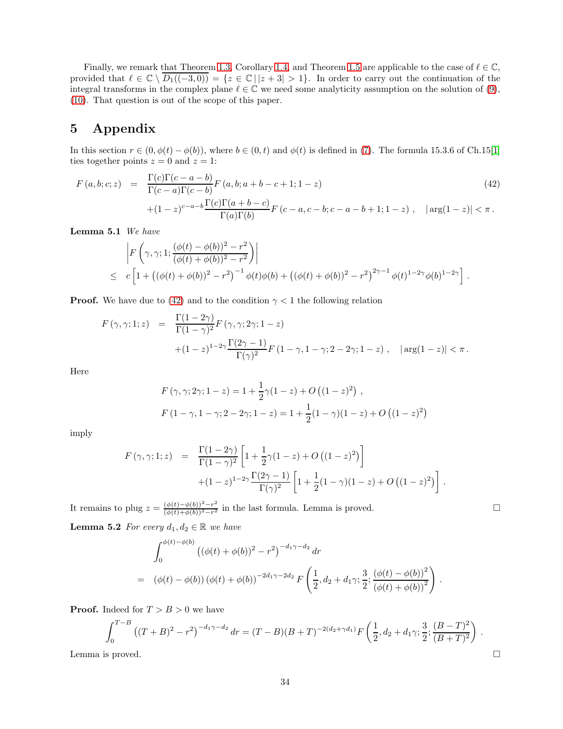Finally, we remark that Theorem [1.3,](#page-3-0) Corollary [1.4,](#page-4-4) and Theorem [1.5](#page-4-2) are applicable to the case of  $\ell \in \mathbb{C}$ , provided that  $\ell \in \mathbb{C} \setminus \overline{D_1((-3,0))} = \{z \in \mathbb{C} \mid |z+3| > 1\}.$  In order to carry out the continuation of the integral transforms in the complex plane  $\ell \in \mathbb{C}$  we need some analyticity assumption on the solution of [\(9\)](#page-4-3), [\(10\)](#page-4-3). That question is out of the scope of this paper.

#### 5 Appendix

In this section  $r \in (0, \phi(t) - \phi(b))$ , where  $b \in (0, t)$  and  $\phi(t)$  is defined in [\(7\)](#page-2-2). The formula 15.3.6 of Ch.15[\[1\]](#page-37-7) ties together points  $z = 0$  and  $z = 1$ :

<span id="page-33-3"></span>
$$
F(a, b; c; z) = \frac{\Gamma(c)\Gamma(c - a - b)}{\Gamma(c - a)\Gamma(c - b)} F(a, b; a + b - c + 1; 1 - z)
$$
\n
$$
+ (1 - z)^{c - a - b} \frac{\Gamma(c)\Gamma(a + b - c)}{\Gamma(a)\Gamma(b)} F(c - a, c - b; c - a - b + 1; 1 - z), \quad |\arg(1 - z)| < \pi.
$$
\n(42)

<span id="page-33-0"></span>Lemma 5.1 We have

$$
\begin{aligned}\n&\left|F\left(\gamma,\gamma;1;\frac{(\phi(t)-\phi(b))^2-r^2}{(\phi(t)+\phi(b))^2-r^2}\right)\right| \\
&\leq c\left[1+\left((\phi(t)+\phi(b))^2-r^2\right)^{-1}\phi(t)\phi(b)+\left((\phi(t)+\phi(b))^2-r^2\right)^{2\gamma-1}\phi(t)^{1-2\gamma}\phi(b)^{1-2\gamma}\right].\n\end{aligned}
$$

**Proof.** We have due to [\(42\)](#page-33-3) and to the condition  $\gamma < 1$  the following relation

$$
F(\gamma, \gamma; 1; z) = \frac{\Gamma(1 - 2\gamma)}{\Gamma(1 - \gamma)^2} F(\gamma, \gamma; 2\gamma; 1 - z)
$$
  
 
$$
+ (1 - z)^{1 - 2\gamma} \frac{\Gamma(2\gamma - 1)}{\Gamma(\gamma)^2} F(1 - \gamma, 1 - \gamma; 2 - 2\gamma; 1 - z), \quad |\arg(1 - z)| < \pi.
$$

Here

$$
F(\gamma, \gamma; 2\gamma; 1-z) = 1 + \frac{1}{2}\gamma(1-z) + O((1-z)^2) ,
$$
  
 
$$
F(1-\gamma, 1-\gamma; 2-2\gamma; 1-z) = 1 + \frac{1}{2}(1-\gamma)(1-z) + O((1-z)^2)
$$

imply

$$
F(\gamma, \gamma; 1; z) = \frac{\Gamma(1 - 2\gamma)}{\Gamma(1 - \gamma)^2} \left[ 1 + \frac{1}{2}\gamma(1 - z) + O((1 - z)^2) \right] + (1 - z)^{1 - 2\gamma} \frac{\Gamma(2\gamma - 1)}{\Gamma(\gamma)^2} \left[ 1 + \frac{1}{2}(1 - \gamma)(1 - z) + O((1 - z)^2) \right].
$$

<span id="page-33-1"></span>It remains to plug  $z = \frac{(\phi(t) - \phi(b))^2 - r^2}{(\phi(t) + \phi(b))^2 - r^2}$  $\frac{(\phi(t)-\phi(b))-r}{(\phi(t)+\phi(b))^2-r^2}$  in the last formula. Lemma is proved.

**Lemma 5.2** For every  $d_1, d_2 \in \mathbb{R}$  we have

$$
\int_0^{\phi(t)-\phi(b)} \left( (\phi(t)+\phi(b))^2 - r^2 \right)^{-d_1\gamma-d_2} dr
$$
\n
$$
= (\phi(t)-\phi(b))(\phi(t)+\phi(b))^{-2d_1\gamma-2d_2} F\left(\frac{1}{2}, d_2+d_1\gamma; \frac{3}{2}; \frac{(\phi(t)-\phi(b))^2}{(\phi(t)+\phi(b))^2}\right).
$$

**Proof.** Indeed for  $T > B > 0$  we have

$$
\int_0^{T-B} ((T+B)^2 - r^2)^{-d_1 \gamma - d_2} dr = (T-B)(B+T)^{-2(d_2+\gamma d_1)} F\left(\frac{1}{2}, d_2 + d_1 \gamma; \frac{3}{2}; \frac{(B-T)^2}{(B+T)^2}\right).
$$
  
Lemma is proved.

<span id="page-33-2"></span>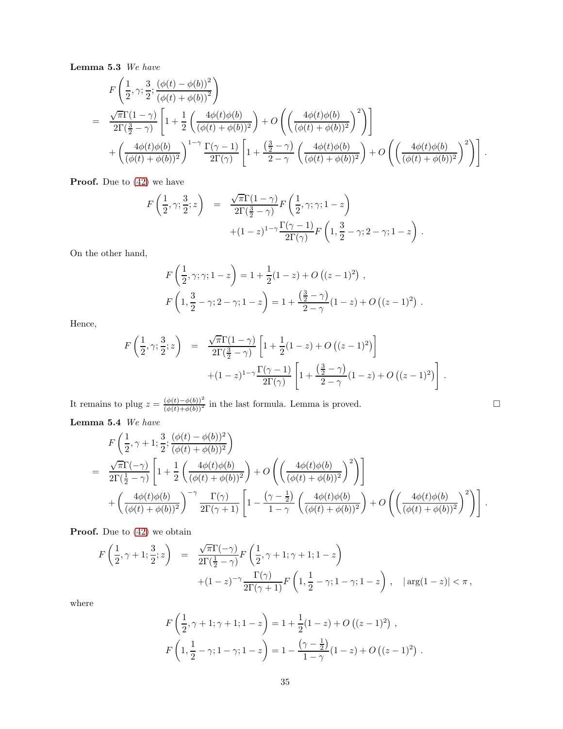Lemma 5.3 We have

$$
F\left(\frac{1}{2},\gamma;\frac{3}{2};\frac{(\phi(t)-\phi(b))^2}{(\phi(t)+\phi(b))^2}\right)
$$
  
= 
$$
\frac{\sqrt{\pi}\Gamma(1-\gamma)}{2\Gamma(\frac{3}{2}-\gamma)}\left[1+\frac{1}{2}\left(\frac{4\phi(t)\phi(b)}{(\phi(t)+\phi(b))^2}\right)+O\left(\left(\frac{4\phi(t)\phi(b)}{(\phi(t)+\phi(b))^2}\right)^2\right)\right]
$$

$$
+\left(\frac{4\phi(t)\phi(b)}{(\phi(t)+\phi(b))^2}\right)^{1-\gamma}\frac{\Gamma(\gamma-1)}{2\Gamma(\gamma)}\left[1+\frac{(\frac{3}{2}-\gamma)}{2-\gamma}\left(\frac{4\phi(t)\phi(b)}{(\phi(t)+\phi(b))^2}\right)+O\left(\left(\frac{4\phi(t)\phi(b)}{(\phi(t)+\phi(b))^2}\right)^2\right)\right].
$$

**Proof.** Due to  $(42)$  we have

$$
F\left(\frac{1}{2},\gamma;\frac{3}{2};z\right) = \frac{\sqrt{\pi}\Gamma(1-\gamma)}{2\Gamma(\frac{3}{2}-\gamma)}F\left(\frac{1}{2},\gamma;\gamma;1-z\right) + (1-z)^{1-\gamma}\frac{\Gamma(\gamma-1)}{2\Gamma(\gamma)}F\left(1,\frac{3}{2}-\gamma;2-\gamma;1-z\right).
$$

On the other hand,

$$
F\left(\frac{1}{2}, \gamma; \gamma; 1-z\right) = 1 + \frac{1}{2}(1-z) + O\left((z-1)^2\right) ,
$$
  

$$
F\left(1, \frac{3}{2} - \gamma; 2-\gamma; 1-z\right) = 1 + \frac{\left(\frac{3}{2} - \gamma\right)}{2-\gamma}(1-z) + O\left((z-1)^2\right) .
$$

Hence,

$$
F\left(\frac{1}{2},\gamma;\frac{3}{2};z\right) = \frac{\sqrt{\pi}\Gamma(1-\gamma)}{2\Gamma(\frac{3}{2}-\gamma)} \left[1+\frac{1}{2}(1-z)+O\left((z-1)^2\right)\right] + (1-z)^{1-\gamma}\frac{\Gamma(\gamma-1)}{2\Gamma(\gamma)} \left[1+\frac{\left(\frac{3}{2}-\gamma\right)}{2-\gamma}(1-z)+O\left((z-1)^2\right)\right].
$$

<span id="page-34-0"></span>It remains to plug  $z = \frac{(\phi(t) - \phi(b))^2}{(\phi(t) + \phi(b))^2}$  in the last formula. Lemma is proved. Lemma 5.4 We have

$$
F\left(\frac{1}{2},\gamma+1;\frac{3}{2};\frac{(\phi(t)-\phi(b))^2}{(\phi(t)+\phi(b))^2}\right)
$$
  
= 
$$
\frac{\sqrt{\pi}\Gamma(-\gamma)}{2\Gamma(\frac{1}{2}-\gamma)}\left[1+\frac{1}{2}\left(\frac{4\phi(t)\phi(b)}{(\phi(t)+\phi(b))^2}\right)+O\left(\left(\frac{4\phi(t)\phi(b)}{(\phi(t)+\phi(b))^2}\right)^2\right)\right]
$$

$$
+\left(\frac{4\phi(t)\phi(b)}{(\phi(t)+\phi(b))^2}\right)^{-\gamma}\frac{\Gamma(\gamma)}{2\Gamma(\gamma+1)}\left[1-\frac{(\gamma-\frac{1}{2})}{1-\gamma}\left(\frac{4\phi(t)\phi(b)}{(\phi(t)+\phi(b))^2}\right)+O\left(\left(\frac{4\phi(t)\phi(b)}{(\phi(t)+\phi(b))^2}\right)^2\right)\right].
$$

**Proof.** Due to  $(42)$  we obtain

$$
F\left(\frac{1}{2},\gamma+1;\frac{3}{2};z\right) = \frac{\sqrt{\pi}\Gamma(-\gamma)}{2\Gamma(\frac{1}{2}-\gamma)}F\left(\frac{1}{2},\gamma+1;\gamma+1;1-z\right)
$$
  
 
$$
+(1-z)^{-\gamma}\frac{\Gamma(\gamma)}{2\Gamma(\gamma+1)}F\left(1,\frac{1}{2}-\gamma;1-\gamma;1-z\right), \quad |\arg(1-z)| < \pi,
$$

where

$$
F\left(\frac{1}{2}, \gamma + 1; \gamma + 1; 1 - z\right) = 1 + \frac{1}{2}(1 - z) + O\left((z - 1)^2\right),
$$
  

$$
F\left(1, \frac{1}{2} - \gamma; 1 - \gamma; 1 - z\right) = 1 - \frac{\left(\gamma - \frac{1}{2}\right)}{1 - \gamma}(1 - z) + O\left((z - 1)^2\right).
$$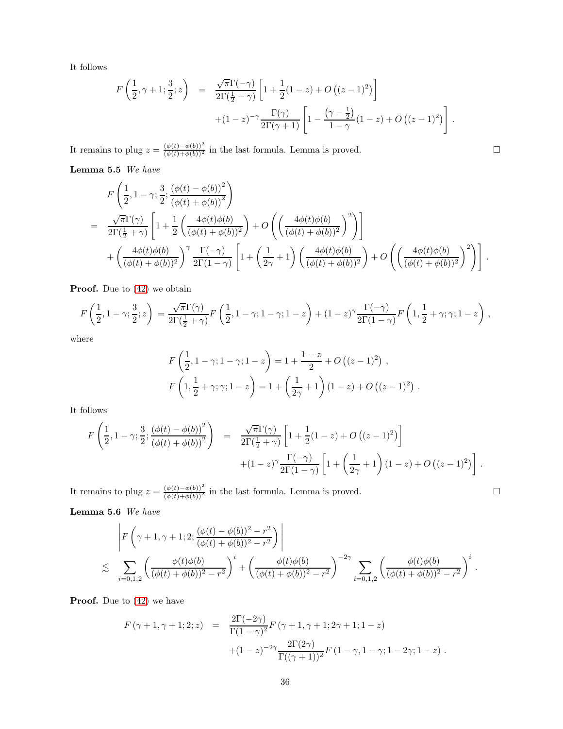It follows

$$
F\left(\frac{1}{2},\gamma+1;\frac{3}{2};z\right) = \frac{\sqrt{\pi}\Gamma(-\gamma)}{2\Gamma(\frac{1}{2}-\gamma)} \left[1+\frac{1}{2}(1-z)+O\left((z-1)^2\right)\right] + (1-z)^{-\gamma} \frac{\Gamma(\gamma)}{2\Gamma(\gamma+1)} \left[1-\frac{\left(\gamma-\frac{1}{2}\right)}{1-\gamma}(1-z)+O\left((z-1)^2\right)\right].
$$

<span id="page-35-0"></span>It remains to plug  $z = \frac{(\phi(t) - \phi(b))^2}{(\phi(t) + \phi(b))^2}$  in the last formula. Lemma is proved.

Lemma 5.5  ${\it We}$   ${\it have}$ 

$$
F\left(\frac{1}{2},1-\gamma;\frac{3}{2};\frac{(\phi(t)-\phi(b))^2}{(\phi(t)+\phi(b))^2}\right)
$$
  
= 
$$
\frac{\sqrt{\pi}\Gamma(\gamma)}{2\Gamma(\frac{1}{2}+\gamma)}\left[1+\frac{1}{2}\left(\frac{4\phi(t)\phi(b)}{(\phi(t)+\phi(b))^2}\right)+O\left(\left(\frac{4\phi(t)\phi(b)}{(\phi(t)+\phi(b))^2}\right)^2\right)\right]
$$

$$
+\left(\frac{4\phi(t)\phi(b)}{(\phi(t)+\phi(b))^2}\right)^{\gamma}\frac{\Gamma(-\gamma)}{2\Gamma(1-\gamma)}\left[1+\left(\frac{1}{2\gamma}+1\right)\left(\frac{4\phi(t)\phi(b)}{(\phi(t)+\phi(b))^2}\right)+O\left(\left(\frac{4\phi(t)\phi(b)}{(\phi(t)+\phi(b))^2}\right)^2\right)\right].
$$

**Proof.** Due to  $(42)$  we obtain

$$
F\left(\frac{1}{2},1-\gamma;\frac{3}{2};z\right) = \frac{\sqrt{\pi}\Gamma(\gamma)}{2\Gamma(\frac{1}{2}+\gamma)}F\left(\frac{1}{2},1-\gamma;1-\gamma;1-z\right) + (1-z)^{\gamma}\frac{\Gamma(-\gamma)}{2\Gamma(1-\gamma)}F\left(1,\frac{1}{2}+\gamma;\gamma;1-z\right),\,
$$

where

$$
F\left(\frac{1}{2}, 1-\gamma; 1-\gamma; 1-z\right) = 1 + \frac{1-z}{2} + O\left((z-1)^2\right),
$$
  

$$
F\left(1, \frac{1}{2}+\gamma; \gamma; 1-z\right) = 1 + \left(\frac{1}{2\gamma} + 1\right)(1-z) + O\left((z-1)^2\right).
$$

It follows

$$
F\left(\frac{1}{2},1-\gamma;\frac{3}{2};\frac{(\phi(t)-\phi(b))^2}{(\phi(t)+\phi(b))^2}\right) = \frac{\sqrt{\pi}\Gamma(\gamma)}{2\Gamma(\frac{1}{2}+\gamma)}\left[1+\frac{1}{2}(1-z)+O((z-1)^2)\right] + (1-z)^{\gamma}\frac{\Gamma(-\gamma)}{2\Gamma(1-\gamma)}\left[1+\left(\frac{1}{2\gamma}+1\right)(1-z)+O((z-1)^2)\right].
$$

<span id="page-35-1"></span>It remains to plug  $z = \frac{(\phi(t) - \phi(b))^2}{(\phi(t) + \phi(b))^2}$  in the last formula. Lemma is proved.

Lemma 5.6 We have

$$
\left| F\left(\gamma+1,\gamma+1;2;\frac{(\phi(t)-\phi(b))^2-r^2}{(\phi(t)+\phi(b))^2-r^2}\right) \right|
$$
  
\$\leq \sum\_{i=0,1,2}\$ \left( \frac{\phi(t)\phi(b)}{(\phi(t)+\phi(b))^2-r^2} \right)^i + \left( \frac{\phi(t)\phi(b)}{(\phi(t)+\phi(b))^2-r^2} \right)^{-2\gamma} \sum\_{i=0,1,2} \left( \frac{\phi(t)\phi(b)}{(\phi(t)+\phi(b))^2-r^2} \right)^i.

**Proof.** Due to  $(42)$  we have

$$
F(\gamma + 1, \gamma + 1; 2; z) = \frac{2\Gamma(-2\gamma)}{\Gamma(1 - \gamma)^2} F(\gamma + 1, \gamma + 1; 2\gamma + 1; 1 - z) + (1 - z)^{-2\gamma} \frac{2\Gamma(2\gamma)}{\Gamma((\gamma + 1))^2} F(1 - \gamma, 1 - \gamma; 1 - 2\gamma; 1 - z) .
$$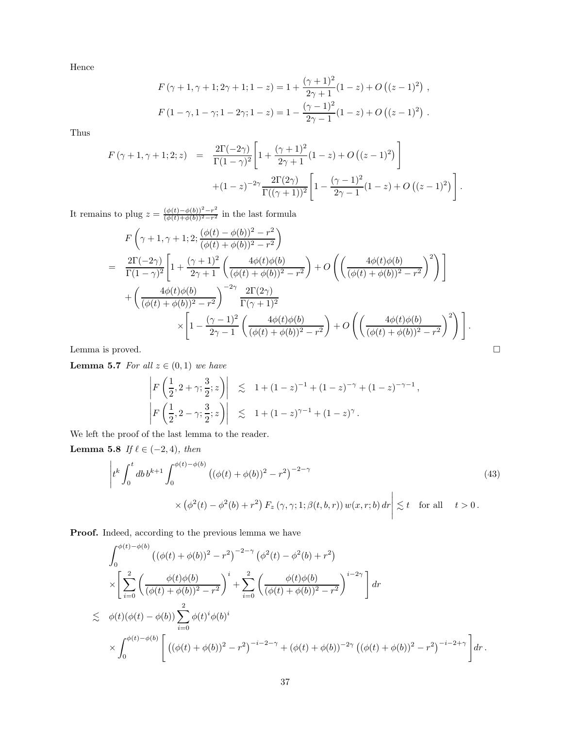Hence

$$
F(\gamma + 1, \gamma + 1; 2\gamma + 1; 1 - z) = 1 + \frac{(\gamma + 1)^2}{2\gamma + 1} (1 - z) + O((z - 1)^2) ,
$$
  

$$
F(1 - \gamma, 1 - \gamma; 1 - 2\gamma; 1 - z) = 1 - \frac{(\gamma - 1)^2}{2\gamma - 1} (1 - z) + O((z - 1)^2) .
$$

Thus

$$
F(\gamma + 1, \gamma + 1; 2; z) = \frac{2\Gamma(-2\gamma)}{\Gamma(1 - \gamma)^2} \left[ 1 + \frac{(\gamma + 1)^2}{2\gamma + 1} (1 - z) + O((z - 1)^2) \right] + (1 - z)^{-2\gamma} \frac{2\Gamma(2\gamma)}{\Gamma((\gamma + 1))^2} \left[ 1 - \frac{(\gamma - 1)^2}{2\gamma - 1} (1 - z) + O((z - 1)^2) \right].
$$

It remains to plug  $z = \frac{(\phi(t) - \phi(b))^2 - r^2}{(\phi(t) + \phi(b))^2 - r^2}$  $\frac{(\varphi(t)-\varphi(0)) - r}{(\varphi(t)+\varphi(b))^2-r^2}$  in the last formula

$$
F\left(\gamma+1,\gamma+1;2;\frac{(\phi(t)-\phi(b))^2-r^2}{(\phi(t)+\phi(b))^2-r^2}\right)
$$
  
= 
$$
\frac{2\Gamma(-2\gamma)}{\Gamma(1-\gamma)^2}\left[1+\frac{(\gamma+1)^2}{2\gamma+1}\left(\frac{4\phi(t)\phi(b)}{(\phi(t)+\phi(b))^2-r^2}\right)+O\left(\left(\frac{4\phi(t)\phi(b)}{(\phi(t)+\phi(b))^2-r^2}\right)^2\right)\right]
$$
  
+ 
$$
\left(\frac{4\phi(t)\phi(b)}{(\phi(t)+\phi(b))^2-r^2}\right)^{-2\gamma}\frac{2\Gamma(2\gamma)}{\Gamma(\gamma+1)^2}
$$
  

$$
\times\left[1-\frac{(\gamma-1)^2}{2\gamma-1}\left(\frac{4\phi(t)\phi(b)}{(\phi(t)+\phi(b))^2-r^2}\right)+O\left(\left(\frac{4\phi(t)\phi(b)}{(\phi(t)+\phi(b))^2-r^2}\right)^2\right)\right].
$$
  
Lemma is proved.

<span id="page-36-0"></span>

**Lemma 5.7** For all  $z \in (0,1)$  we have

$$
\left| F\left(\frac{1}{2}, 2+\gamma; \frac{3}{2}; z\right) \right| \leq 1 + (1-z)^{-1} + (1-z)^{-\gamma} + (1-z)^{-\gamma-1},
$$
  

$$
\left| F\left(\frac{1}{2}, 2-\gamma; \frac{3}{2}; z\right) \right| \leq 1 + (1-z)^{\gamma-1} + (1-z)^{\gamma}.
$$

We left the proof of the last lemma to the reader.

Lemma 5.8 If  $\ell \in (-2, 4)$ , then

<span id="page-36-1"></span>
$$
\left| t^k \int_0^t db \, b^{k+1} \int_0^{\phi(t) - \phi(b)} \left( (\phi(t) + \phi(b))^2 - r^2 \right)^{-2-\gamma} \right. \times \left. (\phi^2(t) - \phi^2(b) + r^2) \, F_z \left( \gamma, \gamma; 1; \beta(t, b, r) \right) w(x, r; b) \, dr \right| \lesssim t \quad \text{for all} \quad t > 0 \, .
$$
\n(43)

Proof. Indeed, according to the previous lemma we have

$$
\int_0^{\phi(t)-\phi(b)} \left( (\phi(t)+\phi(b))^2 - r^2 \right)^{-2-\gamma} (\phi^2(t) - \phi^2(b) + r^2) \times \left[ \sum_{i=0}^2 \left( \frac{\phi(t)\phi(b)}{(\phi(t)+\phi(b))^2 - r^2} \right)^i + \sum_{i=0}^2 \left( \frac{\phi(t)\phi(b)}{(\phi(t)+\phi(b))^2 - r^2} \right)^{i-2\gamma} \right] dr \n\lesssim \phi(t)(\phi(t) - \phi(b)) \sum_{i=0}^2 \phi(t)^i \phi(b)^i \times \int_0^{\phi(t)-\phi(b)} \left[ ((\phi(t)+\phi(b))^2 - r^2)^{-i-2-\gamma} + (\phi(t)+\phi(b))^{-2\gamma} ((\phi(t)+\phi(b))^2 - r^2)^{-i-2+\gamma} \right] dr.
$$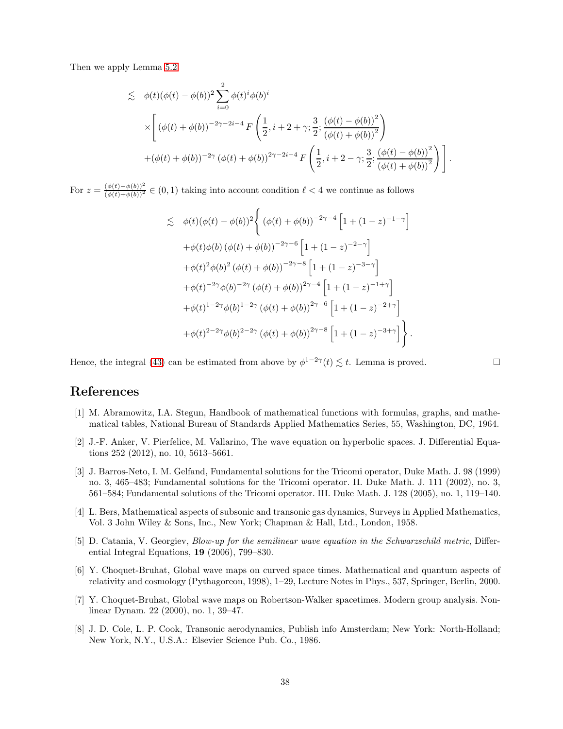Then we apply Lemma [5.2](#page-33-1)

$$
\leq \phi(t)(\phi(t) - \phi(b))^2 \sum_{i=0}^2 \phi(t)^i \phi(b)^i
$$
  

$$
\times \left[ (\phi(t) + \phi(b))^{-2\gamma - 2i - 4} F\left(\frac{1}{2}, i + 2 + \gamma; \frac{3}{2}; \frac{(\phi(t) - \phi(b))^2}{(\phi(t) + \phi(b))^2}\right) + (\phi(t) + \phi(b))^{-2\gamma} (\phi(t) + \phi(b))^{2\gamma - 2i - 4} F\left(\frac{1}{2}, i + 2 - \gamma; \frac{3}{2}; \frac{(\phi(t) - \phi(b))^2}{(\phi(t) + \phi(b))^2}\right) \right].
$$

For  $z = \frac{(\phi(t) - \phi(b))^2}{(\phi(t) + \phi(b))^2} \in (0, 1)$  taking into account condition  $\ell < 4$  we continue as follows

$$
\lesssim \phi(t)(\phi(t) - \phi(b))^2 \Biggl\{ (\phi(t) + \phi(b))^{-2\gamma - 4} \left[ 1 + (1 - z)^{-1 - \gamma} \right] \n+ \phi(t)\phi(b) (\phi(t) + \phi(b))^{-2\gamma - 6} \left[ 1 + (1 - z)^{-2 - \gamma} \right] \n+ \phi(t)^2 \phi(b)^2 (\phi(t) + \phi(b))^{-2\gamma - 8} \left[ 1 + (1 - z)^{-3 - \gamma} \right] \n+ \phi(t)^{-2\gamma} \phi(b)^{-2\gamma} (\phi(t) + \phi(b))^{2\gamma - 4} \left[ 1 + (1 - z)^{-1 + \gamma} \right] \n+ \phi(t)^{1 - 2\gamma} \phi(b)^{1 - 2\gamma} (\phi(t) + \phi(b))^{2\gamma - 6} \left[ 1 + (1 - z)^{-2 + \gamma} \right] \n+ \phi(t)^{2 - 2\gamma} \phi(b)^{2 - 2\gamma} (\phi(t) + \phi(b))^{2\gamma - 8} \left[ 1 + (1 - z)^{-3 + \gamma} \right] \Biggr\}.
$$

Hence, the integral [\(43\)](#page-36-1) can be estimated from above by  $\phi^{1-2\gamma}(t) \lesssim t$ . Lemma is proved.

# <span id="page-37-7"></span>References

- [1] M. Abramowitz, I.A. Stegun, Handbook of mathematical functions with formulas, graphs, and mathematical tables, National Bureau of Standards Applied Mathematics Series, 55, Washington, DC, 1964.
- <span id="page-37-5"></span>[2] J.-F. Anker, V. Pierfelice, M. Vallarino, The wave equation on hyperbolic spaces. J. Differential Equations 252 (2012), no. 10, 5613–5661.
- <span id="page-37-0"></span>[3] J. Barros-Neto, I. M. Gelfand, Fundamental solutions for the Tricomi operator, Duke Math. J. 98 (1999) no. 3, 465–483; Fundamental solutions for the Tricomi operator. II. Duke Math. J. 111 (2002), no. 3, 561–584; Fundamental solutions of the Tricomi operator. III. Duke Math. J. 128 (2005), no. 1, 119–140.
- <span id="page-37-1"></span>[4] L. Bers, Mathematical aspects of subsonic and transonic gas dynamics, Surveys in Applied Mathematics, Vol. 3 John Wiley & Sons, Inc., New York; Chapman & Hall, Ltd., London, 1958.
- <span id="page-37-6"></span>[5] D. Catania, V. Georgiev, Blow-up for the semilinear wave equation in the Schwarzschild metric, Differential Integral Equations, 19 (2006), 799–830.
- <span id="page-37-3"></span>[6] Y. Choquet-Bruhat, Global wave maps on curved space times. Mathematical and quantum aspects of relativity and cosmology (Pythagoreon, 1998), 1–29, Lecture Notes in Phys., 537, Springer, Berlin, 2000.
- <span id="page-37-4"></span>[7] Y. Choquet-Bruhat, Global wave maps on Robertson-Walker spacetimes. Modern group analysis. Nonlinear Dynam. 22 (2000), no. 1, 39–47.
- <span id="page-37-2"></span>[8] J. D. Cole, L. P. Cook, Transonic aerodynamics, Publish info Amsterdam; New York: North-Holland; New York, N.Y., U.S.A.: Elsevier Science Pub. Co., 1986.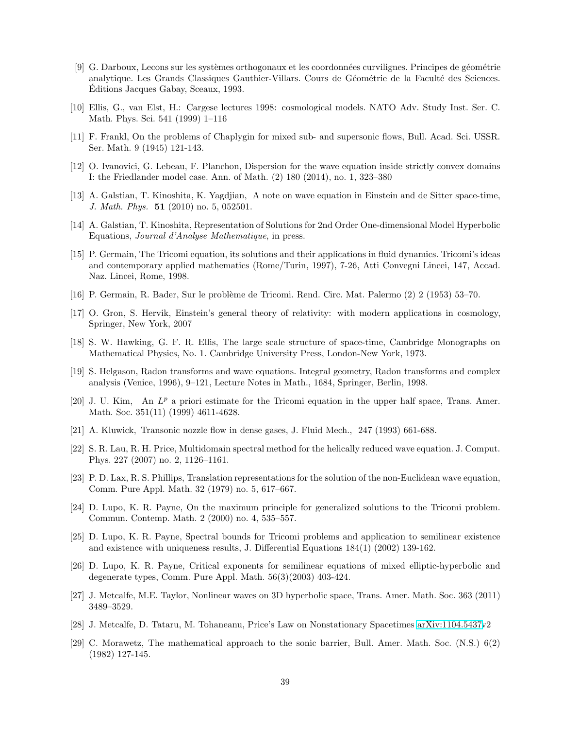- <span id="page-38-20"></span>[9] G. Darboux, Lecons sur les systèmes orthogonaux et les coordonnées curvilignes. Principes de géométrie analytique. Les Grands Classiques Gauthier-Villars. Cours de Géométrie de la Faculté des Sciences. Editions Jacques Gabay, Sceaux, 1993. ´
- <span id="page-38-14"></span>[10] Ellis, G., van Elst, H.: Cargese lectures 1998: cosmological models. NATO Adv. Study Inst. Ser. C. Math. Phys. Sci. 541 (1999) 1–116
- <span id="page-38-17"></span><span id="page-38-5"></span>[11] F. Frankl, On the problems of Chaplygin for mixed sub- and supersonic flows, Bull. Acad. Sci. USSR. Ser. Math. 9 (1945) 121-143.
- [12] O. Ivanovici, G. Lebeau, F. Planchon, Dispersion for the wave equation inside strictly convex domains I: the Friedlander model case. Ann. of Math. (2) 180 (2014), no. 1, 323–380
- <span id="page-38-0"></span>[13] A. Galstian, T. Kinoshita, K. Yagdjian, A note on wave equation in Einstein and de Sitter space-time, J. Math. Phys. 51 (2010) no. 5, 052501.
- <span id="page-38-6"></span><span id="page-38-1"></span>[14] A. Galstian, T. Kinoshita, Representation of Solutions for 2nd Order One-dimensional Model Hyperbolic Equations, Journal d'Analyse Mathematique, in press.
- [15] P. Germain, The Tricomi equation, its solutions and their applications in fluid dynamics. Tricomi's ideas and contemporary applied mathematics (Rome/Turin, 1997), 7-26, Atti Convegni Lincei, 147, Accad. Naz. Lincei, Rome, 1998.
- <span id="page-38-15"></span><span id="page-38-7"></span>[16] P. Germain, R. Bader, Sur le probl`eme de Tricomi. Rend. Circ. Mat. Palermo (2) 2 (1953) 53–70.
- <span id="page-38-16"></span>[17] O. Gron, S. Hervik, Einstein's general theory of relativity: with modern applications in cosmology, Springer, New York, 2007
- <span id="page-38-2"></span>[18] S. W. Hawking, G. F. R. Ellis, The large scale structure of space-time, Cambridge Monographs on Mathematical Physics, No. 1. Cambridge University Press, London-New York, 1973.
- [19] S. Helgason, Radon transforms and wave equations. Integral geometry, Radon transforms and complex analysis (Venice, 1996), 9–121, Lecture Notes in Math., 1684, Springer, Berlin, 1998.
- <span id="page-38-8"></span>[20] J. U. Kim, An  $L^p$  a priori estimate for the Tricomi equation in the upper half space, Trans. Amer. Math. Soc. 351(11) (1999) 4611-4628.
- <span id="page-38-9"></span><span id="page-38-4"></span>[21] A. Kluwick, Transonic nozzle flow in dense gases, J. Fluid Mech., 247 (1993) 661-688.
- [22] S. R. Lau, R. H. Price, Multidomain spectral method for the helically reduced wave equation. J. Comput. Phys. 227 (2007) no. 2, 1126–1161.
- <span id="page-38-3"></span>[23] P. D. Lax, R. S. Phillips, Translation representations for the solution of the non-Euclidean wave equation, Comm. Pure Appl. Math. 32 (1979) no. 5, 617–667.
- <span id="page-38-10"></span>[24] D. Lupo, K. R. Payne, On the maximum principle for generalized solutions to the Tricomi problem. Commun. Contemp. Math. 2 (2000) no. 4, 535–557.
- <span id="page-38-11"></span>[25] D. Lupo, K. R. Payne, Spectral bounds for Tricomi problems and application to semilinear existence and existence with uniqueness results, J. Differential Equations 184(1) (2002) 139-162.
- <span id="page-38-12"></span>[26] D. Lupo, K. R. Payne, Critical exponents for semilinear equations of mixed elliptic-hyperbolic and degenerate types, Comm. Pure Appl. Math. 56(3)(2003) 403-424.
- <span id="page-38-19"></span><span id="page-38-18"></span>[27] J. Metcalfe, M.E. Taylor, Nonlinear waves on 3D hyperbolic space, Trans. Amer. Math. Soc. 363 (2011) 3489–3529.
- <span id="page-38-13"></span>[28] J. Metcalfe, D. Tataru, M. Tohaneanu, Price's Law on Nonstationary Spacetimes [arXiv:1104.5437v](http://arxiv.org/abs/1104.5437)2
- [29] C. Morawetz, The mathematical approach to the sonic barrier, Bull. Amer. Math. Soc. (N.S.) 6(2) (1982) 127-145.